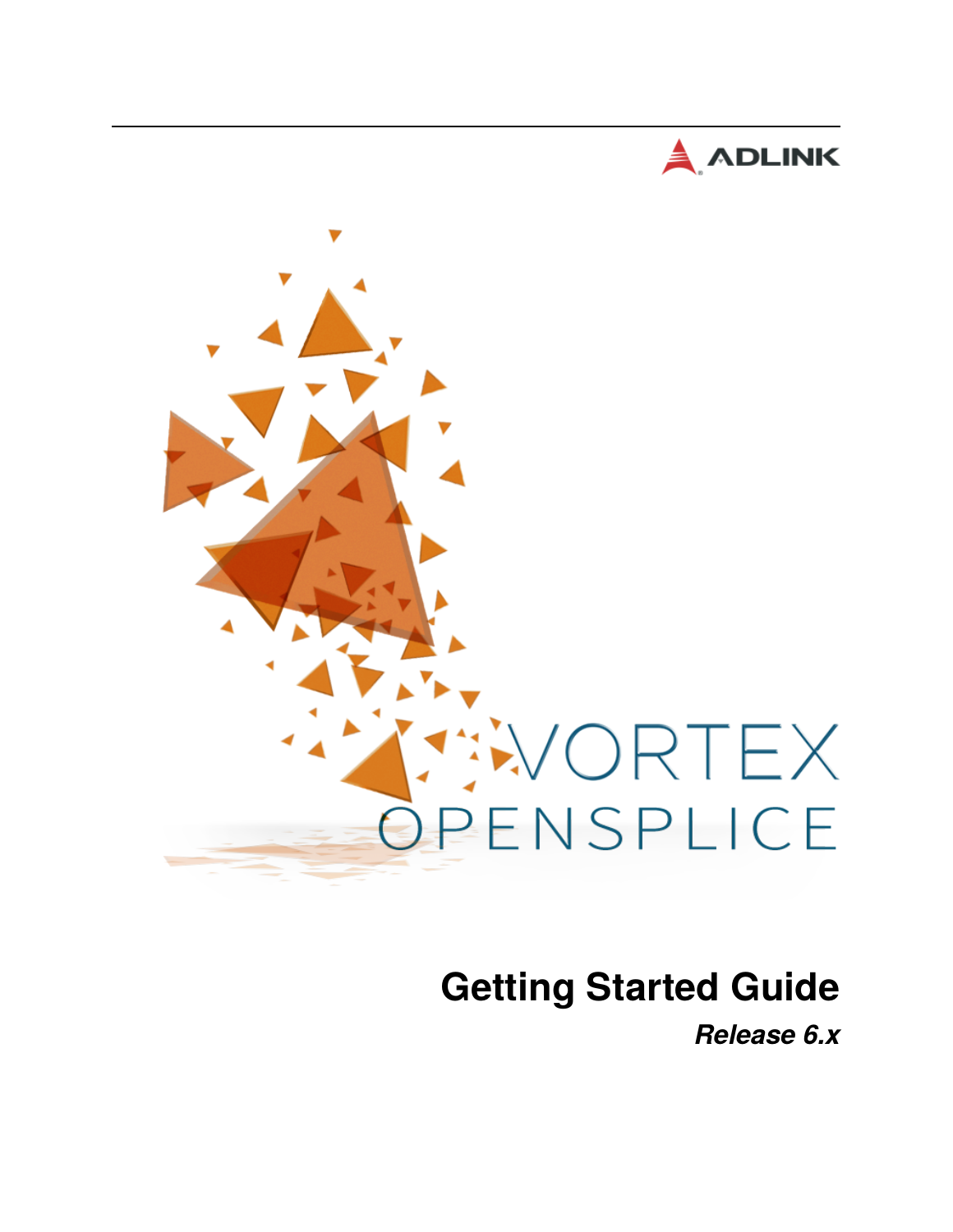



# **Getting Started Guide**

*Release 6.x*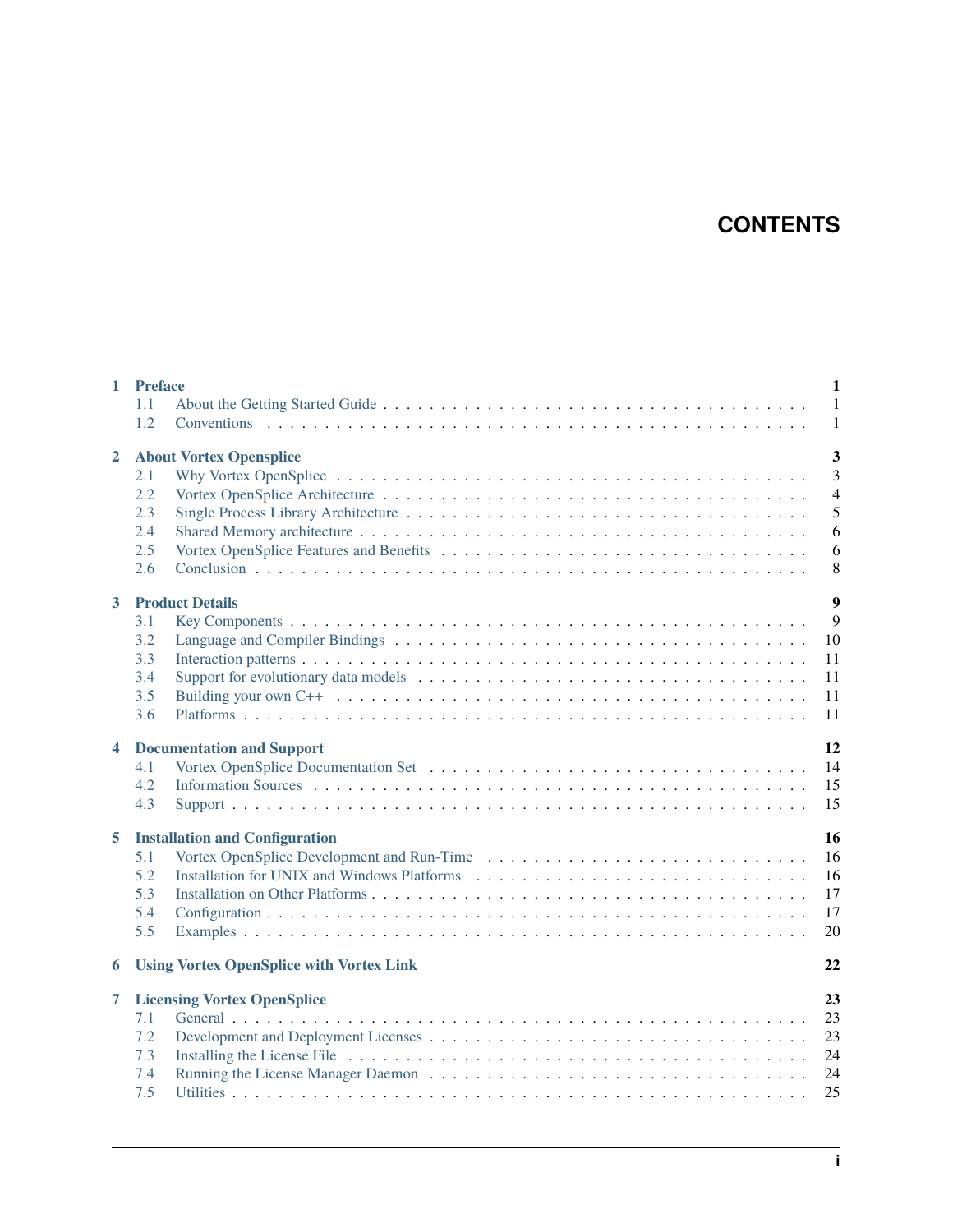# **CONTENTS**

| $\mathbf{1}$            | <b>Preface</b><br>1.1<br>1.2                                             | $\mathbf{1}$<br>$\mathbf{1}$<br>$\mathbf{1}$                                    |
|-------------------------|--------------------------------------------------------------------------|---------------------------------------------------------------------------------|
| $\overline{2}$          | <b>About Vortex Opensplice</b><br>2.1<br>2.2<br>2.3<br>2.4<br>2.5<br>2.6 | $\overline{\mathbf{3}}$<br>$\overline{3}$<br>$\overline{4}$<br>5<br>6<br>6<br>8 |
| 3                       | <b>Product Details</b><br>3.1<br>3.2<br>3.3<br>3.4<br>3.5<br>3.6         | $\overline{9}$<br>9<br>10<br>11<br>11<br>11<br>11                               |
| $\overline{\mathbf{4}}$ | <b>Documentation and Support</b><br>4.1<br>4.2<br>4.3                    | 12<br>14<br>15<br>15                                                            |
| 5                       | <b>Installation and Configuration</b><br>5.1<br>5.2<br>5.3<br>5.4<br>5.5 | 16<br>16<br>16<br>17<br>17<br>20                                                |
| 6                       | <b>Using Vortex OpenSplice with Vortex Link</b>                          | 22                                                                              |
| 7                       | <b>Licensing Vortex OpenSplice</b><br>7.1<br>7.2<br>7.3<br>7.4<br>7.5    | 23<br>23<br>23<br>24<br>24<br>25                                                |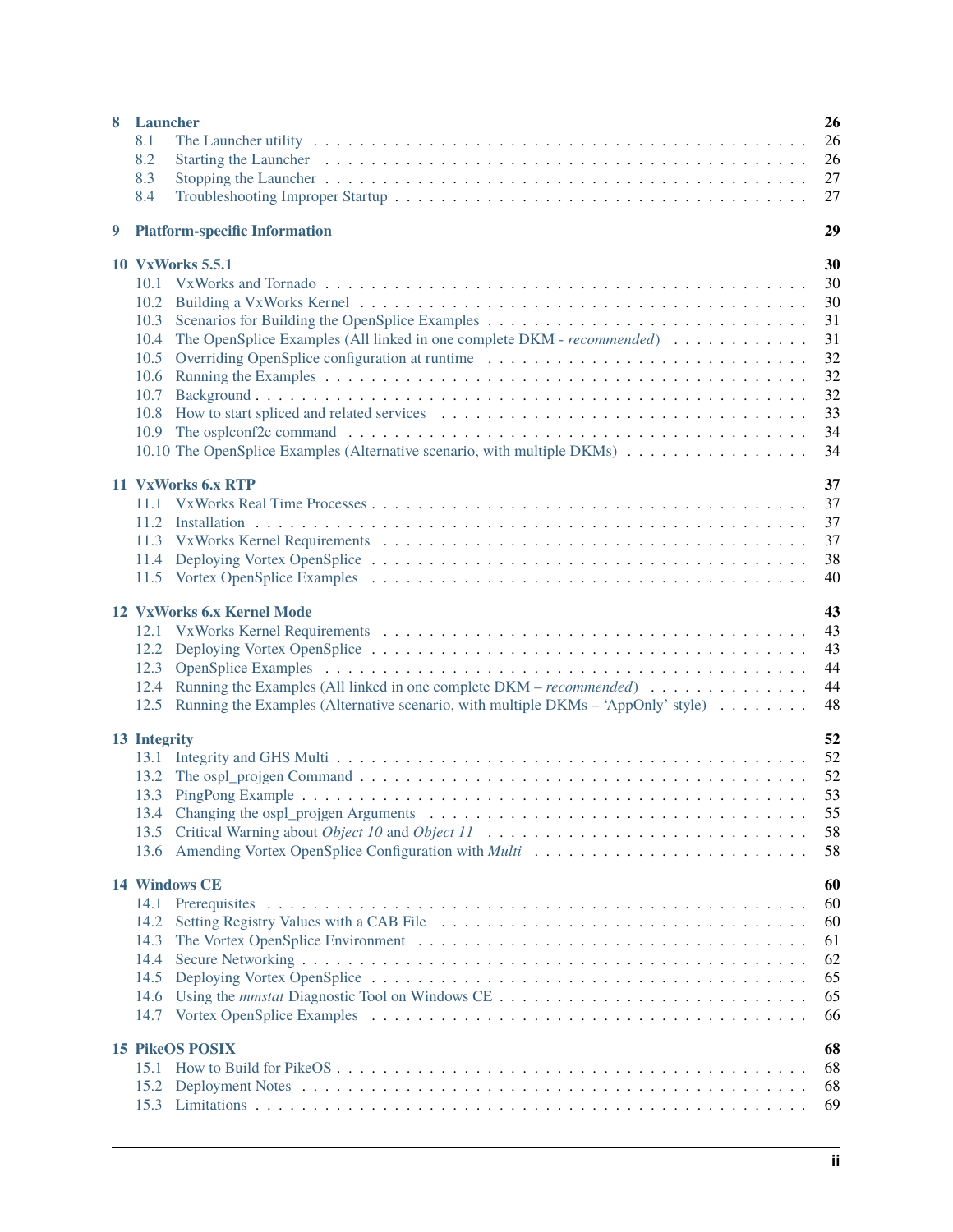| 8 Launcher |                                                                                                                                                                                                                                       |          |
|------------|---------------------------------------------------------------------------------------------------------------------------------------------------------------------------------------------------------------------------------------|----------|
|            | 8.1                                                                                                                                                                                                                                   | 26       |
|            | 8.2<br>Starting the Launcher (a) is a series of the contract of the contract of the contract of the contract of the contract of the contract of the contract of the contract of the contract of the contract of the contract of the c | 26       |
|            | 8.3                                                                                                                                                                                                                                   | 27       |
|            | 8.4                                                                                                                                                                                                                                   | 27       |
| 9          | <b>Platform-specific Information</b>                                                                                                                                                                                                  | 29       |
|            | <b>10 VxWorks 5.5.1</b>                                                                                                                                                                                                               | 30       |
|            |                                                                                                                                                                                                                                       | 30       |
|            |                                                                                                                                                                                                                                       | 30       |
|            | 10.3 Scenarios for Building the OpenSplice Examples                                                                                                                                                                                   | 31       |
|            | The OpenSplice Examples (All linked in one complete DKM - recommended)<br>10.4                                                                                                                                                        | 31       |
|            | 10.5                                                                                                                                                                                                                                  | 32<br>32 |
|            | 10.6<br>10.7                                                                                                                                                                                                                          | 32       |
|            | 10.8 How to start spliced and related services                                                                                                                                                                                        | 33       |
|            | 10.9                                                                                                                                                                                                                                  | 34       |
|            |                                                                                                                                                                                                                                       | 34       |
|            |                                                                                                                                                                                                                                       |          |
|            | 11 VxWorks 6.x RTP                                                                                                                                                                                                                    | 37       |
|            |                                                                                                                                                                                                                                       | 37       |
|            |                                                                                                                                                                                                                                       | 37       |
|            |                                                                                                                                                                                                                                       | 37       |
|            |                                                                                                                                                                                                                                       | 38       |
|            |                                                                                                                                                                                                                                       | 40       |
|            | 12 VxWorks 6.x Kernel Mode                                                                                                                                                                                                            | 43       |
|            | 12.1                                                                                                                                                                                                                                  | 43       |
|            | 12.2                                                                                                                                                                                                                                  | 43       |
|            | 12.3                                                                                                                                                                                                                                  | 44       |
|            | 12.4 Running the Examples (All linked in one complete DKM – recommended)                                                                                                                                                              | 44       |
|            | Running the Examples (Alternative scenario, with multiple DKMs – 'AppOnly' style)<br>12.5                                                                                                                                             | 48       |
|            | 13 Integrity                                                                                                                                                                                                                          | 52       |
|            |                                                                                                                                                                                                                                       | 52       |
|            |                                                                                                                                                                                                                                       | 52       |
|            |                                                                                                                                                                                                                                       | 53       |
|            |                                                                                                                                                                                                                                       | 55       |
|            | 13.5                                                                                                                                                                                                                                  | 58       |
|            |                                                                                                                                                                                                                                       | 58       |
|            |                                                                                                                                                                                                                                       |          |
|            | <b>14 Windows CE</b>                                                                                                                                                                                                                  | 60       |
|            | 14.1                                                                                                                                                                                                                                  | 60       |
|            | 14.2<br>14.3                                                                                                                                                                                                                          | 60<br>61 |
|            | 14.4                                                                                                                                                                                                                                  | 62       |
|            | 14.5                                                                                                                                                                                                                                  | 65       |
|            | 14.6                                                                                                                                                                                                                                  | 65       |
|            | 14.7                                                                                                                                                                                                                                  | 66       |
|            |                                                                                                                                                                                                                                       |          |
|            | <b>15 PikeOS POSIX</b>                                                                                                                                                                                                                | 68       |
|            | 15.1                                                                                                                                                                                                                                  | 68       |
|            | 15.2                                                                                                                                                                                                                                  | 68       |
|            |                                                                                                                                                                                                                                       | 69       |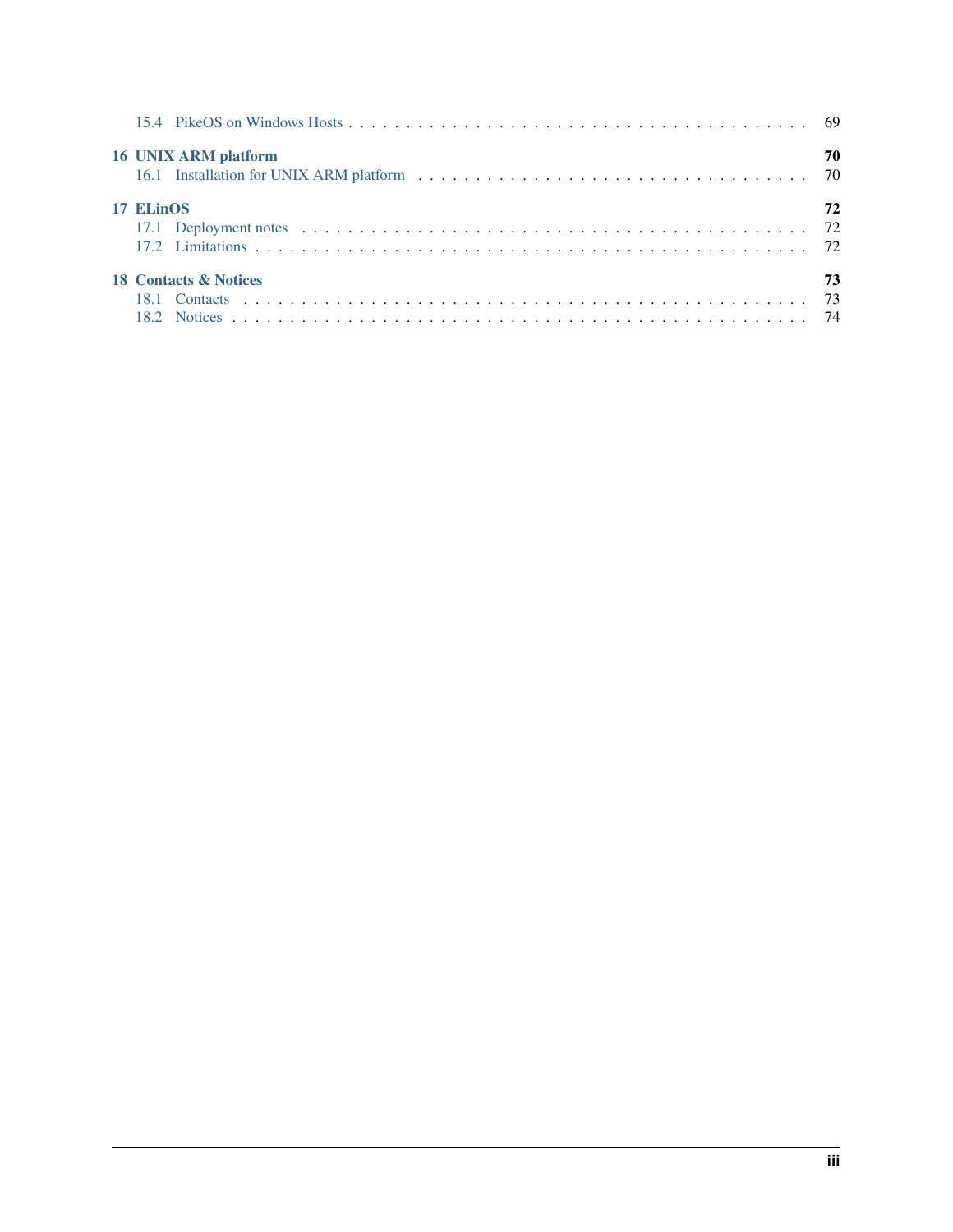| 16 UNIX ARM platform             | 70 |
|----------------------------------|----|
| 17 ELinOS                        | 72 |
| <b>18 Contacts &amp; Notices</b> | 73 |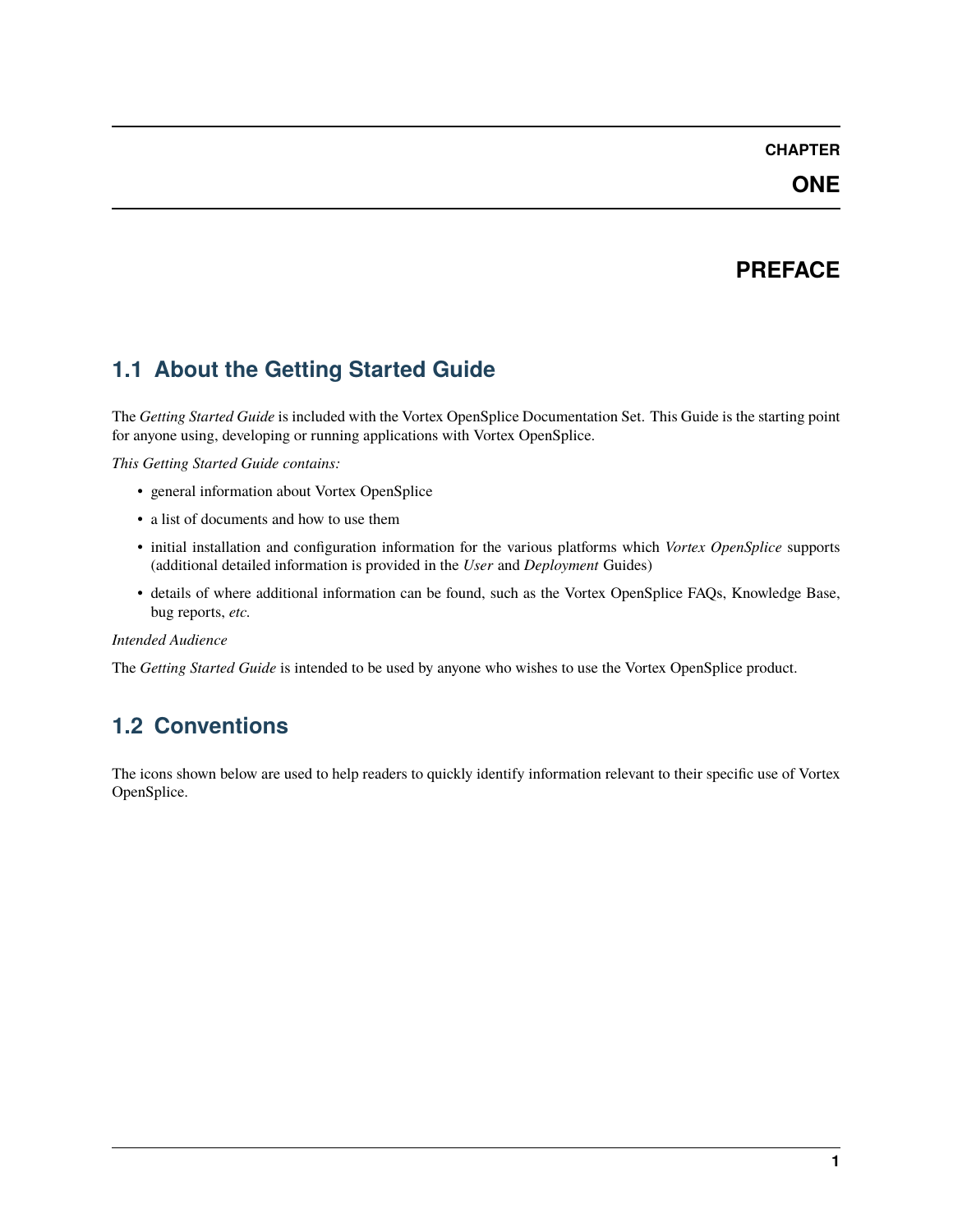#### **ONE**

# **PREFACE**

# <span id="page-4-1"></span><span id="page-4-0"></span>**1.1 About the Getting Started Guide**

The *Getting Started Guide* is included with the Vortex OpenSplice Documentation Set. This Guide is the starting point for anyone using, developing or running applications with Vortex OpenSplice.

*This Getting Started Guide contains:*

- general information about Vortex OpenSplice
- a list of documents and how to use them
- initial installation and configuration information for the various platforms which *Vortex OpenSplice* supports (additional detailed information is provided in the *User* and *Deployment* Guides)
- details of where additional information can be found, such as the Vortex OpenSplice FAQs, Knowledge Base, bug reports, *etc.*

#### *Intended Audience*

The *Getting Started Guide* is intended to be used by anyone who wishes to use the Vortex OpenSplice product.

# <span id="page-4-2"></span>**1.2 Conventions**

The icons shown below are used to help readers to quickly identify information relevant to their specific use of Vortex OpenSplice.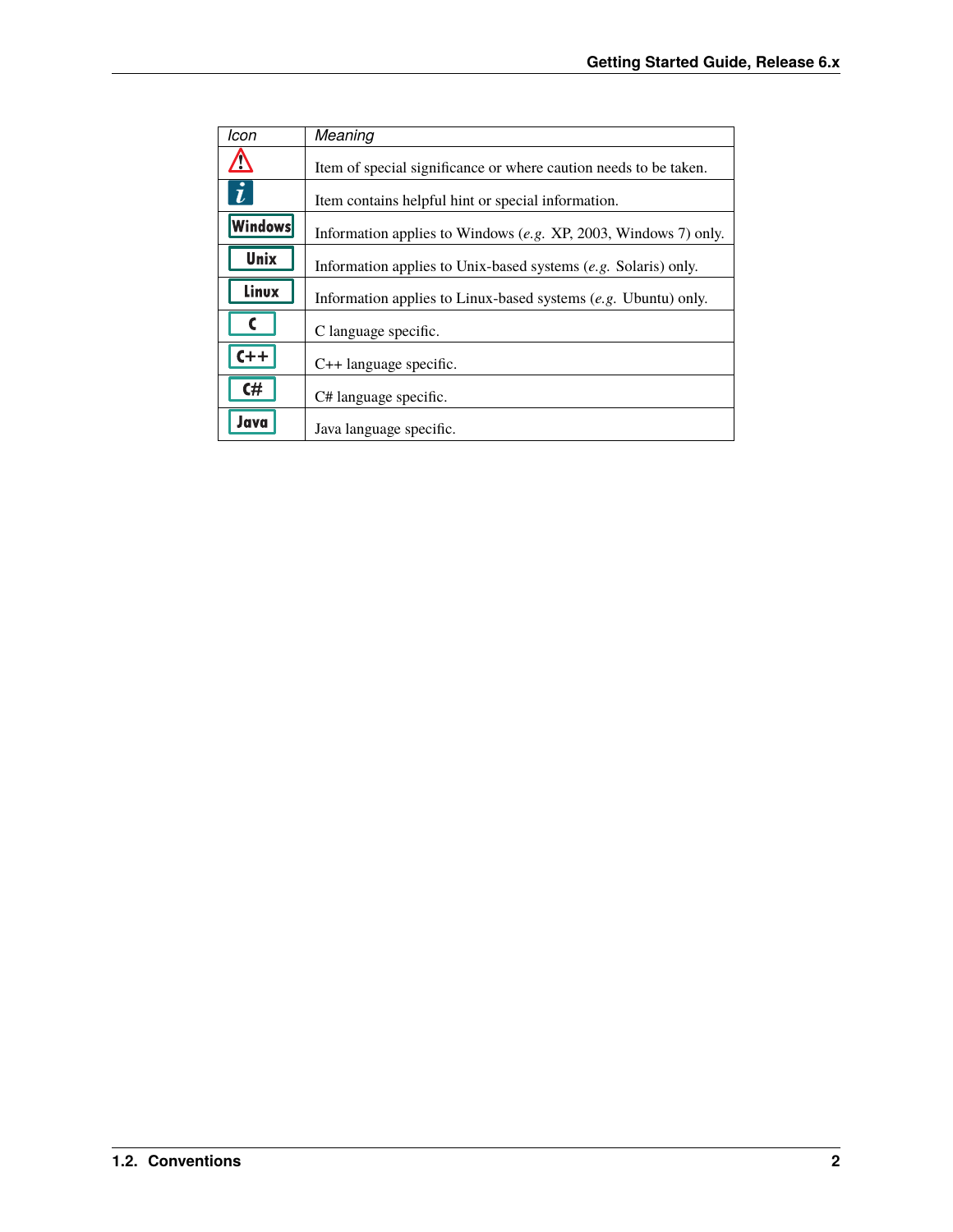| Icon             | Meaning                                                          |
|------------------|------------------------------------------------------------------|
|                  | Item of special significance or where caution needs to be taken. |
| $\boldsymbol{i}$ | Item contains helpful hint or special information.               |
| Windows          | Information applies to Windows (e.g. XP, 2003, Windows 7) only.  |
| Unix             | Information applies to Unix-based systems (e.g. Solaris) only.   |
| Linux            | Information applies to Linux-based systems $(e.g.$ Ubuntu) only. |
|                  | C language specific.                                             |
| $C++$            | $C++$ language specific.                                         |
| C#               | C# language specific.                                            |
| Java             | Java language specific.                                          |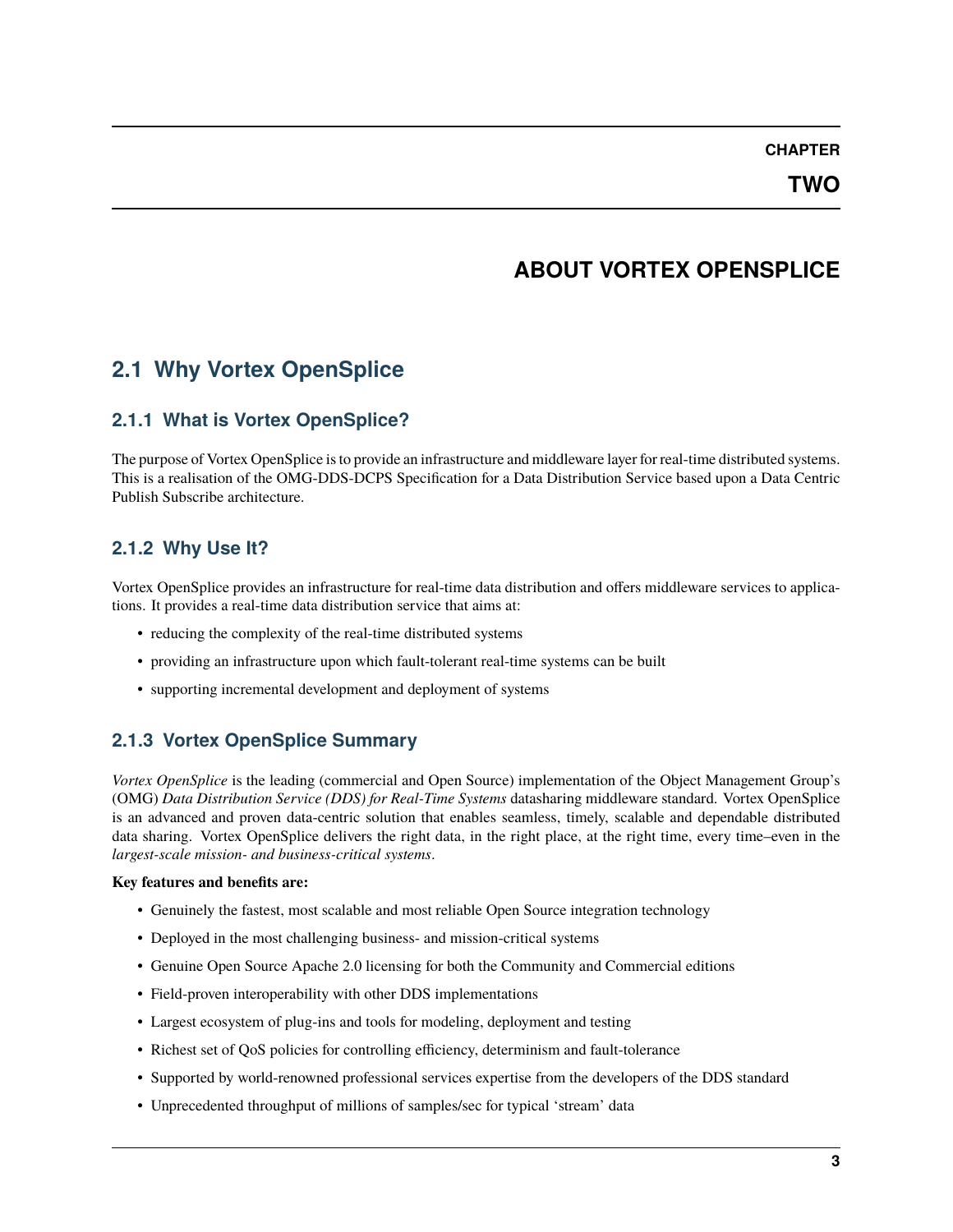**TWO**

# **ABOUT VORTEX OPENSPLICE**

# <span id="page-6-1"></span><span id="page-6-0"></span>**2.1 Why Vortex OpenSplice**

### **2.1.1 What is Vortex OpenSplice?**

The purpose of Vortex OpenSplice is to provide an infrastructure and middleware layer for real-time distributed systems. This is a realisation of the OMG-DDS-DCPS Specification for a Data Distribution Service based upon a Data Centric Publish Subscribe architecture.

### **2.1.2 Why Use It?**

Vortex OpenSplice provides an infrastructure for real-time data distribution and offers middleware services to applications. It provides a real-time data distribution service that aims at:

- reducing the complexity of the real-time distributed systems
- providing an infrastructure upon which fault-tolerant real-time systems can be built
- supporting incremental development and deployment of systems

# **2.1.3 Vortex OpenSplice Summary**

*Vortex OpenSplice* is the leading (commercial and Open Source) implementation of the Object Management Group's (OMG) *Data Distribution Service (DDS) for Real-Time Systems* datasharing middleware standard. Vortex OpenSplice is an advanced and proven data-centric solution that enables seamless, timely, scalable and dependable distributed data sharing. Vortex OpenSplice delivers the right data, in the right place, at the right time, every time–even in the *largest-scale mission- and business-critical systems*.

#### **Key features and benefits are:**

- Genuinely the fastest, most scalable and most reliable Open Source integration technology
- Deployed in the most challenging business- and mission-critical systems
- Genuine Open Source Apache 2.0 licensing for both the Community and Commercial editions
- Field-proven interoperability with other DDS implementations
- Largest ecosystem of plug-ins and tools for modeling, deployment and testing
- Richest set of QoS policies for controlling efficiency, determinism and fault-tolerance
- Supported by world-renowned professional services expertise from the developers of the DDS standard
- Unprecedented throughput of millions of samples/sec for typical 'stream' data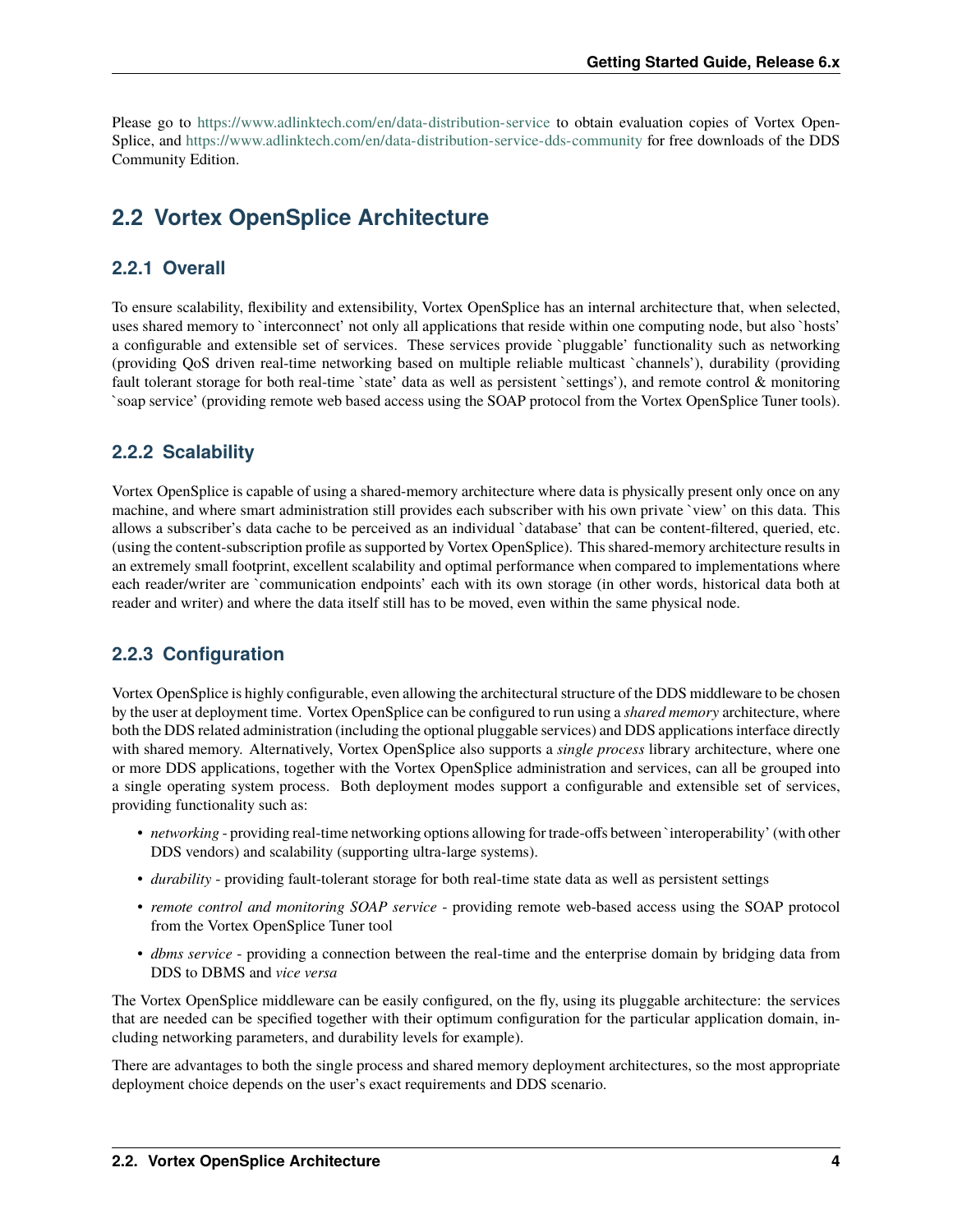Please go to <https://www.adlinktech.com/en/data-distribution-service> to obtain evaluation copies of Vortex Open-Splice, and <https://www.adlinktech.com/en/data-distribution-service-dds-community> for free downloads of the DDS Community Edition.

# <span id="page-7-0"></span>**2.2 Vortex OpenSplice Architecture**

#### **2.2.1 Overall**

To ensure scalability, flexibility and extensibility, Vortex OpenSplice has an internal architecture that, when selected, uses shared memory to `interconnect' not only all applications that reside within one computing node, but also `hosts' a configurable and extensible set of services. These services provide `pluggable' functionality such as networking (providing QoS driven real-time networking based on multiple reliable multicast `channels'), durability (providing fault tolerant storage for both real-time `state' data as well as persistent `settings'), and remote control & monitoring `soap service' (providing remote web based access using the SOAP protocol from the Vortex OpenSplice Tuner tools).

#### **2.2.2 Scalability**

Vortex OpenSplice is capable of using a shared-memory architecture where data is physically present only once on any machine, and where smart administration still provides each subscriber with his own private `view' on this data. This allows a subscriber's data cache to be perceived as an individual `database' that can be content-filtered, queried, etc. (using the content-subscription profile as supported by Vortex OpenSplice). This shared-memory architecture results in an extremely small footprint, excellent scalability and optimal performance when compared to implementations where each reader/writer are `communication endpoints' each with its own storage (in other words, historical data both at reader and writer) and where the data itself still has to be moved, even within the same physical node.

#### **2.2.3 Configuration**

Vortex OpenSplice is highly configurable, even allowing the architectural structure of the DDS middleware to be chosen by the user at deployment time. Vortex OpenSplice can be configured to run using a *shared memory* architecture, where both the DDS related administration (including the optional pluggable services) and DDS applications interface directly with shared memory. Alternatively, Vortex OpenSplice also supports a *single process* library architecture, where one or more DDS applications, together with the Vortex OpenSplice administration and services, can all be grouped into a single operating system process. Both deployment modes support a configurable and extensible set of services, providing functionality such as:

- *networking* providing real-time networking options allowing for trade-offs between `interoperability' (with other DDS vendors) and scalability (supporting ultra-large systems).
- *durability* providing fault-tolerant storage for both real-time state data as well as persistent settings
- *remote control and monitoring SOAP service* providing remote web-based access using the SOAP protocol from the Vortex OpenSplice Tuner tool
- *dbms service* providing a connection between the real-time and the enterprise domain by bridging data from DDS to DBMS and *vice versa*

The Vortex OpenSplice middleware can be easily configured, on the fly, using its pluggable architecture: the services that are needed can be specified together with their optimum configuration for the particular application domain, including networking parameters, and durability levels for example).

There are advantages to both the single process and shared memory deployment architectures, so the most appropriate deployment choice depends on the user's exact requirements and DDS scenario.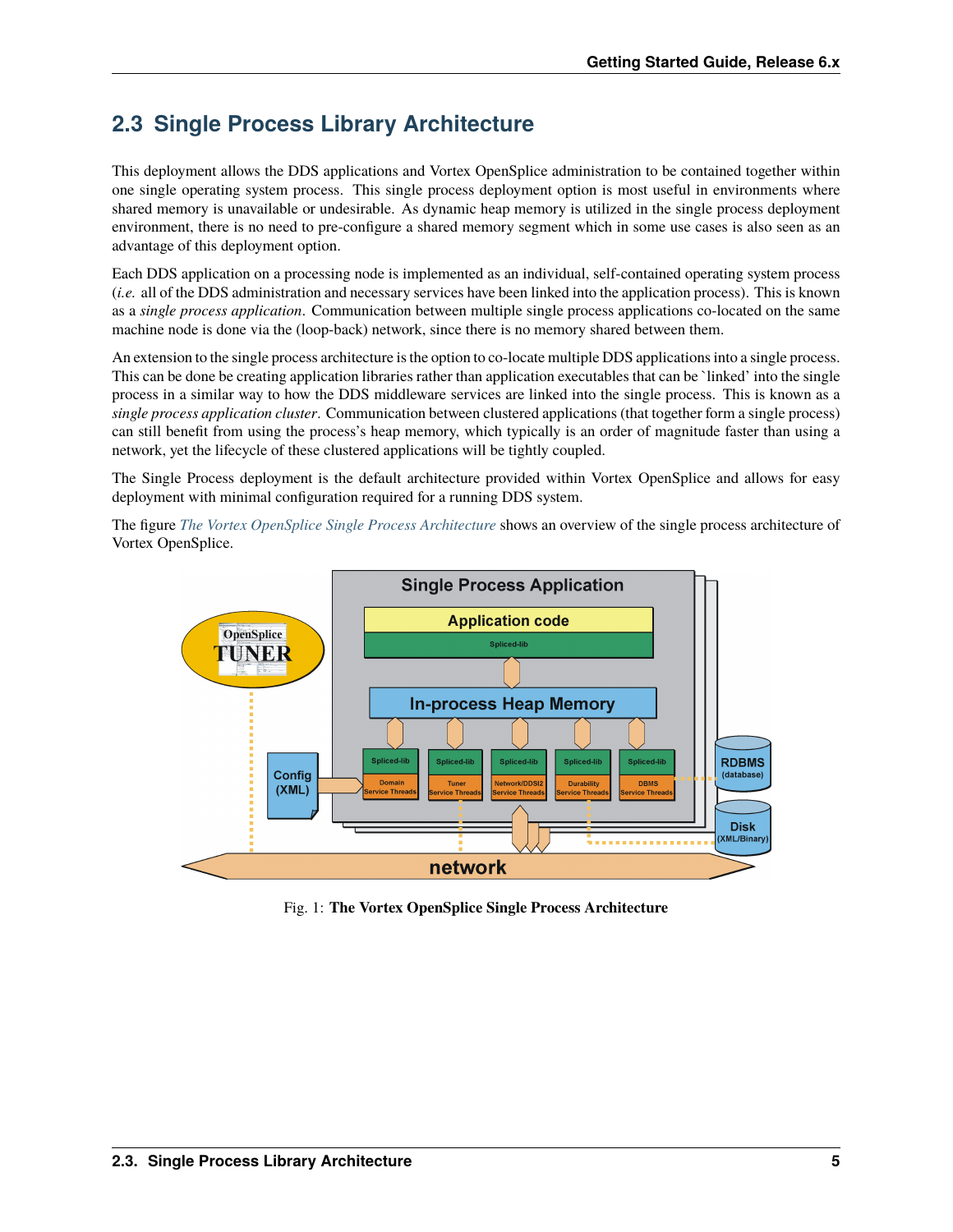# <span id="page-8-0"></span>**2.3 Single Process Library Architecture**

This deployment allows the DDS applications and Vortex OpenSplice administration to be contained together within one single operating system process. This single process deployment option is most useful in environments where shared memory is unavailable or undesirable. As dynamic heap memory is utilized in the single process deployment environment, there is no need to pre-configure a shared memory segment which in some use cases is also seen as an advantage of this deployment option.

Each DDS application on a processing node is implemented as an individual, self-contained operating system process (*i.e.* all of the DDS administration and necessary services have been linked into the application process). This is known as a *single process application*. Communication between multiple single process applications co-located on the same machine node is done via the (loop-back) network, since there is no memory shared between them.

An extension to the single process architecture is the option to co-locate multiple DDS applications into a single process. This can be done be creating application libraries rather than application executables that can be `linked' into the single process in a similar way to how the DDS middleware services are linked into the single process. This is known as a *single process application cluster*. Communication between clustered applications (that together form a single process) can still benefit from using the process's heap memory, which typically is an order of magnitude faster than using a network, yet the lifecycle of these clustered applications will be tightly coupled.

The Single Process deployment is the default architecture provided within Vortex OpenSplice and allows for easy deployment with minimal configuration required for a running DDS system.

<span id="page-8-1"></span>The figure *[The Vortex OpenSplice Single Process Architecture](#page-8-1)* shows an overview of the single process architecture of Vortex OpenSplice.



Fig. 1: **The Vortex OpenSplice Single Process Architecture**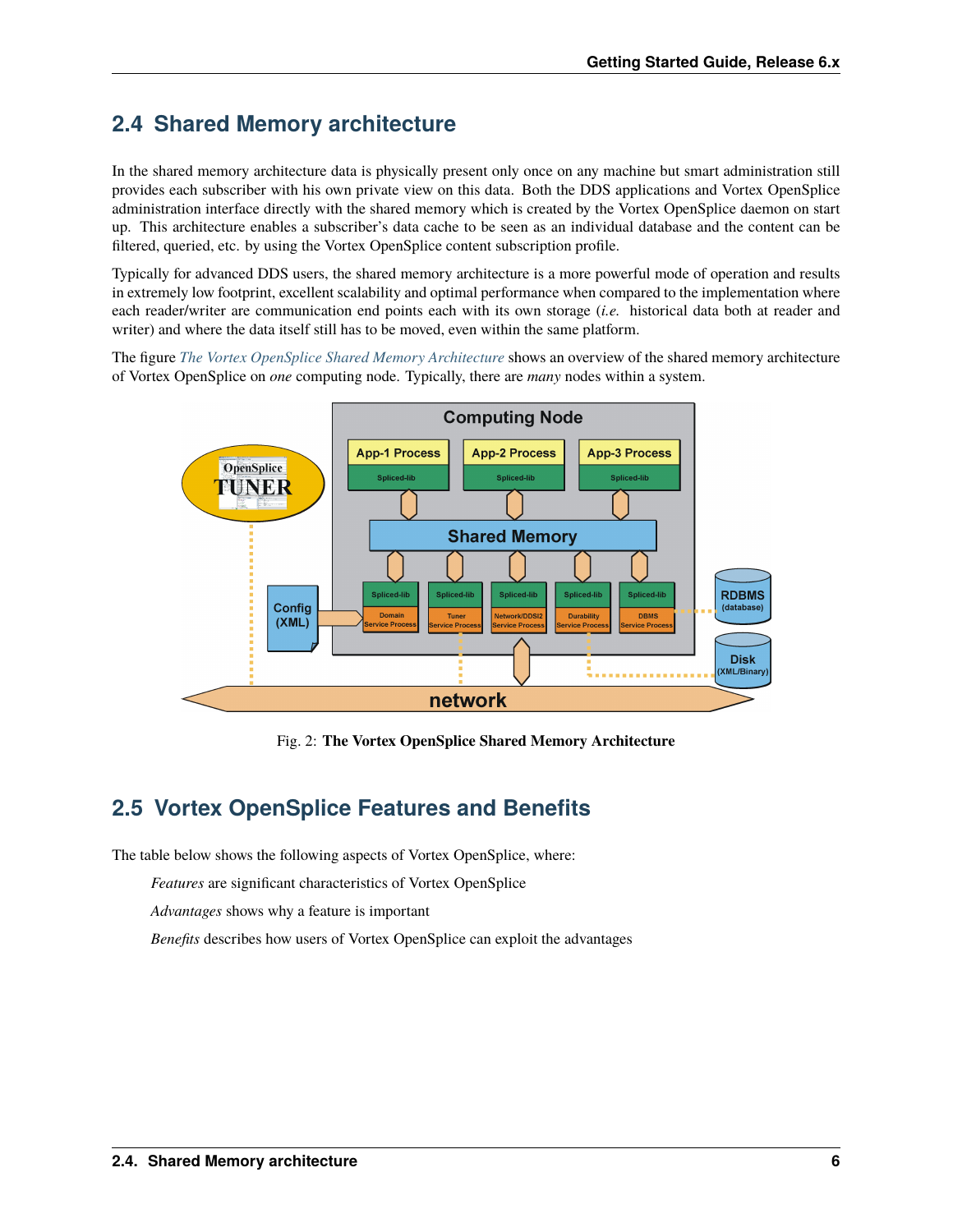# <span id="page-9-0"></span>**2.4 Shared Memory architecture**

In the shared memory architecture data is physically present only once on any machine but smart administration still provides each subscriber with his own private view on this data. Both the DDS applications and Vortex OpenSplice administration interface directly with the shared memory which is created by the Vortex OpenSplice daemon on start up. This architecture enables a subscriber's data cache to be seen as an individual database and the content can be filtered, queried, etc. by using the Vortex OpenSplice content subscription profile.

Typically for advanced DDS users, the shared memory architecture is a more powerful mode of operation and results in extremely low footprint, excellent scalability and optimal performance when compared to the implementation where each reader/writer are communication end points each with its own storage (*i.e.* historical data both at reader and writer) and where the data itself still has to be moved, even within the same platform.

<span id="page-9-2"></span>The figure *[The Vortex OpenSplice Shared Memory Architecture](#page-9-2)* shows an overview of the shared memory architecture of Vortex OpenSplice on *one* computing node. Typically, there are *many* nodes within a system.



Fig. 2: **The Vortex OpenSplice Shared Memory Architecture**

# <span id="page-9-1"></span>**2.5 Vortex OpenSplice Features and Benefits**

The table below shows the following aspects of Vortex OpenSplice, where:

*Features* are significant characteristics of Vortex OpenSplice

*Advantages* shows why a feature is important

*Benefits* describes how users of Vortex OpenSplice can exploit the advantages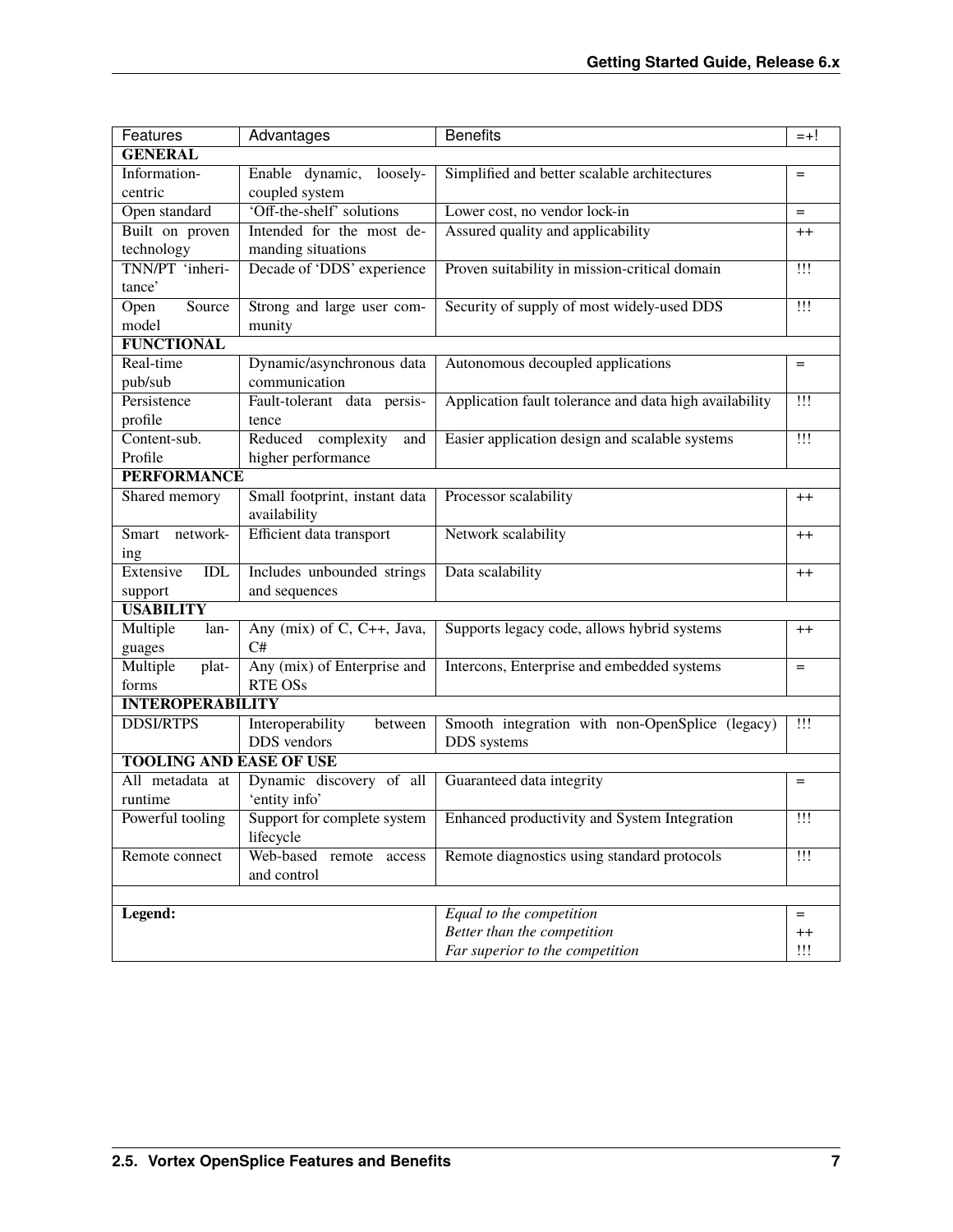| Features                       | Advantages                                    | <b>Benefits</b>                                        | $= +!$                           |  |  |
|--------------------------------|-----------------------------------------------|--------------------------------------------------------|----------------------------------|--|--|
| <b>GENERAL</b>                 |                                               |                                                        |                                  |  |  |
| Information-                   | Enable dynamic, loosely-                      | Simplified and better scalable architectures           | $=$                              |  |  |
| centric                        | coupled system                                |                                                        |                                  |  |  |
| Open standard                  | 'Off-the-shelf' solutions                     | Lower cost, no vendor lock-in                          | $=$                              |  |  |
| Built on proven                | Intended for the most de-                     | Assured quality and applicability                      | $++$                             |  |  |
| technology                     | manding situations                            |                                                        |                                  |  |  |
| TNN/PT 'inheri-<br>tance'      | Decade of 'DDS' experience                    | Proven suitability in mission-critical domain          | $\mathbf{1}\mathbf{1}\mathbf{1}$ |  |  |
| Source<br>Open                 | Strong and large user com-                    | Security of supply of most widely-used DDS             | $\overline{1!1}$                 |  |  |
| model                          | munity                                        |                                                        |                                  |  |  |
| <b>FUNCTIONAL</b>              |                                               |                                                        |                                  |  |  |
| Real-time                      | Dynamic/asynchronous data                     | Autonomous decoupled applications                      | $=$                              |  |  |
| pub/sub                        | communication                                 |                                                        |                                  |  |  |
| Persistence                    | Fault-tolerant data persis-                   | Application fault tolerance and data high availability | $\overline{111}$                 |  |  |
| profile                        | tence                                         |                                                        |                                  |  |  |
| Content-sub.                   | Reduced complexity<br>and                     | Easier application design and scalable systems         | $\mathbf{1}\mathbf{1}$           |  |  |
| Profile                        | higher performance                            |                                                        |                                  |  |  |
| <b>PERFORMANCE</b>             |                                               |                                                        |                                  |  |  |
| Shared memory                  | Small footprint, instant data<br>availability | Processor scalability                                  | $^{++}$                          |  |  |
| Smart<br>network-              | Efficient data transport                      | Network scalability                                    | $^{++}$                          |  |  |
| ing                            |                                               |                                                        |                                  |  |  |
| Extensive<br>IDL               | Includes unbounded strings                    | Data scalability                                       | $^{++}$                          |  |  |
| support                        | and sequences                                 |                                                        |                                  |  |  |
| <b>USABILITY</b>               |                                               |                                                        |                                  |  |  |
| Multiple<br>lan-               | Any (mix) of C, C++, Java,                    | Supports legacy code, allows hybrid systems            | $^{++}$                          |  |  |
| guages                         | C#                                            |                                                        |                                  |  |  |
| Multiple<br>plat-              | Any (mix) of Enterprise and                   | Intercons, Enterprise and embedded systems             | $=$                              |  |  |
| forms                          | <b>RTE OSs</b>                                |                                                        |                                  |  |  |
| <b>INTEROPERABILITY</b>        |                                               |                                                        |                                  |  |  |
| <b>DDSI/RTPS</b>               | Interoperability<br>between                   | Smooth integration with non-OpenSplice (legacy)        | $\mathbf{1}\mathbf{1}\mathbf{1}$ |  |  |
|                                | DDS vendors                                   | DDS systems                                            |                                  |  |  |
| <b>TOOLING AND EASE OF USE</b> |                                               |                                                        |                                  |  |  |
| All metadata at                | Dynamic discovery of all                      | Guaranteed data integrity                              | $=$                              |  |  |
| runtime                        | 'entity info'                                 |                                                        |                                  |  |  |
| Powerful tooling               | Support for complete system<br>lifecycle      | Enhanced productivity and System Integration           | $^{\prime\prime\prime}$          |  |  |
| Remote connect                 | Web-based remote access                       | Remote diagnostics using standard protocols            | $\mathbf{1}\mathbf{1}\mathbf{1}$ |  |  |
|                                | and control                                   |                                                        |                                  |  |  |
|                                |                                               |                                                        |                                  |  |  |
| Legend:                        |                                               | Equal to the competition                               | $=$                              |  |  |
|                                |                                               | Better than the competition                            | $^{++}$                          |  |  |
|                                |                                               | Far superior to the competition                        | !!!                              |  |  |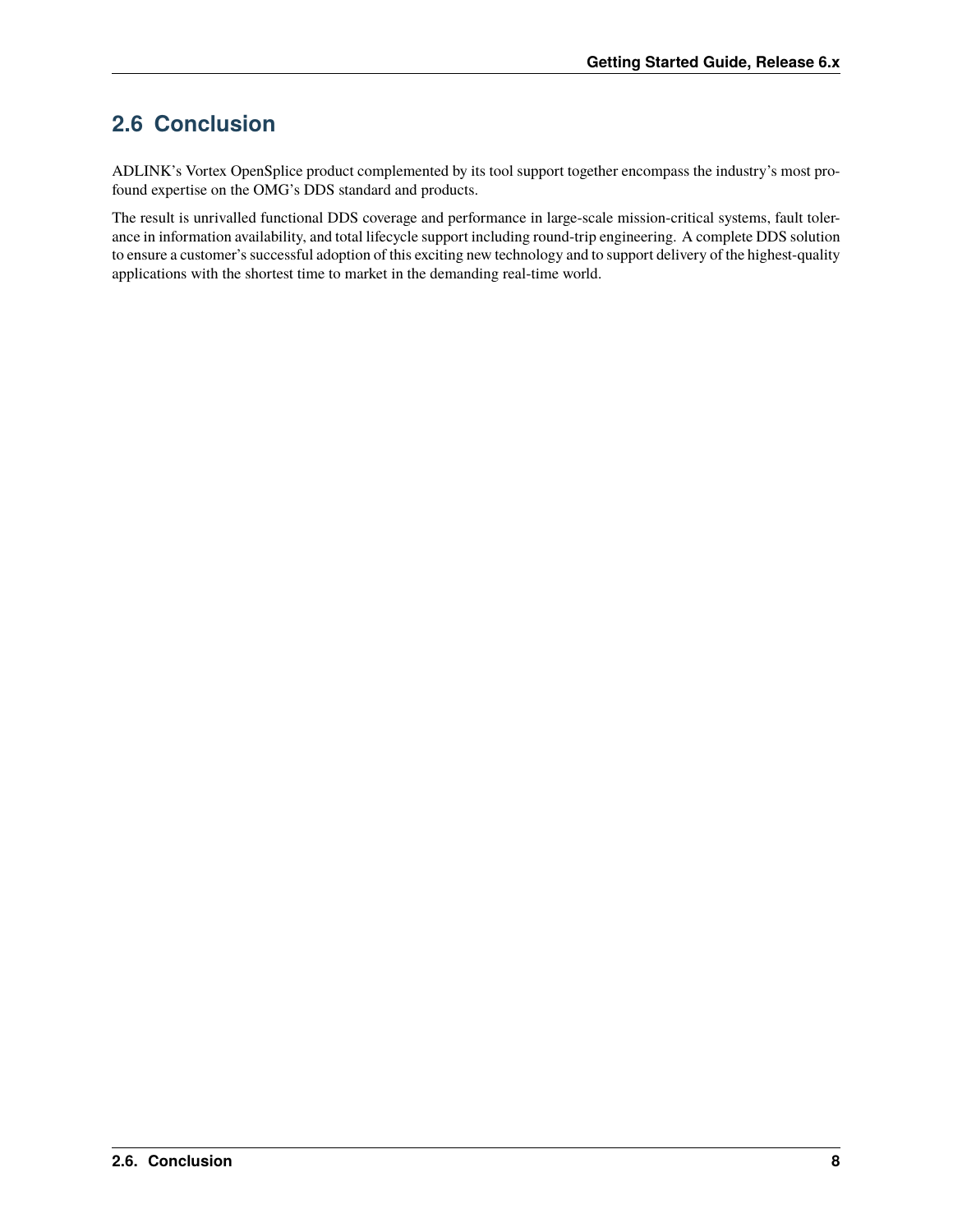# <span id="page-11-0"></span>**2.6 Conclusion**

ADLINK's Vortex OpenSplice product complemented by its tool support together encompass the industry's most profound expertise on the OMG's DDS standard and products.

The result is unrivalled functional DDS coverage and performance in large-scale mission-critical systems, fault tolerance in information availability, and total lifecycle support including round-trip engineering. A complete DDS solution to ensure a customer's successful adoption of this exciting new technology and to support delivery of the highest-quality applications with the shortest time to market in the demanding real-time world.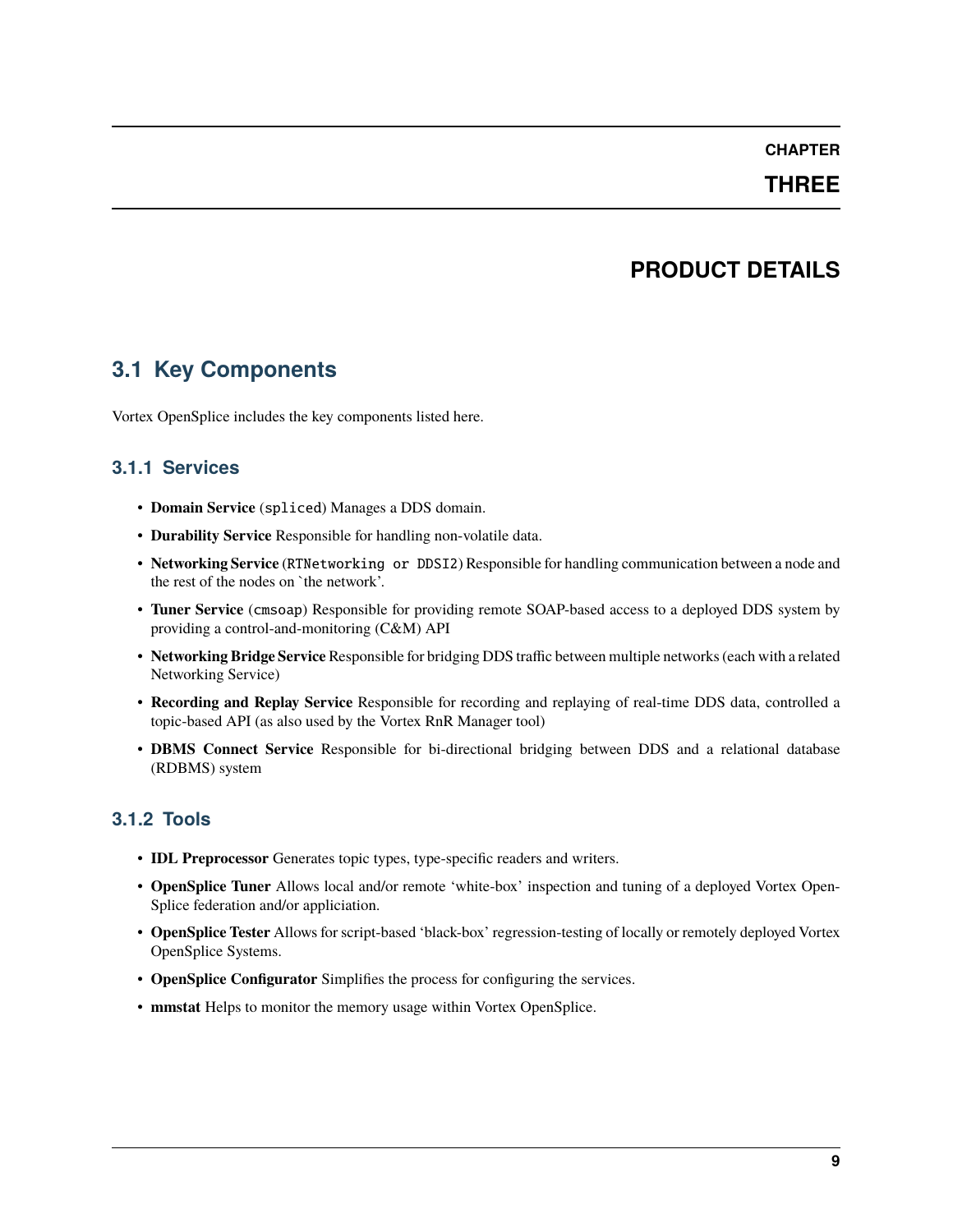#### **THREE**

### **PRODUCT DETAILS**

### <span id="page-12-1"></span><span id="page-12-0"></span>**3.1 Key Components**

Vortex OpenSplice includes the key components listed here.

#### **3.1.1 Services**

- **Domain Service** (spliced) Manages a DDS domain.
- **Durability Service** Responsible for handling non-volatile data.
- **Networking Service** (RTNetworking or DDSI2) Responsible for handling communication between a node and the rest of the nodes on `the network'.
- **Tuner Service** (cmsoap) Responsible for providing remote SOAP-based access to a deployed DDS system by providing a control-and-monitoring (C&M) API
- **Networking Bridge Service** Responsible for bridging DDS traffic between multiple networks (each with a related Networking Service)
- **Recording and Replay Service** Responsible for recording and replaying of real-time DDS data, controlled a topic-based API (as also used by the Vortex RnR Manager tool)
- **DBMS Connect Service** Responsible for bi-directional bridging between DDS and a relational database (RDBMS) system

#### **3.1.2 Tools**

- **IDL Preprocessor** Generates topic types, type-specific readers and writers.
- **OpenSplice Tuner** Allows local and/or remote 'white-box' inspection and tuning of a deployed Vortex Open-Splice federation and/or appliciation.
- **OpenSplice Tester** Allows for script-based 'black-box' regression-testing of locally or remotely deployed Vortex OpenSplice Systems.
- **OpenSplice Configurator** Simplifies the process for configuring the services.
- **mmstat** Helps to monitor the memory usage within Vortex OpenSplice.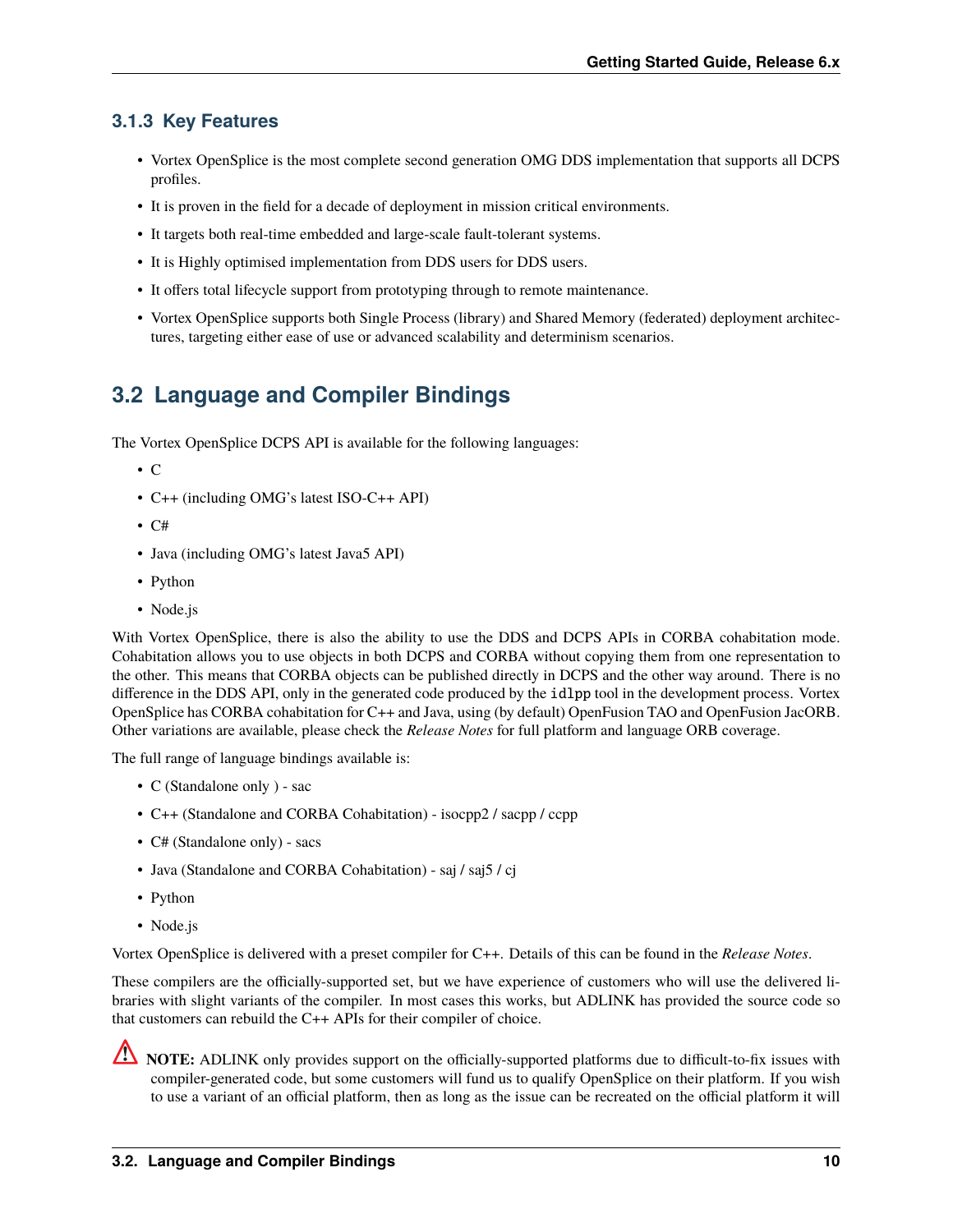#### **3.1.3 Key Features**

- Vortex OpenSplice is the most complete second generation OMG DDS implementation that supports all DCPS profiles.
- It is proven in the field for a decade of deployment in mission critical environments.
- It targets both real-time embedded and large-scale fault-tolerant systems.
- It is Highly optimised implementation from DDS users for DDS users.
- It offers total lifecycle support from prototyping through to remote maintenance.
- Vortex OpenSplice supports both Single Process (library) and Shared Memory (federated) deployment architectures, targeting either ease of use or advanced scalability and determinism scenarios.

# <span id="page-13-0"></span>**3.2 Language and Compiler Bindings**

The Vortex OpenSplice DCPS API is available for the following languages:

- C
- C++ (including OMG's latest ISO-C++ API)
- $\cdot$  C#
- Java (including OMG's latest Java5 API)
- Python
- Node.js

With Vortex OpenSplice, there is also the ability to use the DDS and DCPS APIs in CORBA cohabitation mode. Cohabitation allows you to use objects in both DCPS and CORBA without copying them from one representation to the other. This means that CORBA objects can be published directly in DCPS and the other way around. There is no difference in the DDS API, only in the generated code produced by the idlpp tool in the development process. Vortex OpenSplice has CORBA cohabitation for C++ and Java, using (by default) OpenFusion TAO and OpenFusion JacORB. Other variations are available, please check the *Release Notes* for full platform and language ORB coverage.

The full range of language bindings available is:

- C (Standalone only ) sac
- C++ (Standalone and CORBA Cohabitation) isocpp2 / sacpp / ccpp
- C# (Standalone only) sacs
- Java (Standalone and CORBA Cohabitation) saj / saj5 / cj
- Python
- Node.js

Vortex OpenSplice is delivered with a preset compiler for C++. Details of this can be found in the *Release Notes*.

These compilers are the officially-supported set, but we have experience of customers who will use the delivered libraries with slight variants of the compiler. In most cases this works, but ADLINK has provided the source code so that customers can rebuild the C++ APIs for their compiler of choice.

**NOTE:** ADLINK only provides support on the officially-supported platforms due to difficult-to-fix issues with compiler-generated code, but some customers will fund us to qualify OpenSplice on their platform. If you wish to use a variant of an official platform, then as long as the issue can be recreated on the official platform it will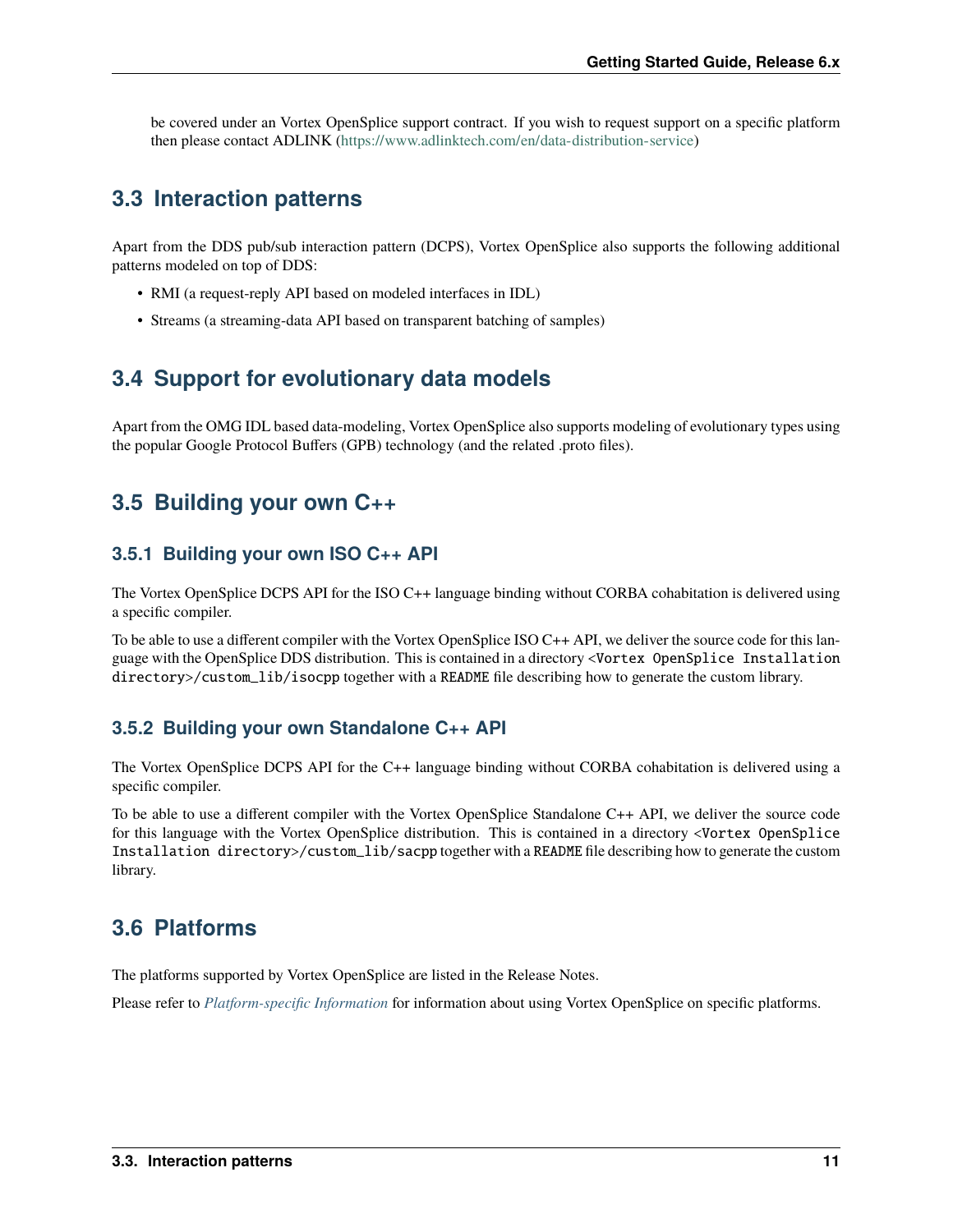be covered under an Vortex OpenSplice support contract. If you wish to request support on a specific platform then please contact ADLINK [\(https://www.adlinktech.com/en/data-distribution-service\)](https://www.adlinktech.com/en/data-distribution-service)

### <span id="page-14-0"></span>**3.3 Interaction patterns**

Apart from the DDS pub/sub interaction pattern (DCPS), Vortex OpenSplice also supports the following additional patterns modeled on top of DDS:

- RMI (a request-reply API based on modeled interfaces in IDL)
- Streams (a streaming-data API based on transparent batching of samples)

# <span id="page-14-1"></span>**3.4 Support for evolutionary data models**

Apart from the OMG IDL based data-modeling, Vortex OpenSplice also supports modeling of evolutionary types using the popular Google Protocol Buffers (GPB) technology (and the related .proto files).

### <span id="page-14-2"></span>**3.5 Building your own C++**

#### **3.5.1 Building your own ISO C++ API**

The Vortex OpenSplice DCPS API for the ISO C++ language binding without CORBA cohabitation is delivered using a specific compiler.

To be able to use a different compiler with the Vortex OpenSplice ISO C++ API, we deliver the source code for this language with the OpenSplice DDS distribution. This is contained in a directory <Vortex OpenSplice Installation directory>/custom\_lib/isocpp together with a README file describing how to generate the custom library.

#### **3.5.2 Building your own Standalone C++ API**

The Vortex OpenSplice DCPS API for the C++ language binding without CORBA cohabitation is delivered using a specific compiler.

To be able to use a different compiler with the Vortex OpenSplice Standalone C++ API, we deliver the source code for this language with the Vortex OpenSplice distribution. This is contained in a directory <Vortex OpenSplice Installation directory>/custom\_lib/sacpp together with a README file describing how to generate the custom library.

### <span id="page-14-3"></span>**3.6 Platforms**

The platforms supported by Vortex OpenSplice are listed in the Release Notes.

Please refer to *[Platform-specific Information](#page-32-0)* for information about using Vortex OpenSplice on specific platforms.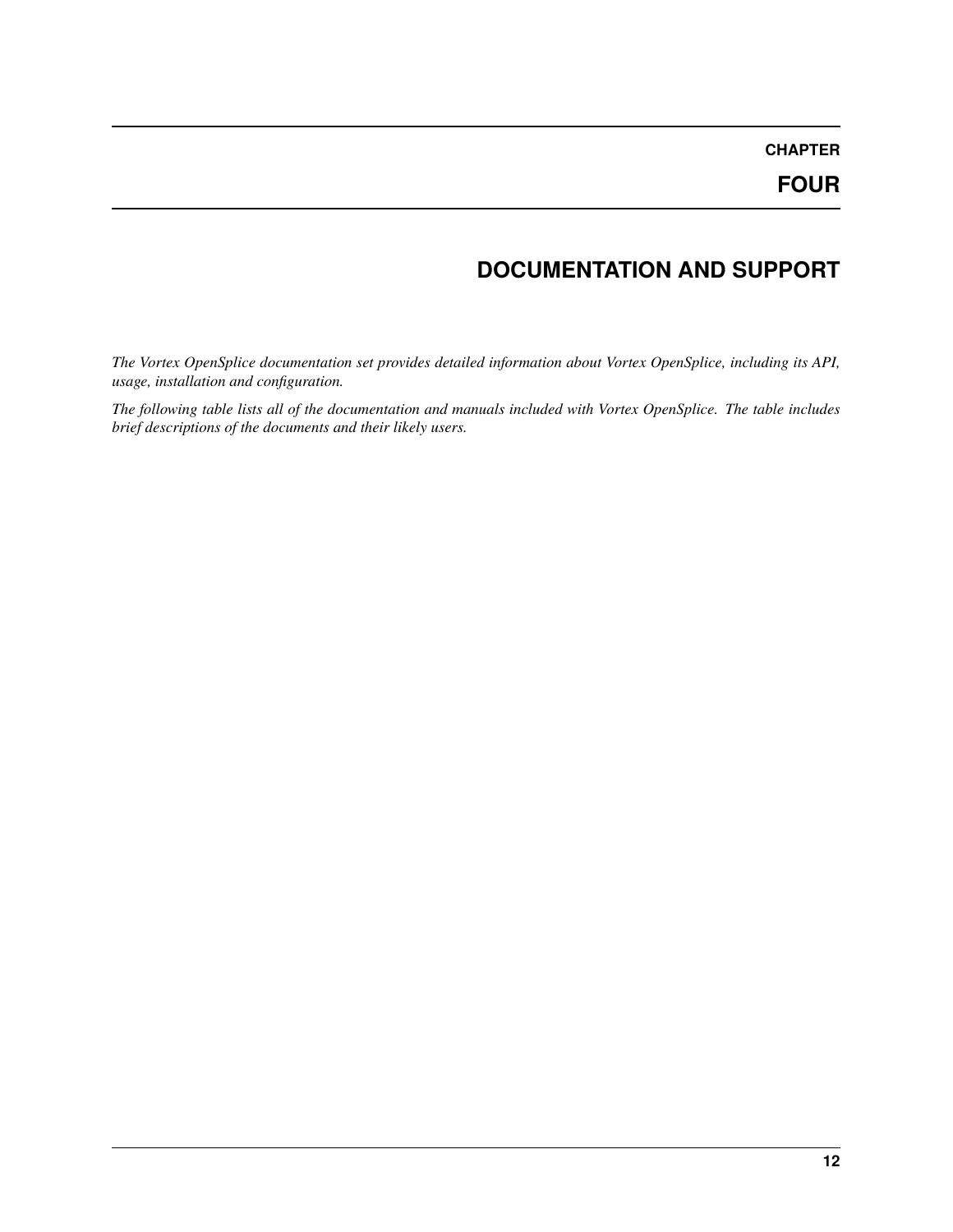# **DOCUMENTATION AND SUPPORT**

<span id="page-15-0"></span>*The Vortex OpenSplice documentation set provides detailed information about Vortex OpenSplice, including its API, usage, installation and configuration.*

*The following table lists all of the documentation and manuals included with Vortex OpenSplice. The table includes brief descriptions of the documents and their likely users.*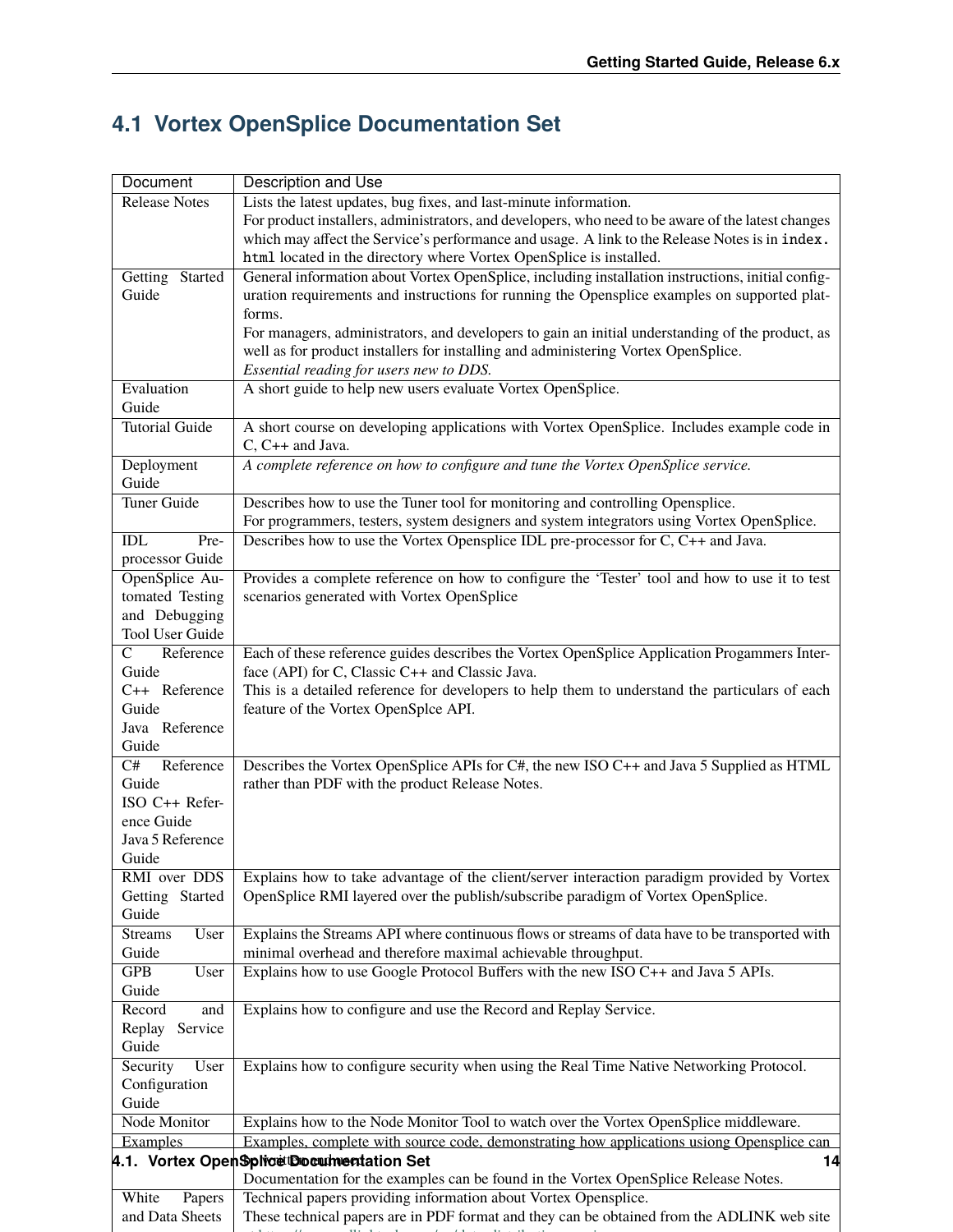# **4.1 Vortex OpenSplice Documentation Set**

| <b>Document</b>                   | Description and Use                                                                                |  |  |
|-----------------------------------|----------------------------------------------------------------------------------------------------|--|--|
| <b>Release Notes</b>              | Lists the latest updates, bug fixes, and last-minute information.                                  |  |  |
|                                   | For product installers, administrators, and developers, who need to be aware of the latest changes |  |  |
|                                   | which may affect the Service's performance and usage. A link to the Release Notes is in index.     |  |  |
|                                   | html located in the directory where Vortex OpenSplice is installed.                                |  |  |
| Getting Started                   | General information about Vortex OpenSplice, including installation instructions, initial config-  |  |  |
| Guide                             | uration requirements and instructions for running the Opensplice examples on supported plat-       |  |  |
|                                   | forms.                                                                                             |  |  |
|                                   | For managers, administrators, and developers to gain an initial understanding of the product, as   |  |  |
|                                   | well as for product installers for installing and administering Vortex OpenSplice.                 |  |  |
|                                   | Essential reading for users new to DDS.                                                            |  |  |
| Evaluation                        | A short guide to help new users evaluate Vortex OpenSplice.                                        |  |  |
| Guide                             |                                                                                                    |  |  |
| <b>Tutorial Guide</b>             | A short course on developing applications with Vortex OpenSplice. Includes example code in         |  |  |
|                                   | C, C++ and Java.                                                                                   |  |  |
| Deployment                        | A complete reference on how to configure and tune the Vortex OpenSplice service.                   |  |  |
| Guide                             |                                                                                                    |  |  |
| <b>Tuner Guide</b>                | Describes how to use the Tuner tool for monitoring and controlling Opensplice.                     |  |  |
|                                   | For programmers, testers, system designers and system integrators using Vortex OpenSplice.         |  |  |
| $\mathbf{IDL}$<br>Pre-            | Describes how to use the Vortex Opensplice IDL pre-processor for C, C++ and Java.                  |  |  |
| processor Guide<br>OpenSplice Au- | Provides a complete reference on how to configure the 'Tester' tool and how to use it to test      |  |  |
| tomated Testing                   | scenarios generated with Vortex OpenSplice                                                         |  |  |
| and Debugging                     |                                                                                                    |  |  |
| Tool User Guide                   |                                                                                                    |  |  |
| $\overline{C}$<br>Reference       | Each of these reference guides describes the Vortex OpenSplice Application Progammers Inter-       |  |  |
| Guide                             | face (API) for C, Classic C++ and Classic Java.                                                    |  |  |
| C++ Reference                     | This is a detailed reference for developers to help them to understand the particulars of each     |  |  |
| Guide                             | feature of the Vortex OpenSplce API.                                                               |  |  |
| Java Reference                    |                                                                                                    |  |  |
| Guide                             |                                                                                                    |  |  |
| C#<br>Reference                   | Describes the Vortex OpenSplice APIs for C#, the new ISO C++ and Java 5 Supplied as HTML           |  |  |
| Guide                             | rather than PDF with the product Release Notes.                                                    |  |  |
| ISO C++ Refer-                    |                                                                                                    |  |  |
| ence Guide                        |                                                                                                    |  |  |
| Java 5 Reference                  |                                                                                                    |  |  |
| Guide                             |                                                                                                    |  |  |
| RMI over DDS                      | Explains how to take advantage of the client/server interaction paradigm provided by Vortex        |  |  |
| Getting Started                   | OpenSplice RMI layered over the publish/subscribe paradigm of Vortex OpenSplice.                   |  |  |
| Guide                             |                                                                                                    |  |  |
| <b>Streams</b><br>User            | Explains the Streams API where continuous flows or streams of data have to be transported with     |  |  |
| Guide                             | minimal overhead and therefore maximal achievable throughput.                                      |  |  |
| <b>GPB</b><br>User                | Explains how to use Google Protocol Buffers with the new ISO C++ and Java 5 APIs.                  |  |  |
| Guide                             |                                                                                                    |  |  |
| Record<br>and                     | Explains how to configure and use the Record and Replay Service.                                   |  |  |
| Replay<br>Service<br>Guide        |                                                                                                    |  |  |
| User<br>Security                  | Explains how to configure security when using the Real Time Native Networking Protocol.            |  |  |
| Configuration                     |                                                                                                    |  |  |
| Guide                             |                                                                                                    |  |  |
| Node Monitor                      | Explains how to the Node Monitor Tool to watch over the Vortex OpenSplice middleware.              |  |  |
| Examples                          | Examples, complete with source code, demonstrating how applications usiong Opensplice can          |  |  |
|                                   | 4.1. Vortex Open Splice Documentation Set<br>14                                                    |  |  |
|                                   | Documentation for the examples can be found in the Vortex OpenSplice Release Notes.                |  |  |
| White<br>Papers                   | Technical papers providing information about Vortex Opensplice.                                    |  |  |
| and Data Sheets                   | These technical papers are in PDF format and they can be obtained from the ADLINK web site         |  |  |
|                                   |                                                                                                    |  |  |

at <https://www.adlinktech.com/en/data-distribution-service>s-distribution-services-distribution-services-distribution-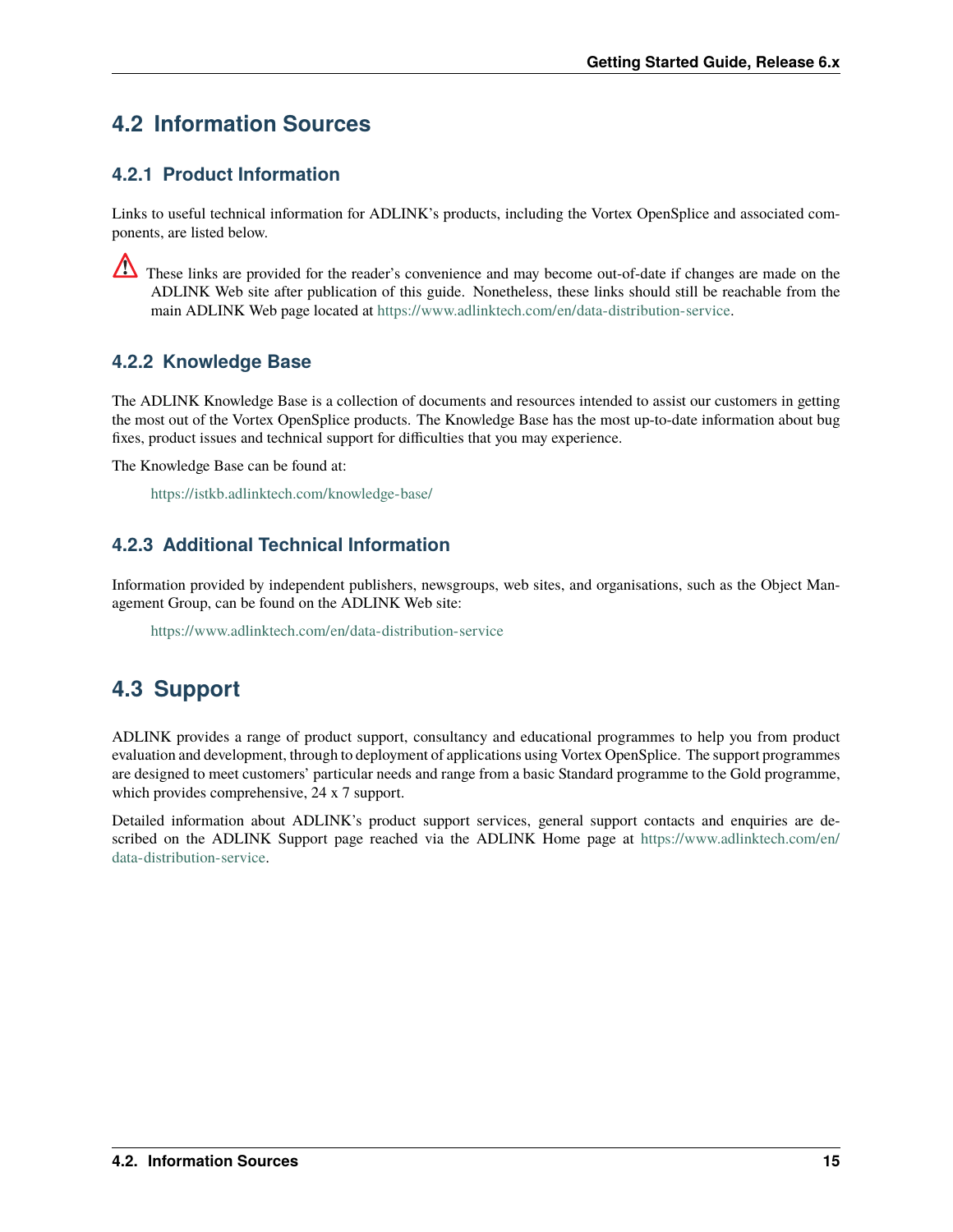# <span id="page-18-0"></span>**4.2 Information Sources**

#### **4.2.1 Product Information**

Links to useful technical information for ADLINK's products, including the Vortex OpenSplice and associated components, are listed below.

These links are provided for the reader's convenience and may become out-of-date if changes are made on the ADLINK Web site after publication of this guide. Nonetheless, these links should still be reachable from the main ADLINK Web page located at [https://www.adlinktech.com/en/data-distribution-service.](https://www.adlinktech.com/en/data-distribution-service)

#### **4.2.2 Knowledge Base**

The ADLINK Knowledge Base is a collection of documents and resources intended to assist our customers in getting the most out of the Vortex OpenSplice products. The Knowledge Base has the most up-to-date information about bug fixes, product issues and technical support for difficulties that you may experience.

The Knowledge Base can be found at:

<https://istkb.adlinktech.com/knowledge-base/>

#### **4.2.3 Additional Technical Information**

Information provided by independent publishers, newsgroups, web sites, and organisations, such as the Object Management Group, can be found on the ADLINK Web site:

<https://www.adlinktech.com/en/data-distribution-service>

### <span id="page-18-1"></span>**4.3 Support**

ADLINK provides a range of product support, consultancy and educational programmes to help you from product evaluation and development, through to deployment of applications using Vortex OpenSplice. The support programmes are designed to meet customers' particular needs and range from a basic Standard programme to the Gold programme, which provides comprehensive, 24 x 7 support.

Detailed information about ADLINK's product support services, general support contacts and enquiries are described on the ADLINK Support page reached via the ADLINK Home page at [https://www.adlinktech.com/en/](https://www.adlinktech.com/en/data-distribution-service) [data-distribution-service.](https://www.adlinktech.com/en/data-distribution-service)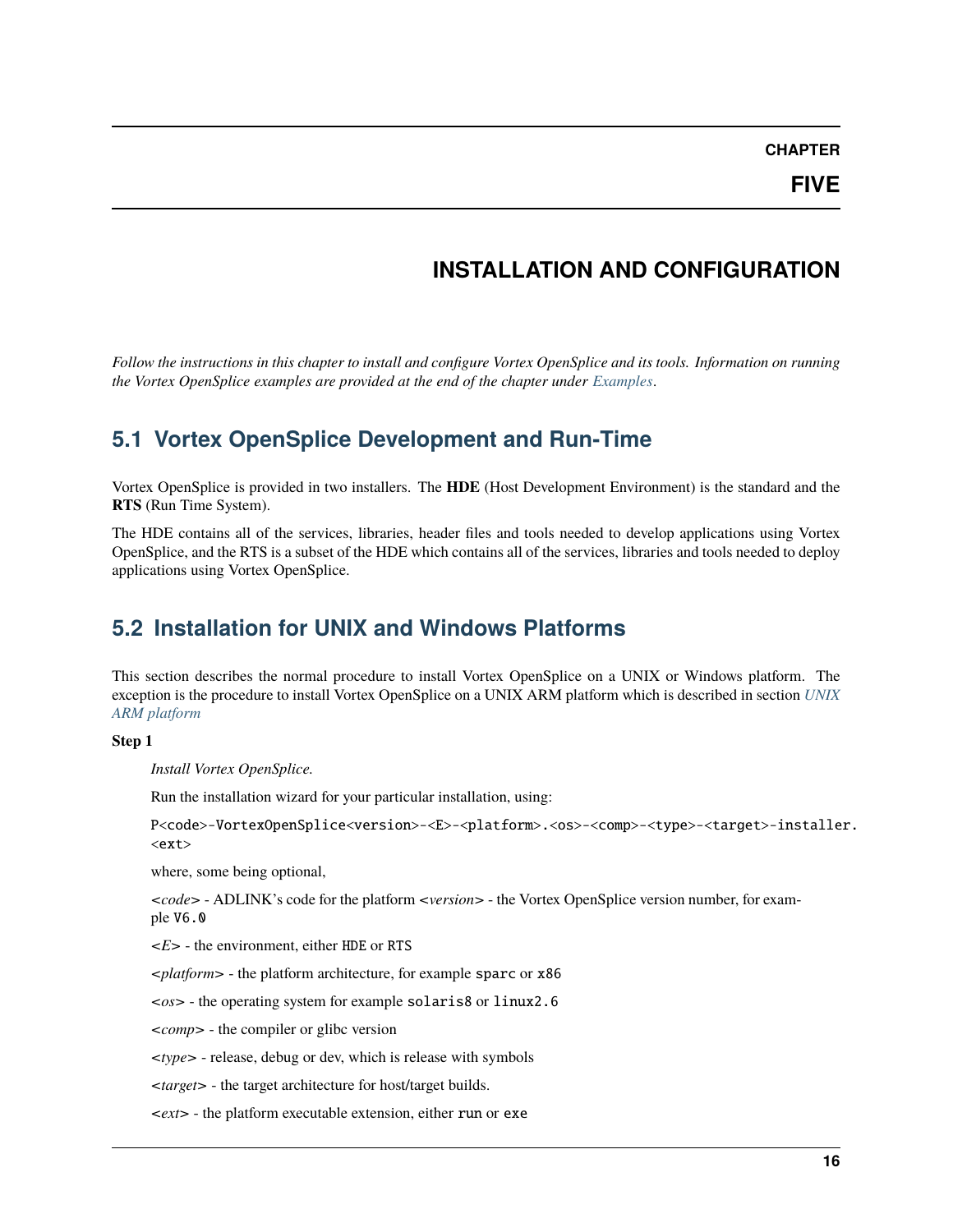# **INSTALLATION AND CONFIGURATION**

<span id="page-19-0"></span>*Follow the instructions in this chapter to install and configure Vortex OpenSplice and its tools. Information on running the Vortex OpenSplice examples are provided at the end of the chapter under [Examples](#page-23-0)*.

### <span id="page-19-1"></span>**5.1 Vortex OpenSplice Development and Run-Time**

Vortex OpenSplice is provided in two installers. The **HDE** (Host Development Environment) is the standard and the **RTS** (Run Time System).

The HDE contains all of the services, libraries, header files and tools needed to develop applications using Vortex OpenSplice, and the RTS is a subset of the HDE which contains all of the services, libraries and tools needed to deploy applications using Vortex OpenSplice.

### <span id="page-19-2"></span>**5.2 Installation for UNIX and Windows Platforms**

This section describes the normal procedure to install Vortex OpenSplice on a UNIX or Windows platform. The exception is the procedure to install Vortex OpenSplice on a UNIX ARM platform which is described in section *[UNIX](#page-73-0) [ARM platform](#page-73-0)*

#### **Step 1**

*Install Vortex OpenSplice.*

Run the installation wizard for your particular installation, using:

P<code>-VortexOpenSplice<version>-<E>-<platform>.<os>-<comp>-<type>-<target>-installer. <ext>

where, some being optional,

*<code>* - ADLINK's code for the platform *<version>* - the Vortex OpenSplice version number, for example V6.0

*<E>* - the environment, either HDE or RTS

*<platform>* - the platform architecture, for example sparc or x86

*<os>* - the operating system for example solaris8 or linux2.6

*<comp>* - the compiler or glibc version

*<type>* - release, debug or dev, which is release with symbols

*<target>* - the target architecture for host/target builds.

*<ext>* - the platform executable extension, either run or exe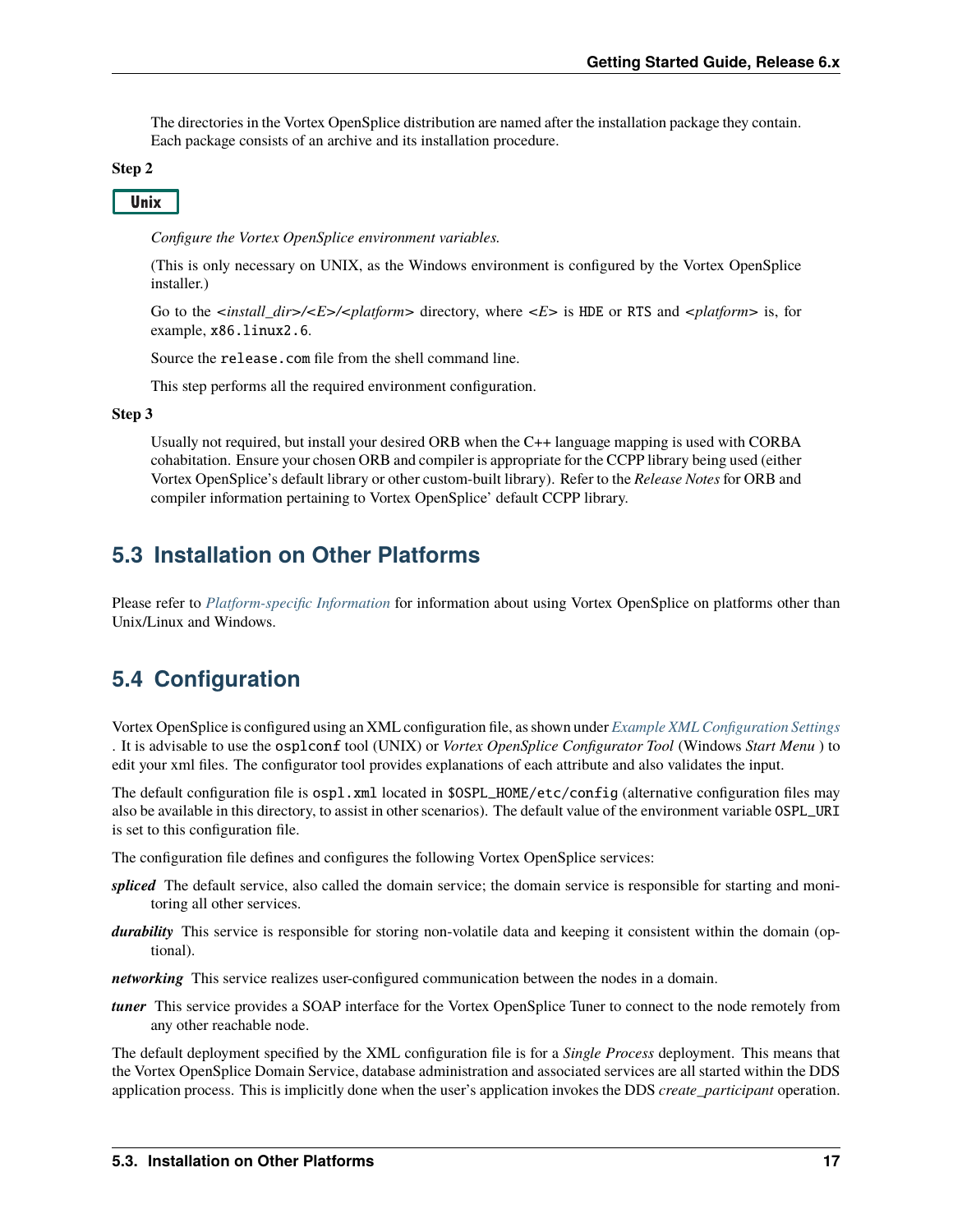The directories in the Vortex OpenSplice distribution are named after the installation package they contain. Each package consists of an archive and its installation procedure.

#### **Step 2**

**Unix** 

*Configure the Vortex OpenSplice environment variables.*

(This is only necessary on UNIX, as the Windows environment is configured by the Vortex OpenSplice installer.)

Go to the *<install dir>/<E>/<platform>* directory, where *<E>* is HDE or RTS and *<platform>* is, for example, x86.linux2.6.

Source the release.com file from the shell command line.

This step performs all the required environment configuration.

#### **Step 3**

Usually not required, but install your desired ORB when the C++ language mapping is used with CORBA cohabitation. Ensure your chosen ORB and compiler is appropriate for the CCPP library being used (either Vortex OpenSplice's default library or other custom-built library). Refer to the *Release Notes* for ORB and compiler information pertaining to Vortex OpenSplice' default CCPP library.

#### <span id="page-20-0"></span>**5.3 Installation on Other Platforms**

Please refer to *[Platform-specific Information](#page-32-0)* for information about using Vortex OpenSplice on platforms other than Unix/Linux and Windows.

### <span id="page-20-1"></span>**5.4 Configuration**

Vortex OpenSplice is configured using an XML configuration file, as shown under *[Example XML Configuration Settings](#page-21-0)* . It is advisable to use the osplconf tool (UNIX) or *Vortex OpenSplice Configurator Tool* (Windows *Start Menu* ) to edit your xml files. The configurator tool provides explanations of each attribute and also validates the input.

The default configuration file is ospl.xml located in \$OSPL\_HOME/etc/config (alternative configuration files may also be available in this directory, to assist in other scenarios). The default value of the environment variable OSPL\_URI is set to this configuration file.

The configuration file defines and configures the following Vortex OpenSplice services:

- *spliced* The default service, also called the domain service; the domain service is responsible for starting and monitoring all other services.
- *durability* This service is responsible for storing non-volatile data and keeping it consistent within the domain (optional).
- *networking* This service realizes user-configured communication between the nodes in a domain.
- *tuner* This service provides a SOAP interface for the Vortex OpenSplice Tuner to connect to the node remotely from any other reachable node.

The default deployment specified by the XML configuration file is for a *Single Process* deployment. This means that the Vortex OpenSplice Domain Service, database administration and associated services are all started within the DDS application process. This is implicitly done when the user's application invokes the DDS *create\_participant* operation.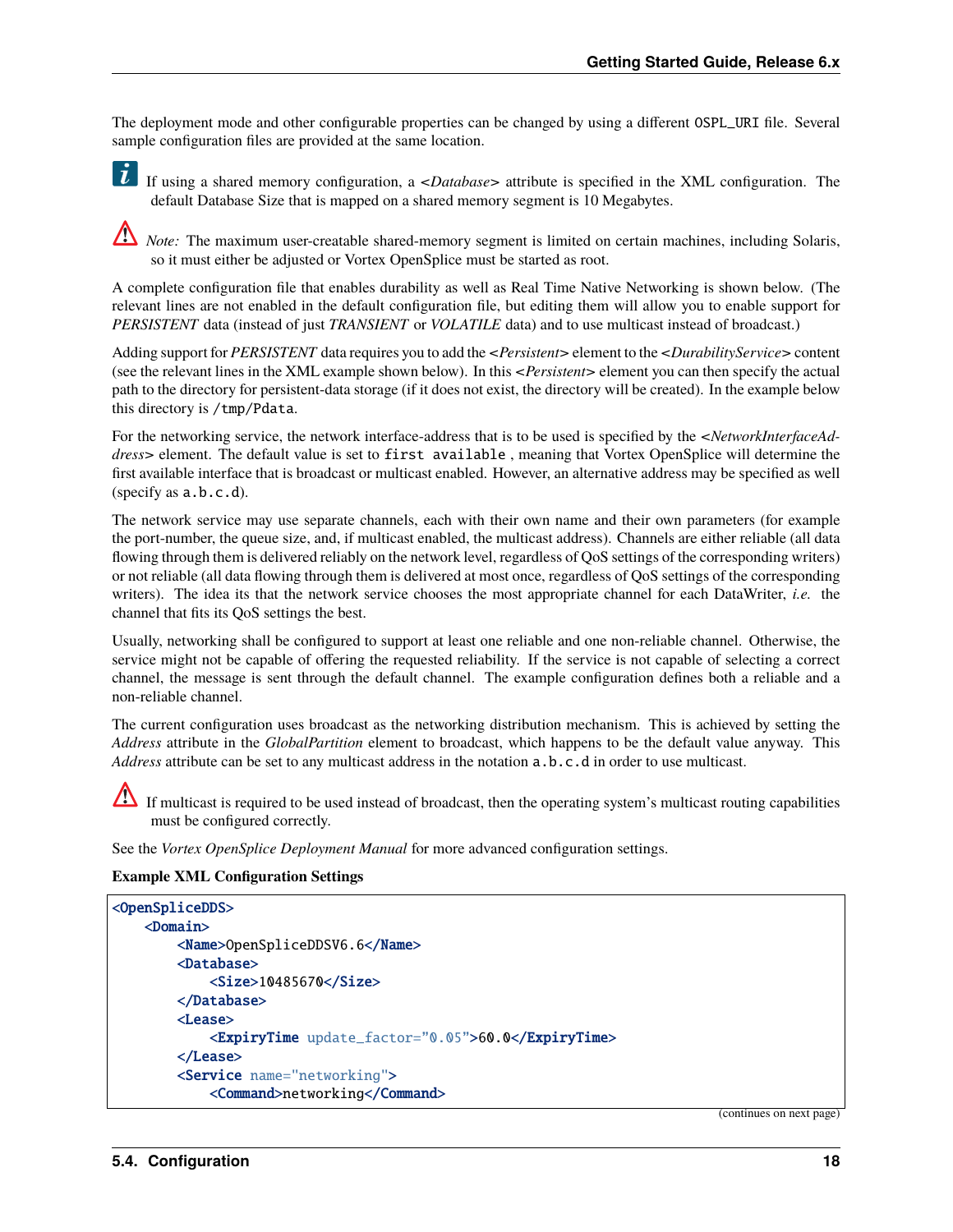The deployment mode and other configurable properties can be changed by using a different OSPL\_URI file. Several sample configuration files are provided at the same location.

If using a shared memory configuration, a *<Database>* attribute is specified in the XML configuration. The default Database Size that is mapped on a shared memory segment is 10 Megabytes.

*Note:* The maximum user-creatable shared-memory segment is limited on certain machines, including Solaris, so it must either be adjusted or Vortex OpenSplice must be started as root.

A complete configuration file that enables durability as well as Real Time Native Networking is shown below. (The relevant lines are not enabled in the default configuration file, but editing them will allow you to enable support for *PERSISTENT* data (instead of just *TRANSIENT* or *VOLATILE* data) and to use multicast instead of broadcast.)

Adding support for *PERSISTENT* data requires you to add the *<Persistent>* element to the *<DurabilityService>* content (see the relevant lines in the XML example shown below). In this *<Persistent>* element you can then specify the actual path to the directory for persistent-data storage (if it does not exist, the directory will be created). In the example below this directory is /tmp/Pdata.

For the networking service, the network interface-address that is to be used is specified by the *<NetworkInterfaceAddress>* element. The default value is set to first available , meaning that Vortex OpenSplice will determine the first available interface that is broadcast or multicast enabled. However, an alternative address may be specified as well (specify as a.b.c.d).

The network service may use separate channels, each with their own name and their own parameters (for example the port-number, the queue size, and, if multicast enabled, the multicast address). Channels are either reliable (all data flowing through them is delivered reliably on the network level, regardless of QoS settings of the corresponding writers) or not reliable (all data flowing through them is delivered at most once, regardless of QoS settings of the corresponding writers). The idea its that the network service chooses the most appropriate channel for each DataWriter, *i.e.* the channel that fits its QoS settings the best.

Usually, networking shall be configured to support at least one reliable and one non-reliable channel. Otherwise, the service might not be capable of offering the requested reliability. If the service is not capable of selecting a correct channel, the message is sent through the default channel. The example configuration defines both a reliable and a non-reliable channel.

The current configuration uses broadcast as the networking distribution mechanism. This is achieved by setting the *Address* attribute in the *GlobalPartition* element to broadcast, which happens to be the default value anyway. This *Address* attribute can be set to any multicast address in the notation a.b.c.d in order to use multicast.

If multicast is required to be used instead of broadcast, then the operating system's multicast routing capabilities must be configured correctly.

See the *Vortex OpenSplice Deployment Manual* for more advanced configuration settings.

#### <span id="page-21-0"></span>**Example XML Configuration Settings**

```
<OpenSpliceDDS>
    <Domain>
        <Name>OpenSpliceDDSV6.6</Name>
        <Database>
            <Size>10485670</Size>
        </Database>
        <Lease>
            <ExpiryTime update_factor="0.05">60.0</ExpiryTime>
        </Lease>
        <Service name="networking">
            <Command>networking</Command>
```
(continues on next page)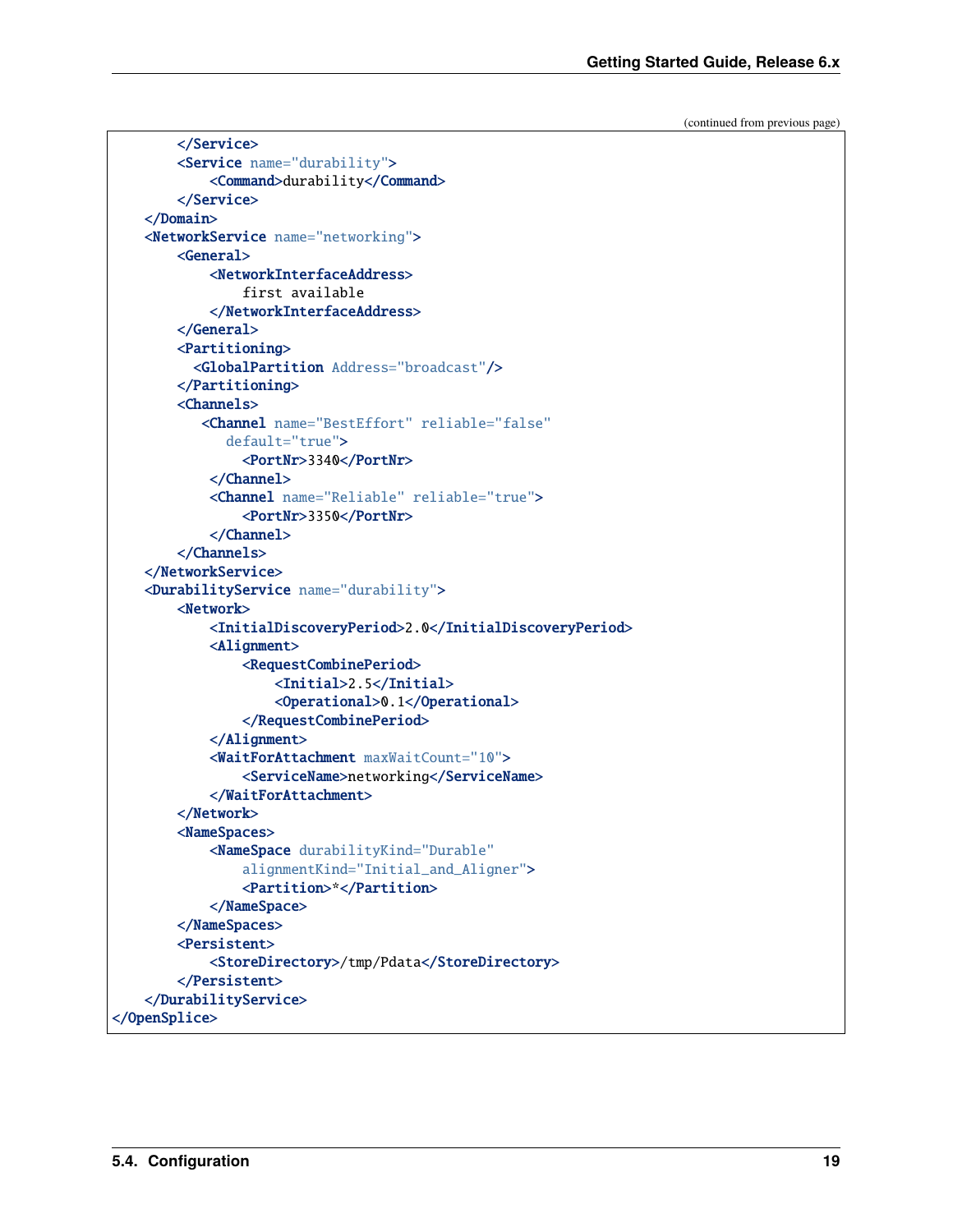(continued from previous page)

```
</Service>
        <Service name="durability">
            <Command>durability</Command>
        </Service>
   </Domain>
   <NetworkService name="networking">
        <General>
            <NetworkInterfaceAddress>
                first available
            </NetworkInterfaceAddress>
        </General>
        <Partitioning>
          <GlobalPartition Address="broadcast"/>
        </Partitioning>
        <Channels>
           <Channel name="BestEffort" reliable="false"
              default="true">
                <PortNr>3340</PortNr>
            </Channel>
            <Channel name="Reliable" reliable="true">
                <PortNr>3350</PortNr>
            </Channel>
        </Channels>
   </NetworkService>
   <DurabilityService name="durability">
        <Network>
            <InitialDiscoveryPeriod>2.0</InitialDiscoveryPeriod>
            <Alignment>
                <RequestCombinePeriod>
                    <Initial>2.5</Initial>
                    <Operational>0.1</Operational>
                </RequestCombinePeriod>
            </Alignment>
            <WaitForAttachment maxWaitCount="10">
                <ServiceName>networking</ServiceName>
            </WaitForAttachment>
        </Network>
        <NameSpaces>
            <NameSpace durabilityKind="Durable"
                alignmentKind="Initial_and_Aligner">
                <Partition>*</Partition>
            </NameSpace>
        </NameSpaces>
        <Persistent>
            <StoreDirectory>/tmp/Pdata</StoreDirectory>
        </Persistent>
   </DurabilityService>
</OpenSplice>
```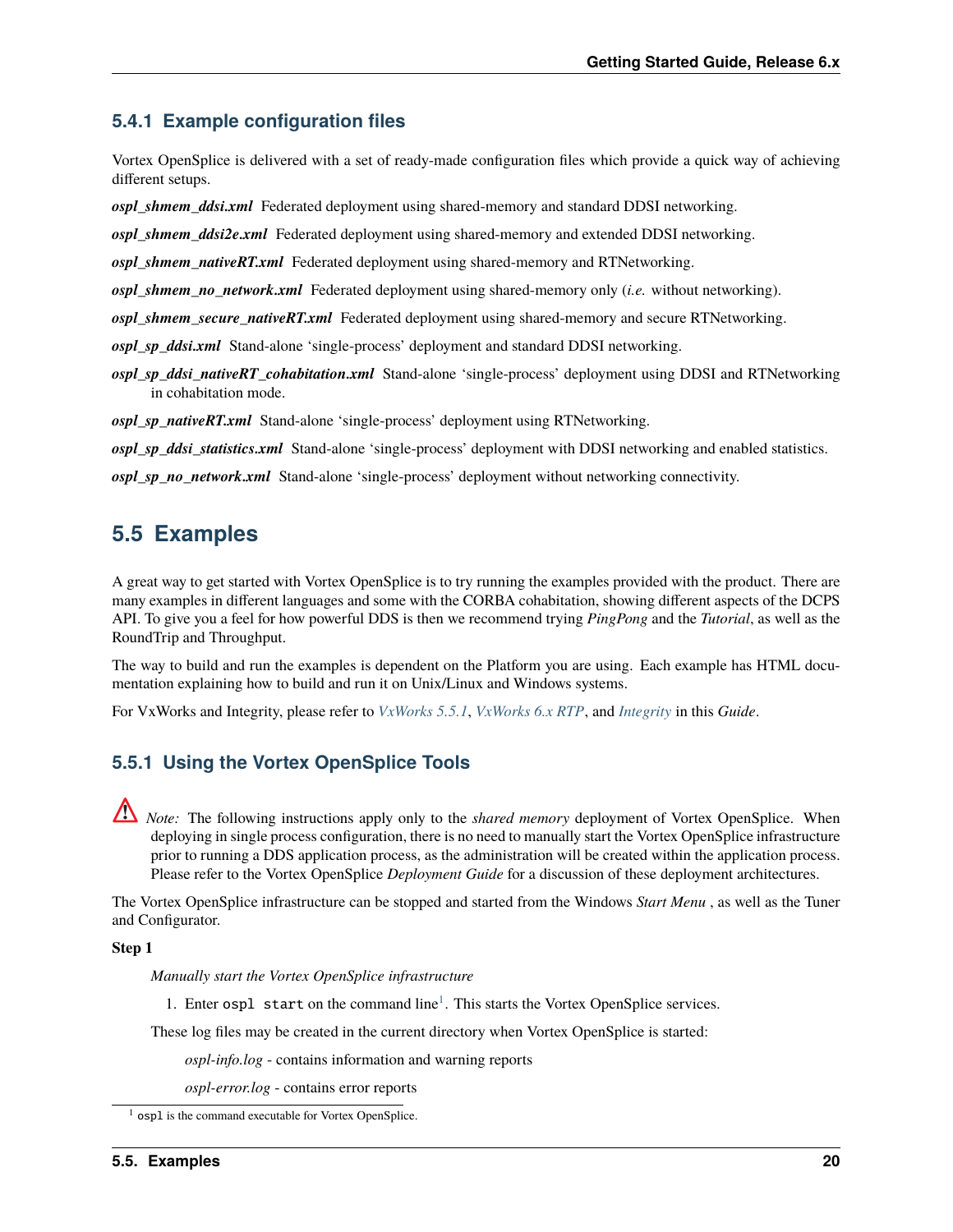#### **5.4.1 Example configuration files**

Vortex OpenSplice is delivered with a set of ready-made configuration files which provide a quick way of achieving different setups.

*ospl\_shmem\_ddsi.xml* Federated deployment using shared-memory and standard DDSI networking.

*ospl\_shmem\_ddsi2e.xml* Federated deployment using shared-memory and extended DDSI networking.

*ospl\_shmem\_nativeRT.xml\_Federated deployment using shared-memory and RTNetworking.* 

*ospl\_shmem\_no\_network.xml* Federated deployment using shared-memory only (*i.e.* without networking).

*ospl\_shmem\_secure\_nativeRT.xml\_Federated deployment using shared-memory and secure RTNetworking.* 

*ospl\_sp\_ddsi.xml* Stand-alone 'single-process' deployment and standard DDSI networking.

*ospl\_sp\_ddsi\_nativeRT\_cohabitation.xml* Stand-alone 'single-process' deployment using DDSI and RTNetworking in cohabitation mode.

*ospl\_sp\_nativeRT.xml* Stand-alone 'single-process' deployment using RTNetworking.

*ospl\_sp\_ddsi\_statistics.xml* Stand-alone 'single-process' deployment with DDSI networking and enabled statistics.

*ospl\_sp\_no\_network.xml* Stand-alone 'single-process' deployment without networking connectivity.

### <span id="page-23-0"></span>**5.5 Examples**

A great way to get started with Vortex OpenSplice is to try running the examples provided with the product. There are many examples in different languages and some with the CORBA cohabitation, showing different aspects of the DCPS API. To give you a feel for how powerful DDS is then we recommend trying *PingPong* and the *Tutorial*, as well as the RoundTrip and Throughput.

The way to build and run the examples is dependent on the Platform you are using. Each example has HTML documentation explaining how to build and run it on Unix/Linux and Windows systems.

For VxWorks and Integrity, please refer to *[VxWorks 5.5.1](#page-33-0)*, *[VxWorks 6.x RTP](#page-40-0)*, and *[Integrity](#page-55-0)* in this *Guide*.

#### **5.5.1 Using the Vortex OpenSplice Tools**

*Note:* The following instructions apply only to the *shared memory* deployment of Vortex OpenSplice. When deploying in single process configuration, there is no need to manually start the Vortex OpenSplice infrastructure prior to running a DDS application process, as the administration will be created within the application process. Please refer to the Vortex OpenSplice *Deployment Guide* for a discussion of these deployment architectures.

The Vortex OpenSplice infrastructure can be stopped and started from the Windows *Start Menu* , as well as the Tuner and Configurator.

#### **Step 1**

*Manually start the Vortex OpenSplice infrastructure*

[1](#page-23-1). Enter  $osp1$  start on the command line<sup>1</sup>. This starts the Vortex OpenSplice services.

These log files may be created in the current directory when Vortex OpenSplice is started:

*ospl-info.log* - contains information and warning reports

*ospl-error.log* - contains error reports

<span id="page-23-1"></span>ospl is the command executable for Vortex OpenSplice.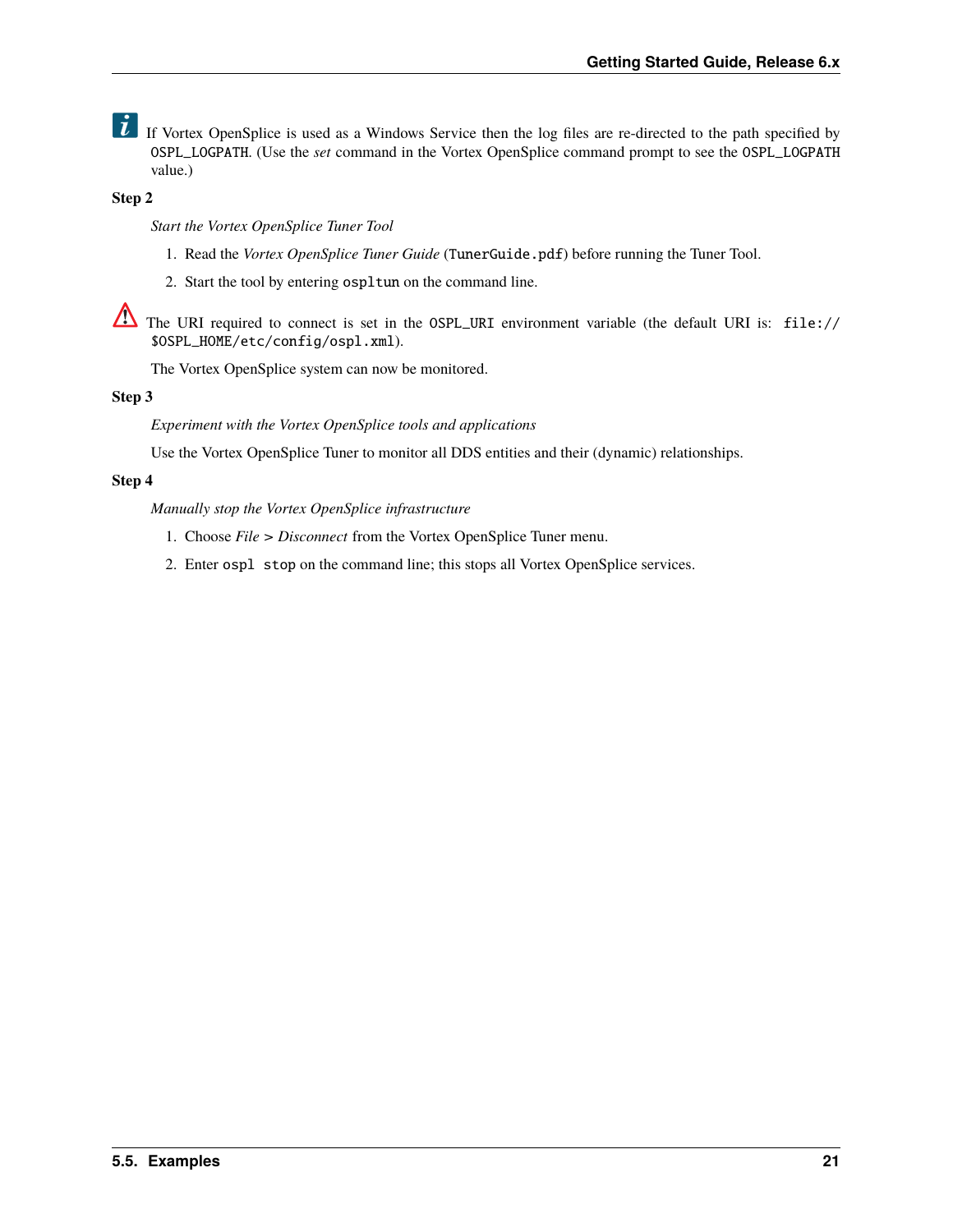$\overrightarrow{l}$  If Vortex OpenSplice is used as a Windows Service then the log files are re-directed to the path specified by OSPL\_LOGPATH. (Use the *set* command in the Vortex OpenSplice command prompt to see the OSPL\_LOGPATH value.)

#### **Step 2**

*Start the Vortex OpenSplice Tuner Tool*

- 1. Read the *Vortex OpenSplice Tuner Guide* (TunerGuide.pdf) before running the Tuner Tool.
- 2. Start the tool by entering ospltun on the command line.

The URI required to connect is set in the OSPL\_URI environment variable (the default URI is: file:// \$OSPL\_HOME/etc/config/ospl.xml).

The Vortex OpenSplice system can now be monitored.

#### **Step 3**

*Experiment with the Vortex OpenSplice tools and applications*

Use the Vortex OpenSplice Tuner to monitor all DDS entities and their (dynamic) relationships.

#### **Step 4**

*Manually stop the Vortex OpenSplice infrastructure*

- 1. Choose *File > Disconnect* from the Vortex OpenSplice Tuner menu.
- 2. Enter ospl stop on the command line; this stops all Vortex OpenSplice services.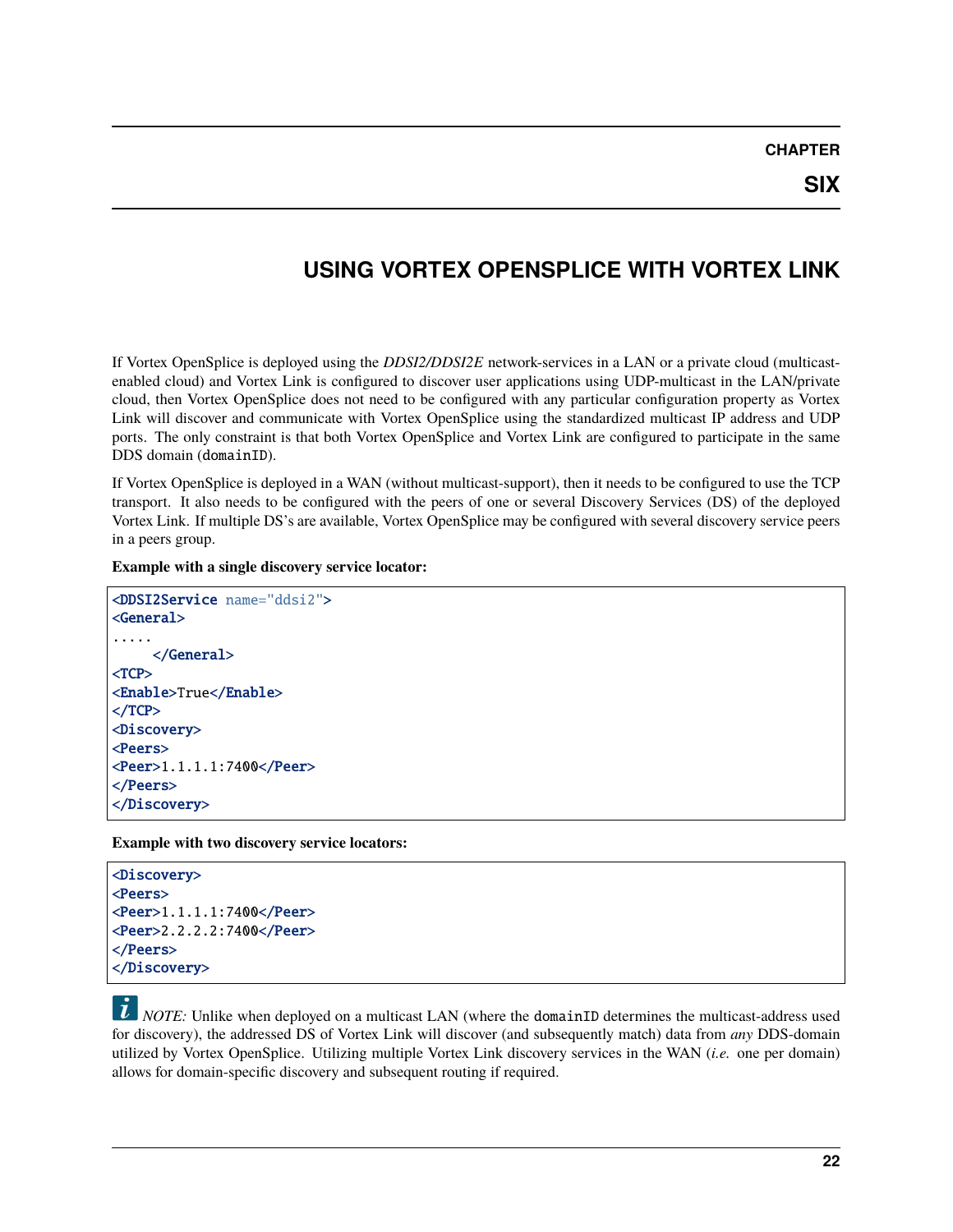# <span id="page-25-0"></span>**USING VORTEX OPENSPLICE WITH VORTEX LINK**

If Vortex OpenSplice is deployed using the *DDSI2/DDSI2E* network-services in a LAN or a private cloud (multicastenabled cloud) and Vortex Link is configured to discover user applications using UDP-multicast in the LAN/private cloud, then Vortex OpenSplice does not need to be configured with any particular configuration property as Vortex Link will discover and communicate with Vortex OpenSplice using the standardized multicast IP address and UDP ports. The only constraint is that both Vortex OpenSplice and Vortex Link are configured to participate in the same DDS domain (domainID).

If Vortex OpenSplice is deployed in a WAN (without multicast-support), then it needs to be configured to use the TCP transport. It also needs to be configured with the peers of one or several Discovery Services (DS) of the deployed Vortex Link. If multiple DS's are available, Vortex OpenSplice may be configured with several discovery service peers in a peers group.

**Example with a single discovery service locator:**

```
<DDSI2Service name="ddsi2">
<General>
.....
     </General>
<TCP><Enable>True</Enable>
</TCP><Discovery>
<Peers>
<Peer>1.1.1.1:7400</Peer>
</Peers>
</Discovery>
```
**Example with two discovery service locators:**

```
<Discovery>
<Peers>
<Peer>1.1.1.1:7400</Peer>
<Peer>2.2.2.2:7400</Peer>
</Peers>
</Discovery>
```
*i NOTE:* Unlike when deployed on a multicast LAN (where the domainID determines the multicast-address used for discovery), the addressed DS of Vortex Link will discover (and subsequently match) data from *any* DDS-domain utilized by Vortex OpenSplice. Utilizing multiple Vortex Link discovery services in the WAN (*i.e.* one per domain) allows for domain-specific discovery and subsequent routing if required.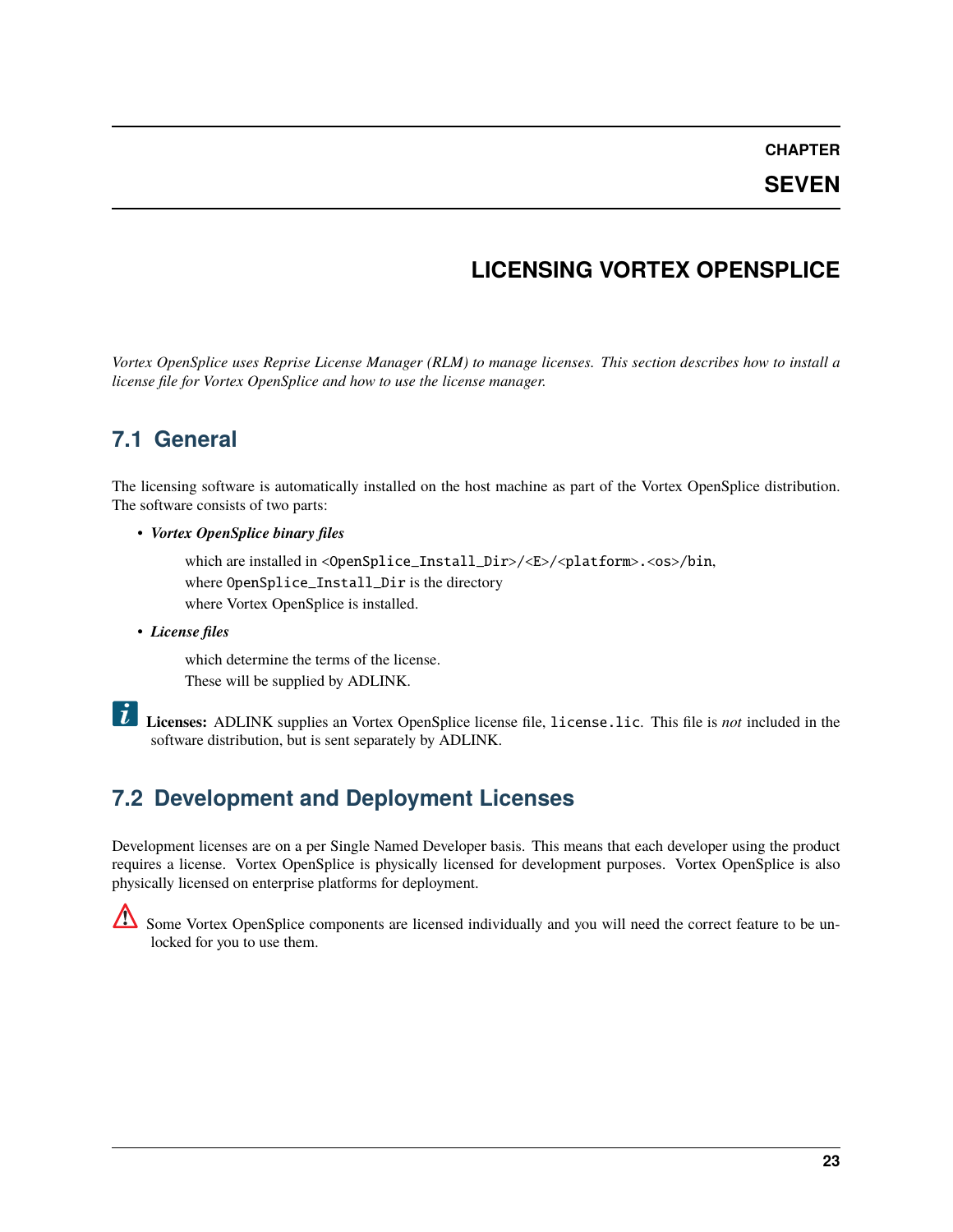#### **SEVEN**

# **LICENSING VORTEX OPENSPLICE**

<span id="page-26-0"></span>*Vortex OpenSplice uses Reprise License Manager (RLM) to manage licenses. This section describes how to install a license file for Vortex OpenSplice and how to use the license manager.*

### <span id="page-26-1"></span>**7.1 General**

The licensing software is automatically installed on the host machine as part of the Vortex OpenSplice distribution. The software consists of two parts:

• *Vortex OpenSplice binary files*

which are installed in <OpenSplice\_Install\_Dir>/<E>/<platform>.<os>/bin, where OpenSplice\_Install\_Dir is the directory where Vortex OpenSplice is installed.

• *License files*

which determine the terms of the license. These will be supplied by ADLINK.



**Licenses:** ADLINK supplies an Vortex OpenSplice license file, license.lic. This file is *not* included in the software distribution, but is sent separately by ADLINK.

# <span id="page-26-2"></span>**7.2 Development and Deployment Licenses**

Development licenses are on a per Single Named Developer basis. This means that each developer using the product requires a license. Vortex OpenSplice is physically licensed for development purposes. Vortex OpenSplice is also physically licensed on enterprise platforms for deployment.



Some Vortex OpenSplice components are licensed individually and you will need the correct feature to be unlocked for you to use them.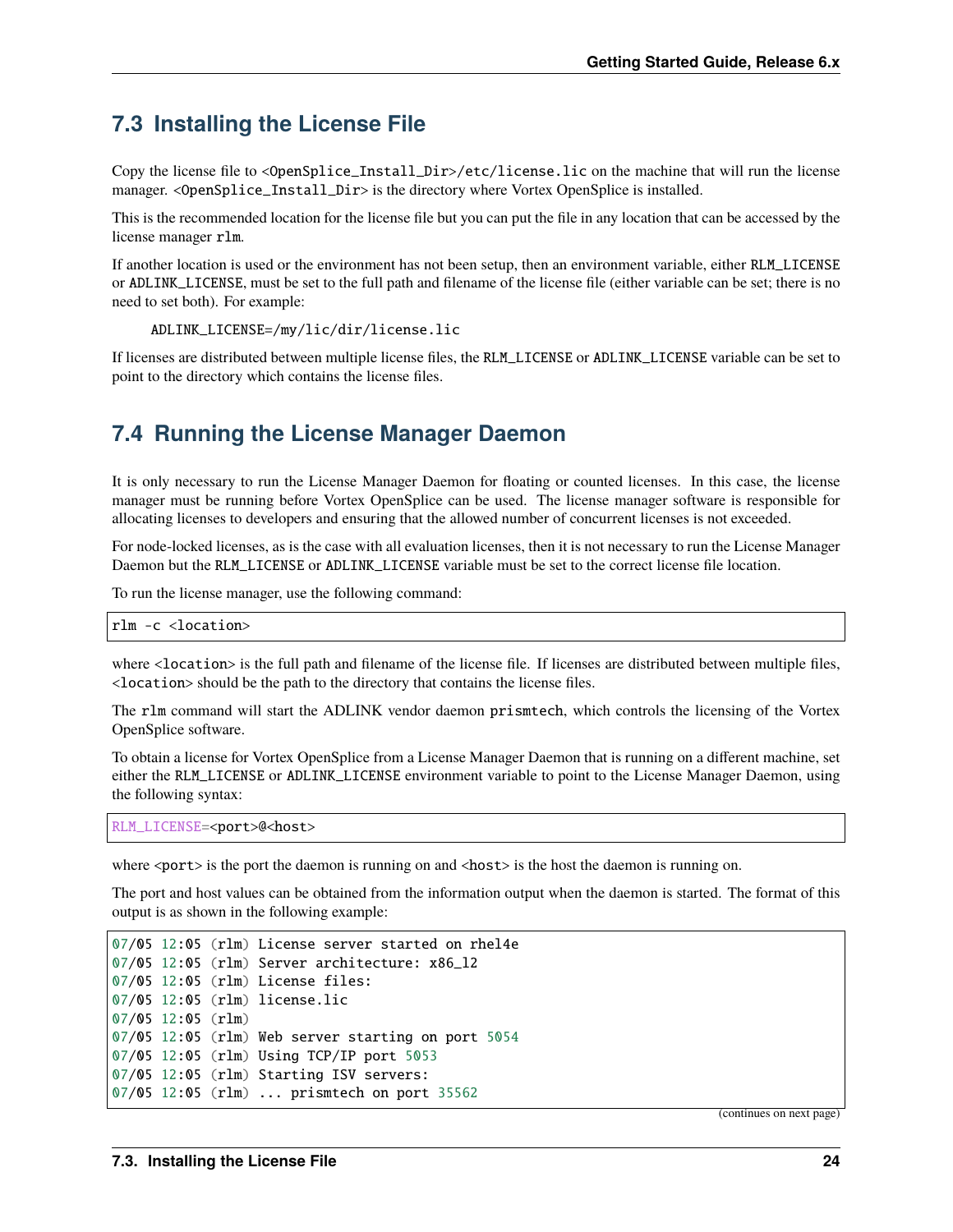### <span id="page-27-0"></span>**7.3 Installing the License File**

Copy the license file to <OpenSplice\_Install\_Dir>/etc/license.lic on the machine that will run the license manager. <OpenSplice\_Install\_Dir> is the directory where Vortex OpenSplice is installed.

This is the recommended location for the license file but you can put the file in any location that can be accessed by the license manager rlm.

If another location is used or the environment has not been setup, then an environment variable, either RLM\_LICENSE or ADLINK\_LICENSE, must be set to the full path and filename of the license file (either variable can be set; there is no need to set both). For example:

ADLINK\_LICENSE=/my/lic/dir/license.lic

If licenses are distributed between multiple license files, the RLM\_LICENSE or ADLINK\_LICENSE variable can be set to point to the directory which contains the license files.

### <span id="page-27-1"></span>**7.4 Running the License Manager Daemon**

It is only necessary to run the License Manager Daemon for floating or counted licenses. In this case, the license manager must be running before Vortex OpenSplice can be used. The license manager software is responsible for allocating licenses to developers and ensuring that the allowed number of concurrent licenses is not exceeded.

For node-locked licenses, as is the case with all evaluation licenses, then it is not necessary to run the License Manager Daemon but the RLM\_LICENSE or ADLINK\_LICENSE variable must be set to the correct license file location.

To run the license manager, use the following command:

#### rlm -c <location>

where <location> is the full path and filename of the license file. If licenses are distributed between multiple files, <location> should be the path to the directory that contains the license files.

The rlm command will start the ADLINK vendor daemon prismtech, which controls the licensing of the Vortex OpenSplice software.

To obtain a license for Vortex OpenSplice from a License Manager Daemon that is running on a different machine, set either the RLM\_LICENSE or ADLINK\_LICENSE environment variable to point to the License Manager Daemon, using the following syntax:

RLM\_LICENSE=<port>@<host>

where  $\epsilon$  port is the port the daemon is running on and  $\epsilon$  host is the host the daemon is running on.

The port and host values can be obtained from the information output when the daemon is started. The format of this output is as shown in the following example:

```
07/05 12:05 (rlm) License server started on rhel4e
07/05 12:05 (rlm) Server architecture: x86_l2
07/05 12:05 (rlm) License files:
07/05 12:05 (rlm) license.lic
07/05 12:05 (rlm)
07/05 12:05 (rlm) Web server starting on port 5054
07/05 12:05 (rlm) Using TCP/IP port 5053
07/05 12:05 (rlm) Starting ISV servers:
07/05 12:05 (rlm) ... prismtech on port 35562
```
(continues on next page)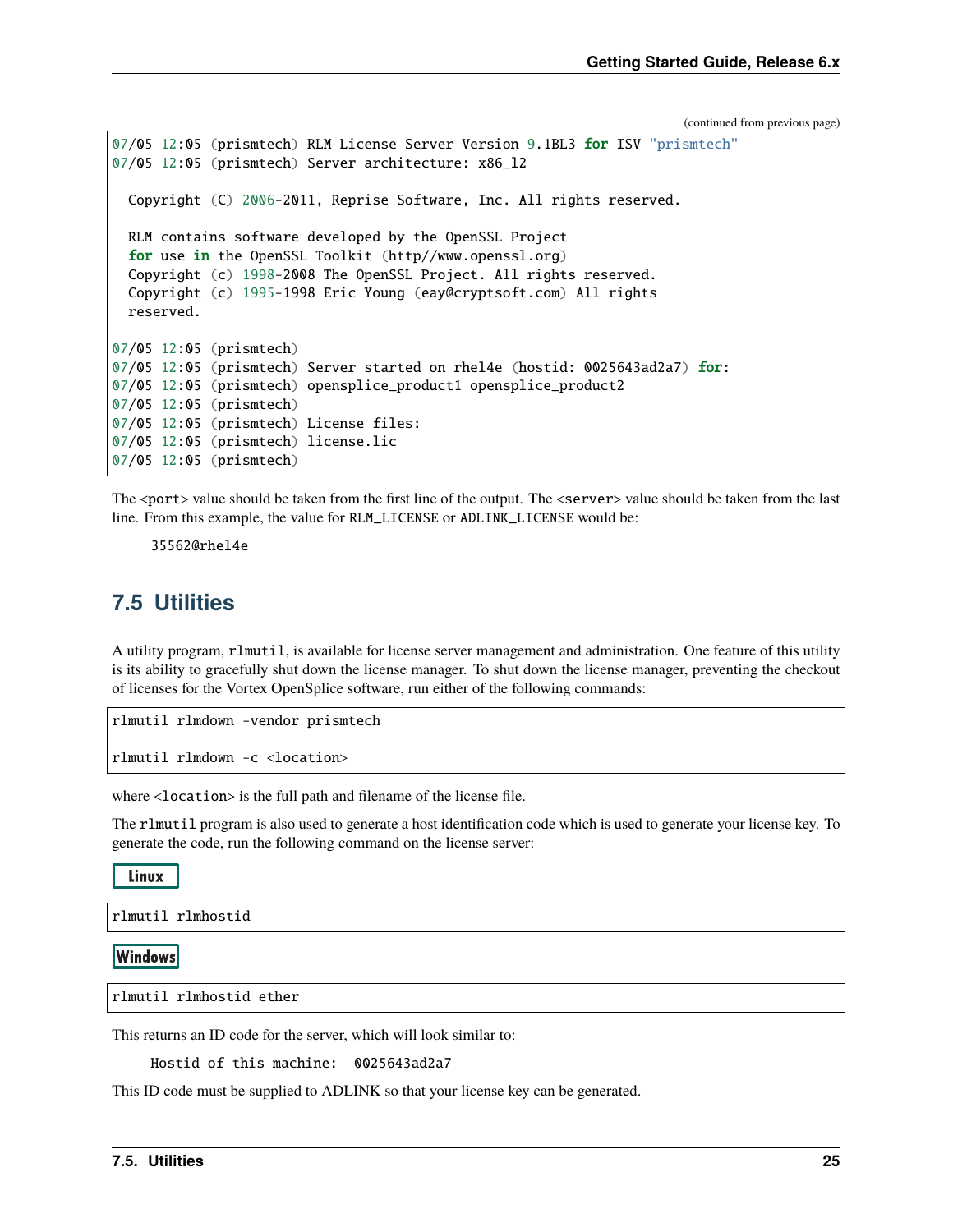(continued from previous page)

```
07/05 12:05 (prismtech) RLM License Server Version 9.1BL3 for ISV "prismtech"
07/05 12:05 (prismtech) Server architecture: x86_l2
  Copyright (C) 2006-2011, Reprise Software, Inc. All rights reserved.
  RLM contains software developed by the OpenSSL Project
  for use in the OpenSSL Toolkit (http//www.openssl.org)
  Copyright (c) 1998-2008 The OpenSSL Project. All rights reserved.
  Copyright (c) 1995-1998 Eric Young (eay@cryptsoft.com) All rights
  reserved.
07/05 12:05 (prismtech)
07/05 12:05 (prismtech) Server started on rhel4e (hostid: 0025643ad2a7) for:
07/05 12:05 (prismtech) opensplice_product1 opensplice_product2
07/05 12:05 (prismtech)
07/05 12:05 (prismtech) License files:
07/05 12:05 (prismtech) license.lic
07/05 12:05 (prismtech)
```
The <port> value should be taken from the first line of the output. The <server> value should be taken from the last line. From this example, the value for RLM\_LICENSE or ADLINK\_LICENSE would be:

35562@rhel4e

#### <span id="page-28-0"></span>**7.5 Utilities**

A utility program, rlmutil, is available for license server management and administration. One feature of this utility is its ability to gracefully shut down the license manager. To shut down the license manager, preventing the checkout of licenses for the Vortex OpenSplice software, run either of the following commands:

rlmutil rlmdown -vendor prismtech rlmutil rlmdown -c <location>

where <location> is the full path and filename of the license file.

The rlmutil program is also used to generate a host identification code which is used to generate your license key. To generate the code, run the following command on the license server:

Linux

rlmutil rlmhostid

**Windows** 

rlmutil rlmhostid ether

This returns an ID code for the server, which will look similar to:

Hostid of this machine: 0025643ad2a7

This ID code must be supplied to ADLINK so that your license key can be generated.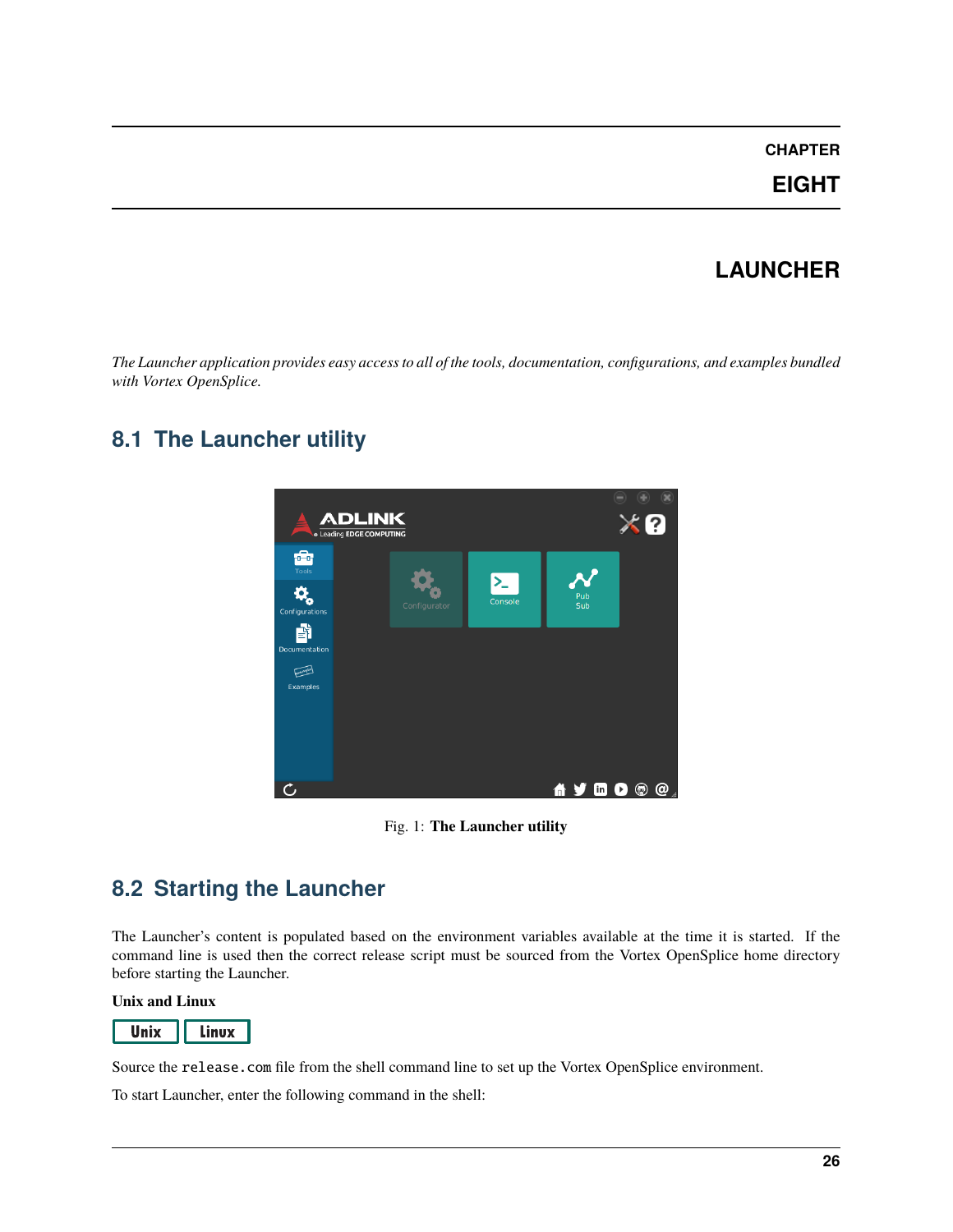**EIGHT**

# **LAUNCHER**

<span id="page-29-0"></span>*The Launcher application provides easy access to all of the tools, documentation, configurations, and examples bundled with Vortex OpenSplice.*

# <span id="page-29-1"></span>**8.1 The Launcher utility**



Fig. 1: **The Launcher utility**

# <span id="page-29-2"></span>**8.2 Starting the Launcher**

The Launcher's content is populated based on the environment variables available at the time it is started. If the command line is used then the correct release script must be sourced from the Vortex OpenSplice home directory before starting the Launcher.

**Unix and Linux**



Source the release.com file from the shell command line to set up the Vortex OpenSplice environment.

To start Launcher, enter the following command in the shell: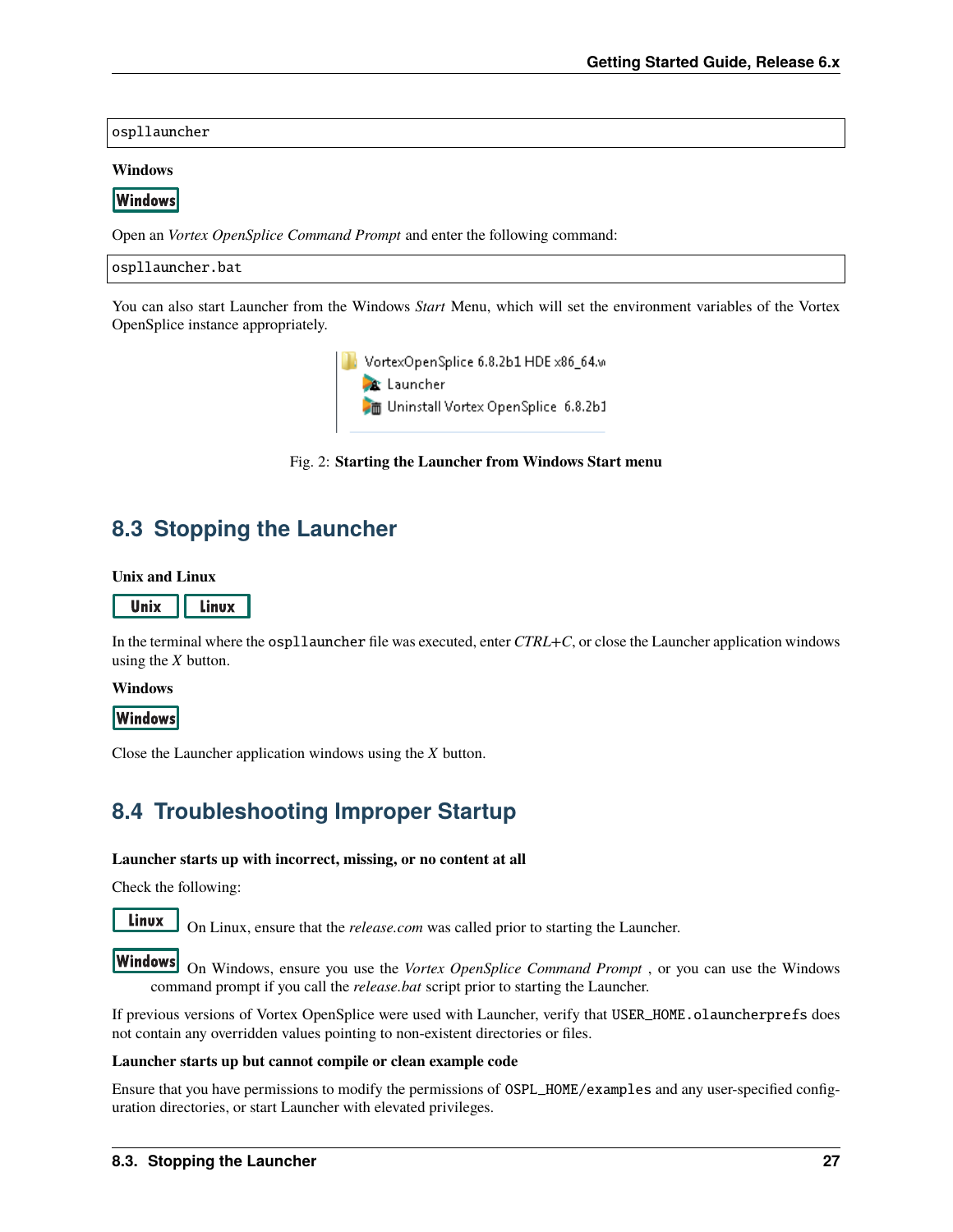ospllauncher

#### **Windows**

**Windows** 

Open an *Vortex OpenSplice Command Prompt* and enter the following command:

ospllauncher.bat

You can also start Launcher from the Windows *Start* Menu, which will set the environment variables of the Vortex OpenSplice instance appropriately.

> VortexOpenSplice 6.8.2b1 HDE x86\_64.w and proposed to the control of the Marian States<br>At Launcher<br>At Uninstall Vortex OpenSplice 6.8.2b1

Fig. 2: **Starting the Launcher from Windows Start menu**

### <span id="page-30-0"></span>**8.3 Stopping the Launcher**

**Unix and Linux**



In the terminal where the ospllauncher file was executed, enter *CTRL+C*, or close the Launcher application windows using the *X* button.

#### **Windows**

**Windows** 

Close the Launcher application windows using the *X* button.

### <span id="page-30-1"></span>**8.4 Troubleshooting Improper Startup**

#### **Launcher starts up with incorrect, missing, or no content at all**

Check the following:

Linux

On Linux, ensure that the *release.com* was called prior to starting the Launcher.

On Windows, ensure you use the *Vortex OpenSplice Command Prompt* , or you can use the Windows command prompt if you call the *release.bat* script prior to starting the Launcher.

If previous versions of Vortex OpenSplice were used with Launcher, verify that USER\_HOME.olauncherprefs does not contain any overridden values pointing to non-existent directories or files.

#### **Launcher starts up but cannot compile or clean example code**

Ensure that you have permissions to modify the permissions of OSPL\_HOME/examples and any user-specified configuration directories, or start Launcher with elevated privileges.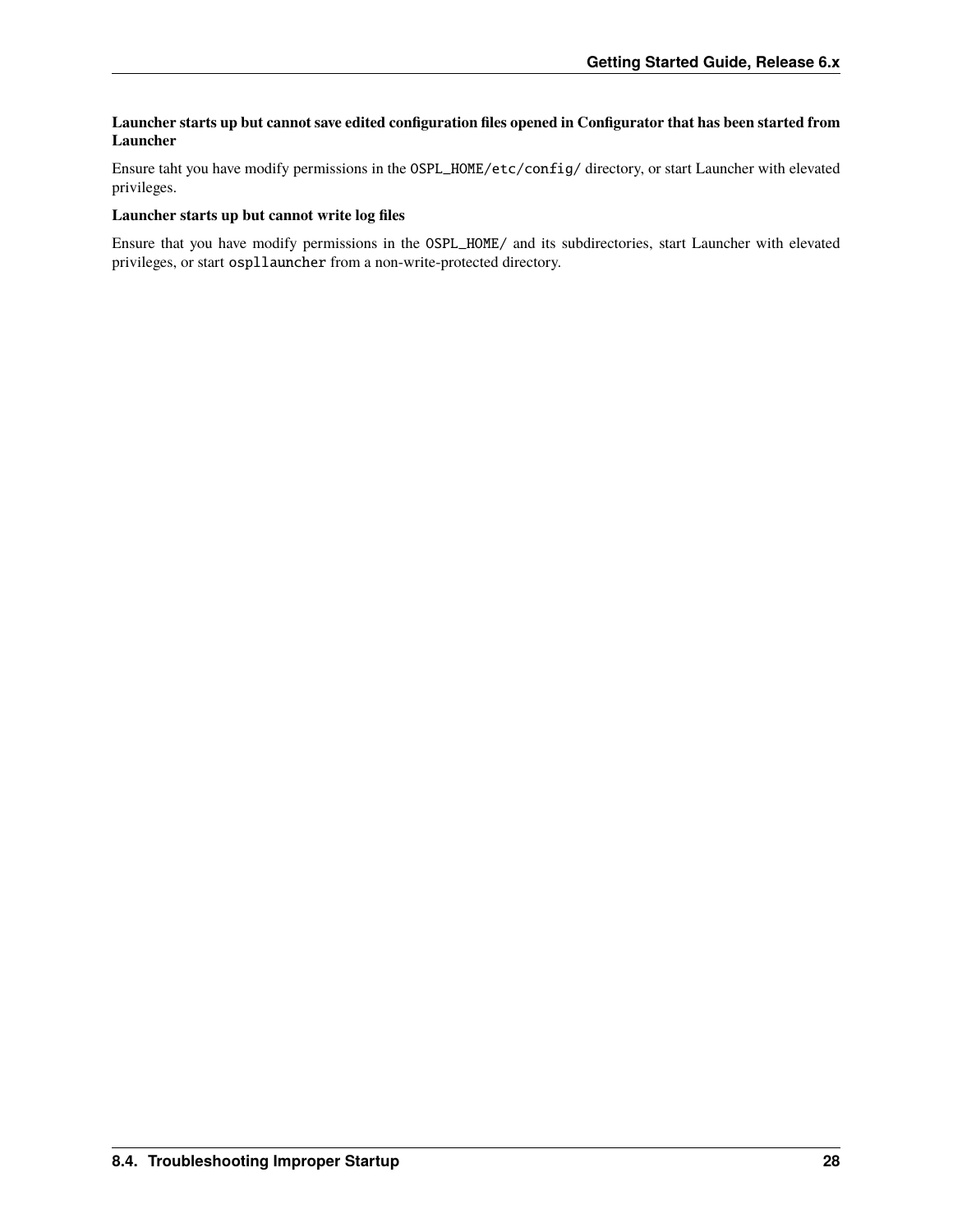#### **Launcher starts up but cannot save edited configuration files opened in Configurator that has been started from Launcher**

Ensure taht you have modify permissions in the OSPL\_HOME/etc/config/ directory, or start Launcher with elevated privileges.

#### **Launcher starts up but cannot write log files**

Ensure that you have modify permissions in the OSPL\_HOME/ and its subdirectories, start Launcher with elevated privileges, or start ospllauncher from a non-write-protected directory.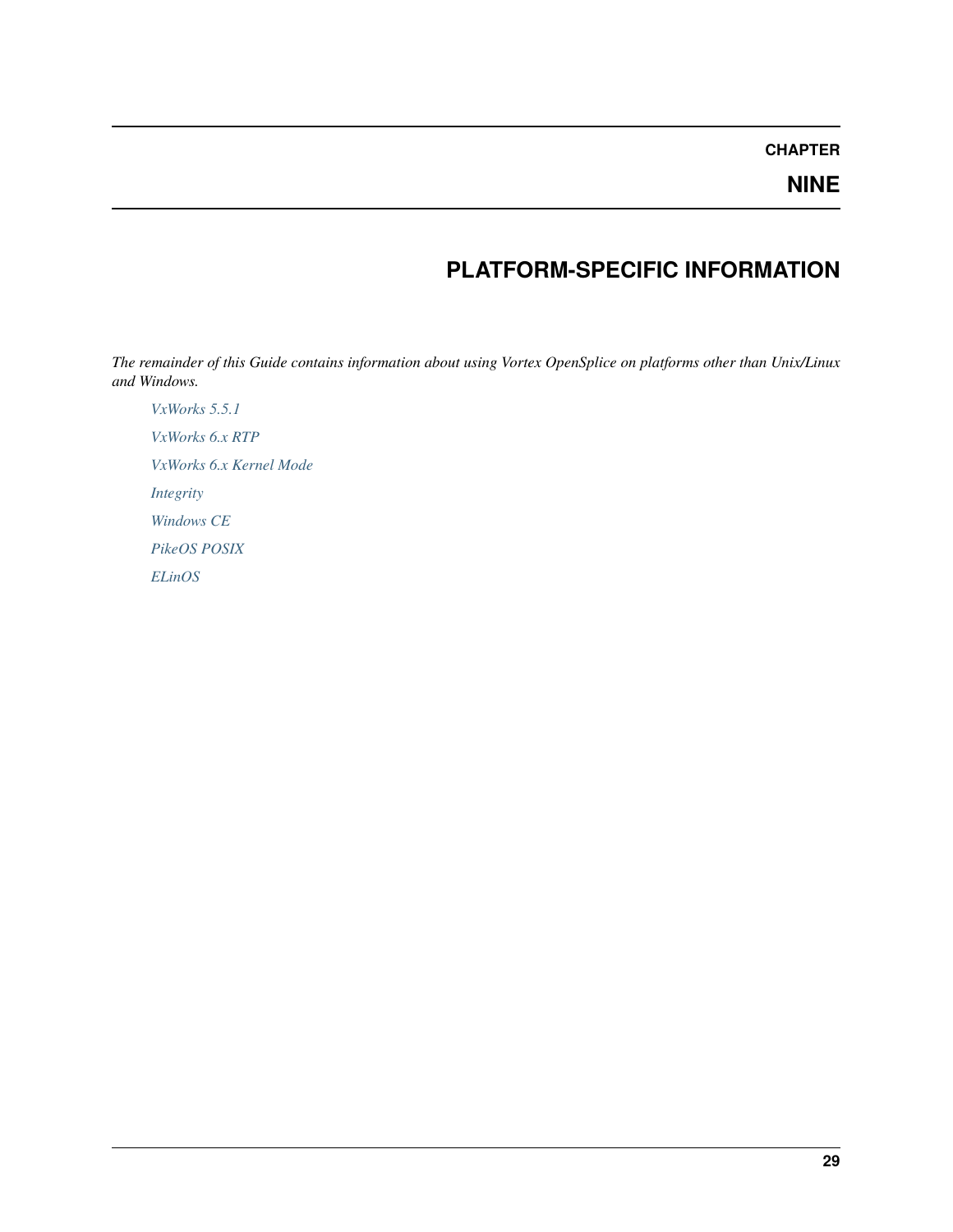### **NINE**

# **PLATFORM-SPECIFIC INFORMATION**

<span id="page-32-0"></span>*The remainder of this Guide contains information about using Vortex OpenSplice on platforms other than Unix/Linux and Windows.*

*[VxWorks 5.5.1](#page-33-0) [VxWorks 6.x RTP](#page-40-0) [VxWorks 6.x Kernel Mode](#page-46-0) [Integrity](#page-55-0) [Windows CE](#page-63-0) [PikeOS POSIX](#page-71-0) [ELinOS](#page-75-0)*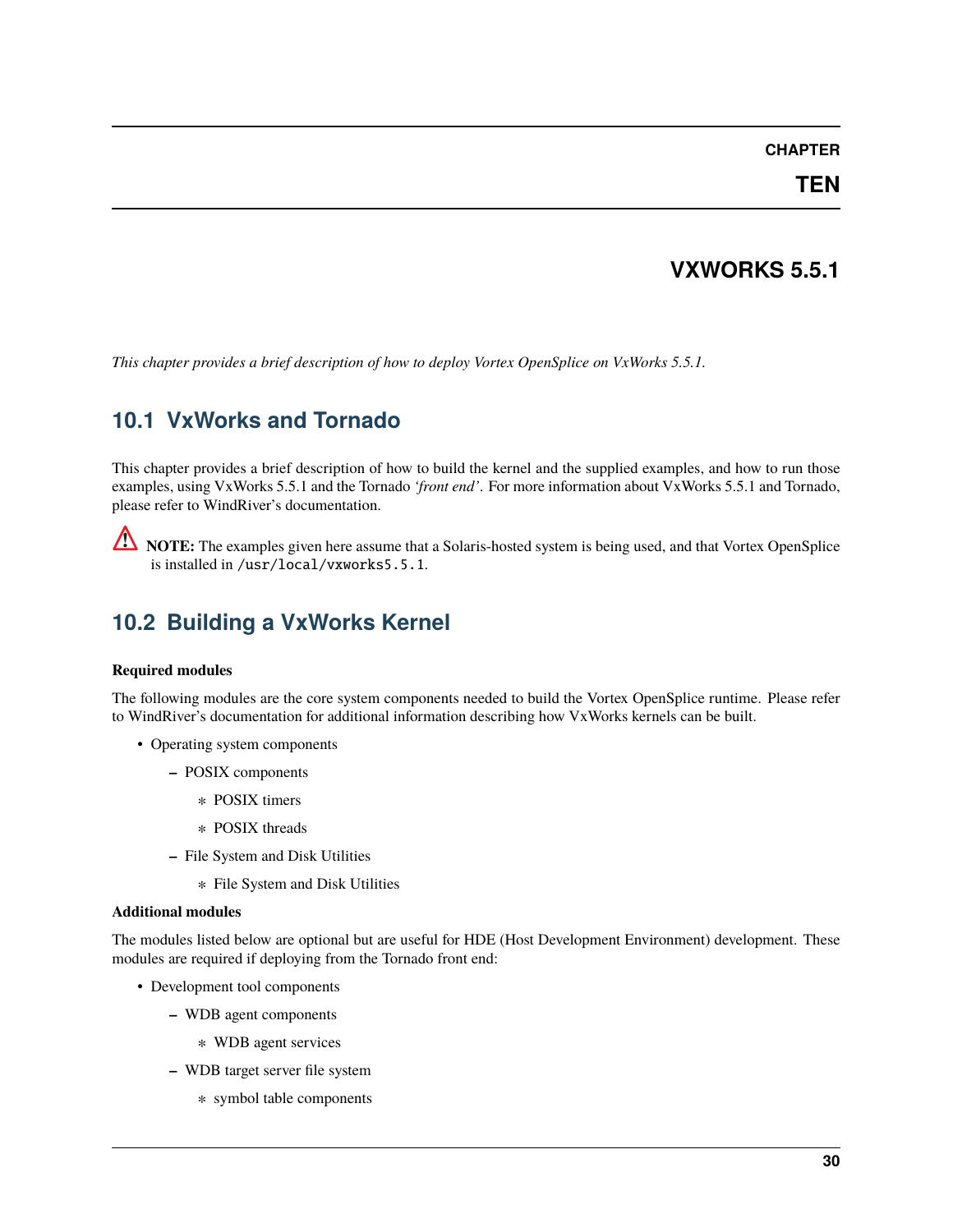#### **TEN**

# **VXWORKS 5.5.1**

<span id="page-33-0"></span>*This chapter provides a brief description of how to deploy Vortex OpenSplice on VxWorks 5.5.1.*

# <span id="page-33-1"></span>**10.1 VxWorks and Tornado**

This chapter provides a brief description of how to build the kernel and the supplied examples, and how to run those examples, using VxWorks 5.5.1 and the Tornado *'front end'*. For more information about VxWorks 5.5.1 and Tornado, please refer to WindRiver's documentation.

**NOTE:** The examples given here assume that a Solaris-hosted system is being used, and that Vortex OpenSplice is installed in /usr/local/vxworks5.5.1.

# <span id="page-33-2"></span>**10.2 Building a VxWorks Kernel**

#### **Required modules**

The following modules are the core system components needed to build the Vortex OpenSplice runtime. Please refer to WindRiver's documentation for additional information describing how VxWorks kernels can be built.

- Operating system components
	- **–** POSIX components
		- ∗ POSIX timers
		- ∗ POSIX threads
	- **–** File System and Disk Utilities
		- ∗ File System and Disk Utilities

#### **Additional modules**

The modules listed below are optional but are useful for HDE (Host Development Environment) development. These modules are required if deploying from the Tornado front end:

- Development tool components
	- **–** WDB agent components
		- ∗ WDB agent services
	- **–** WDB target server file system
		- ∗ symbol table components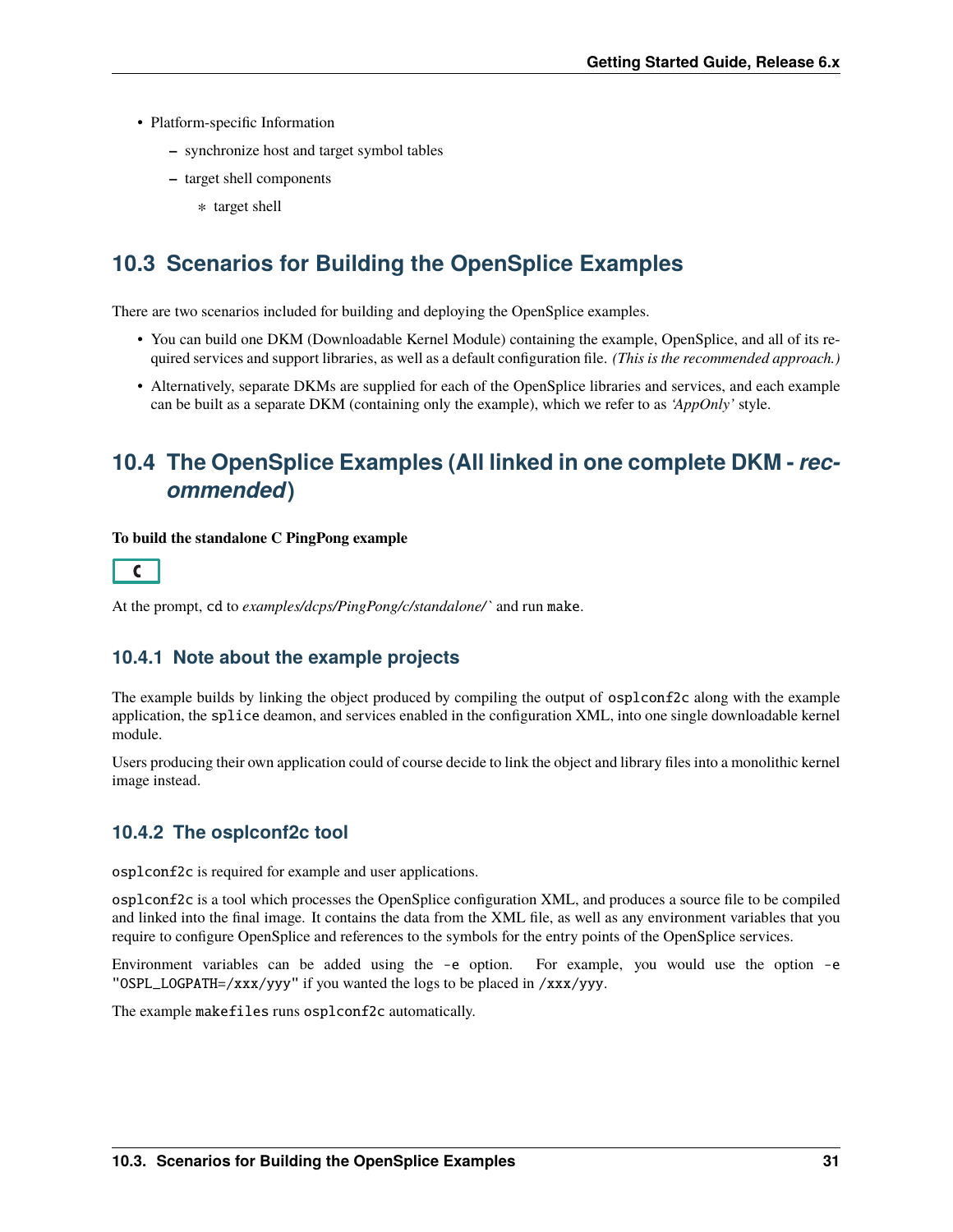- Platform-specific Information
	- **–** synchronize host and target symbol tables
	- **–** target shell components
		- ∗ target shell

# <span id="page-34-0"></span>**10.3 Scenarios for Building the OpenSplice Examples**

There are two scenarios included for building and deploying the OpenSplice examples.

- You can build one DKM (Downloadable Kernel Module) containing the example, OpenSplice, and all of its required services and support libraries, as well as a default configuration file. *(This is the recommended approach.)*
- Alternatively, separate DKMs are supplied for each of the OpenSplice libraries and services, and each example can be built as a separate DKM (containing only the example), which we refer to as *'AppOnly'* style.

# <span id="page-34-1"></span>**10.4 The OpenSplice Examples (All linked in one complete DKM -** *recommended***)**

#### **To build the standalone C PingPong example**



At the prompt, cd to *examples/dcps/PingPong/c/standalone/`* and run make.

#### **10.4.1 Note about the example projects**

The example builds by linking the object produced by compiling the output of osplconf2c along with the example application, the splice deamon, and services enabled in the configuration XML, into one single downloadable kernel module.

Users producing their own application could of course decide to link the object and library files into a monolithic kernel image instead.

#### **10.4.2 The osplconf2c tool**

osplconf2c is required for example and user applications.

osplconf2c is a tool which processes the OpenSplice configuration XML, and produces a source file to be compiled and linked into the final image. It contains the data from the XML file, as well as any environment variables that you require to configure OpenSplice and references to the symbols for the entry points of the OpenSplice services.

Environment variables can be added using the -e option. For example, you would use the option -e "OSPL\_LOGPATH=/xxx/yyy" if you wanted the logs to be placed in /xxx/yyy.

The example makefiles runs osplconf2c automatically.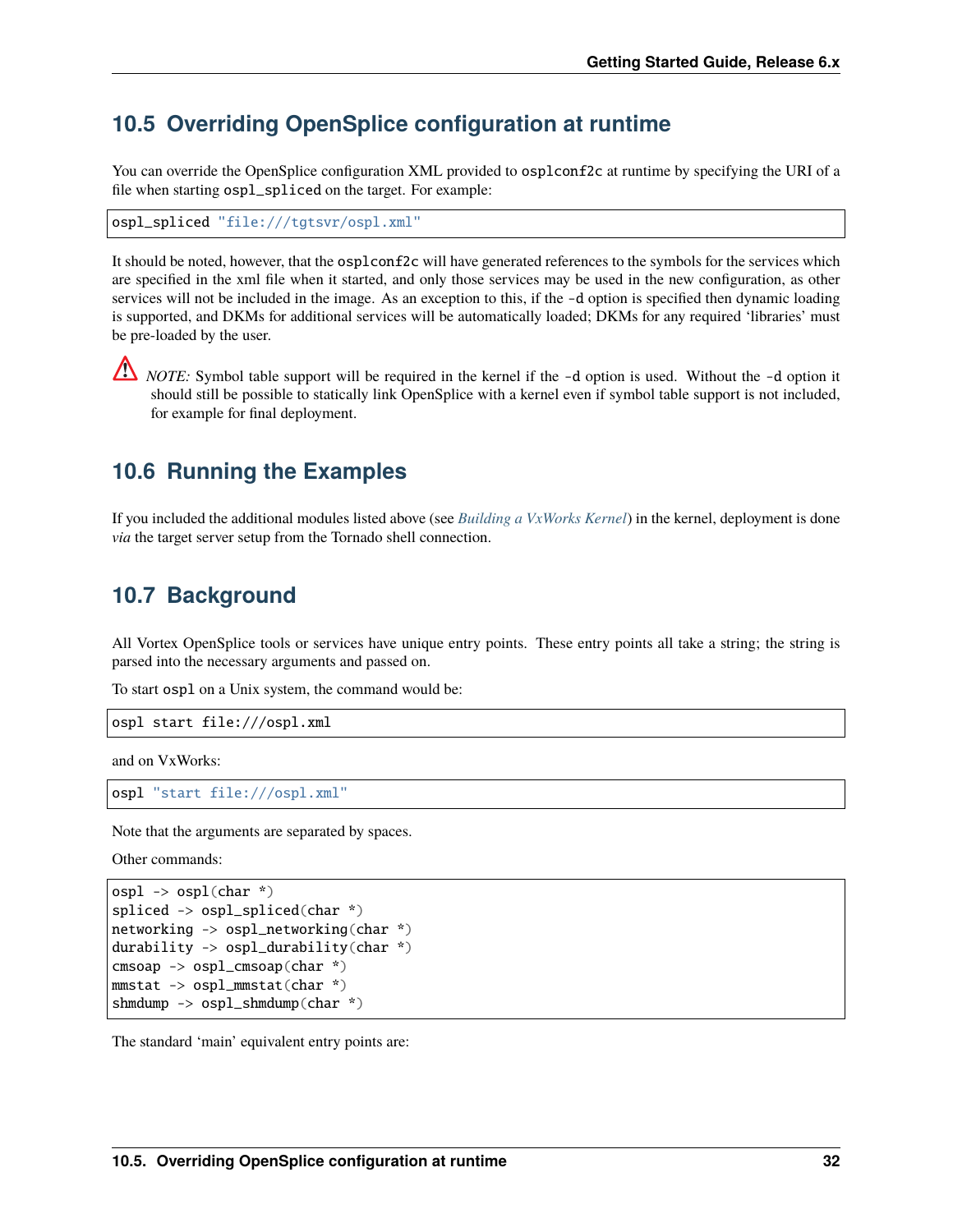# <span id="page-35-0"></span>**10.5 Overriding OpenSplice configuration at runtime**

You can override the OpenSplice configuration XML provided to osplconf2c at runtime by specifying the URI of a file when starting ospl\_spliced on the target. For example:

ospl\_spliced "file:///tgtsvr/ospl.xml"

It should be noted, however, that the osplconf2c will have generated references to the symbols for the services which are specified in the xml file when it started, and only those services may be used in the new configuration, as other services will not be included in the image. As an exception to this, if the -d option is specified then dynamic loading is supported, and DKMs for additional services will be automatically loaded; DKMs for any required 'libraries' must be pre-loaded by the user.

*NOTE:* Symbol table support will be required in the kernel if the -d option is used. Without the -d option it should still be possible to statically link OpenSplice with a kernel even if symbol table support is not included, for example for final deployment.

### <span id="page-35-1"></span>**10.6 Running the Examples**

If you included the additional modules listed above (see *[Building a VxWorks Kernel](#page-33-2)*) in the kernel, deployment is done *via* the target server setup from the Tornado shell connection.

### <span id="page-35-2"></span>**10.7 Background**

All Vortex OpenSplice tools or services have unique entry points. These entry points all take a string; the string is parsed into the necessary arguments and passed on.

To start ospl on a Unix system, the command would be:

```
ospl start file:///ospl.xml
```
and on VxWorks:

ospl "start file:///ospl.xml"

Note that the arguments are separated by spaces.

Other commands:

```
osp1 \rightarrow osp1(char * )spliced -> ospl_spliced(char *)
networking -> ospl_networking(char *)
durability -> ospl_durability(char *)
cmsoap -> ospl_cmsoap(char *)
mmstat -> ospl_mmstat(char *)
shmdump -> ospl_shmdump(char *)
```
The standard 'main' equivalent entry points are: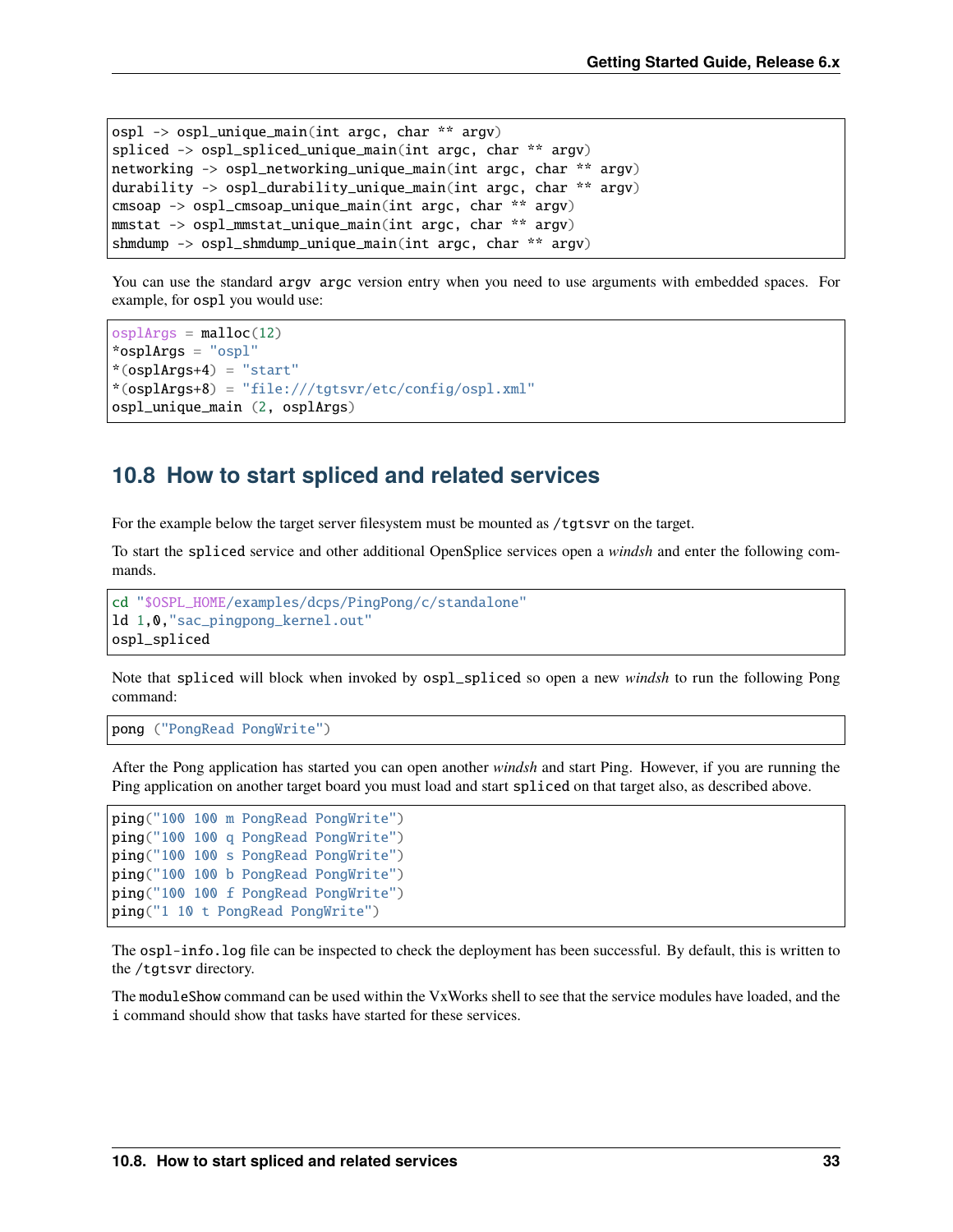```
ospl \rightarrow ospl_unique_main(int argc, char ** argv)
spliced -> ospl_spliced_unique_main(int argc, char ** argv)
networking -> ospl_networking_unique_main(int argc, char ** argv)
durability -> ospl_durability_unique_main(int argc, char ** argv)
cmsoap -> ospl_cmsoap_unique_main(int argc, char ** argv)
mmstat -> ospl_mmstat_unique_main(int argc, char ** argv)
shmdump -> ospl_shmdump_unique_main(int argc, char ** argv)
```
You can use the standard argv argc version entry when you need to use arguments with embedded spaces. For example, for ospl you would use:

```
osp1Args = malloc(12)*osplArgs = "ospl"
*(osplArgs+4) = "start"*(osplArgs+8) = "file:///tgtsvr/etc/config/ospl.xml"
ospl_unique_main (2, osplArgs)
```
# **10.8 How to start spliced and related services**

For the example below the target server filesystem must be mounted as /tgtsvr on the target.

To start the spliced service and other additional OpenSplice services open a *windsh* and enter the following commands.

```
cd "$OSPL_HOME/examples/dcps/PingPong/c/standalone"
ld 1,0,"sac_pingpong_kernel.out"
ospl_spliced
```
Note that spliced will block when invoked by ospl\_spliced so open a new *windsh* to run the following Pong command:

pong ("PongRead PongWrite")

After the Pong application has started you can open another *windsh* and start Ping. However, if you are running the Ping application on another target board you must load and start spliced on that target also, as described above.

```
ping("100 100 m PongRead PongWrite")
ping("100 100 q PongRead PongWrite")
ping("100 100 s PongRead PongWrite")
ping("100 100 b PongRead PongWrite")
ping("100 100 f PongRead PongWrite")
ping("1 10 t PongRead PongWrite")
```
The ospl-info.log file can be inspected to check the deployment has been successful. By default, this is written to the /tgtsvr directory.

The moduleShow command can be used within the VxWorks shell to see that the service modules have loaded, and the i command should show that tasks have started for these services.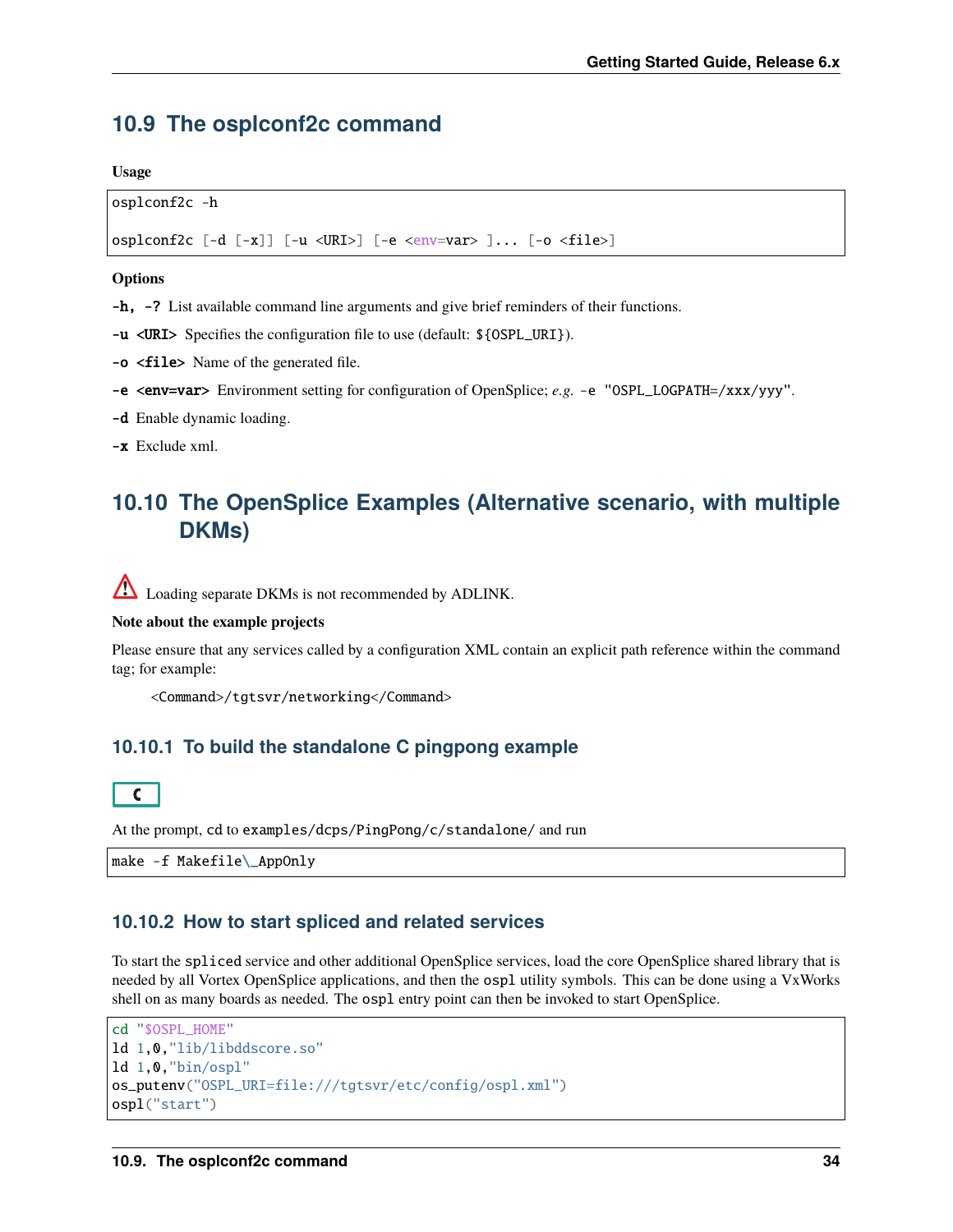# **10.9 The osplconf2c command**

**Usage**

```
osplconf2c -h
```
osplconf2c [-d [-x]] [-u <URI>] [-e <env=var> ]... [-o <file>]

#### **Options**

-h, -? List available command line arguments and give brief reminders of their functions.

-u <URI> Specifies the configuration file to use (default: \${OSPL\_URI}).

-o <file> Name of the generated file.

-e <env=var> Environment setting for configuration of OpenSplice; *e.g.* -e "OSPL\_LOGPATH=/xxx/yyy".

-d Enable dynamic loading.

-x Exclude xml.

# **10.10 The OpenSplice Examples (Alternative scenario, with multiple DKMs)**

**A** Loading separate DKMs is not recommended by ADLINK.

## **Note about the example projects**

Please ensure that any services called by a configuration XML contain an explicit path reference within the command tag; for example:

<Command>/tgtsvr/networking</Command>

## **10.10.1 To build the standalone C pingpong example**



At the prompt, cd to examples/dcps/PingPong/c/standalone/ and run

make -f Makefile\\_AppOnly

## **10.10.2 How to start spliced and related services**

To start the spliced service and other additional OpenSplice services, load the core OpenSplice shared library that is needed by all Vortex OpenSplice applications, and then the ospl utility symbols. This can be done using a VxWorks shell on as many boards as needed. The ospl entry point can then be invoked to start OpenSplice.

```
cd "$OSPL_HOME"
ld 1,0,"lib/libddscore.so"
ld 1,0,"bin/ospl"
os_putenv("OSPL_URI=file:///tgtsvr/etc/config/ospl.xml")
ospl("start")
```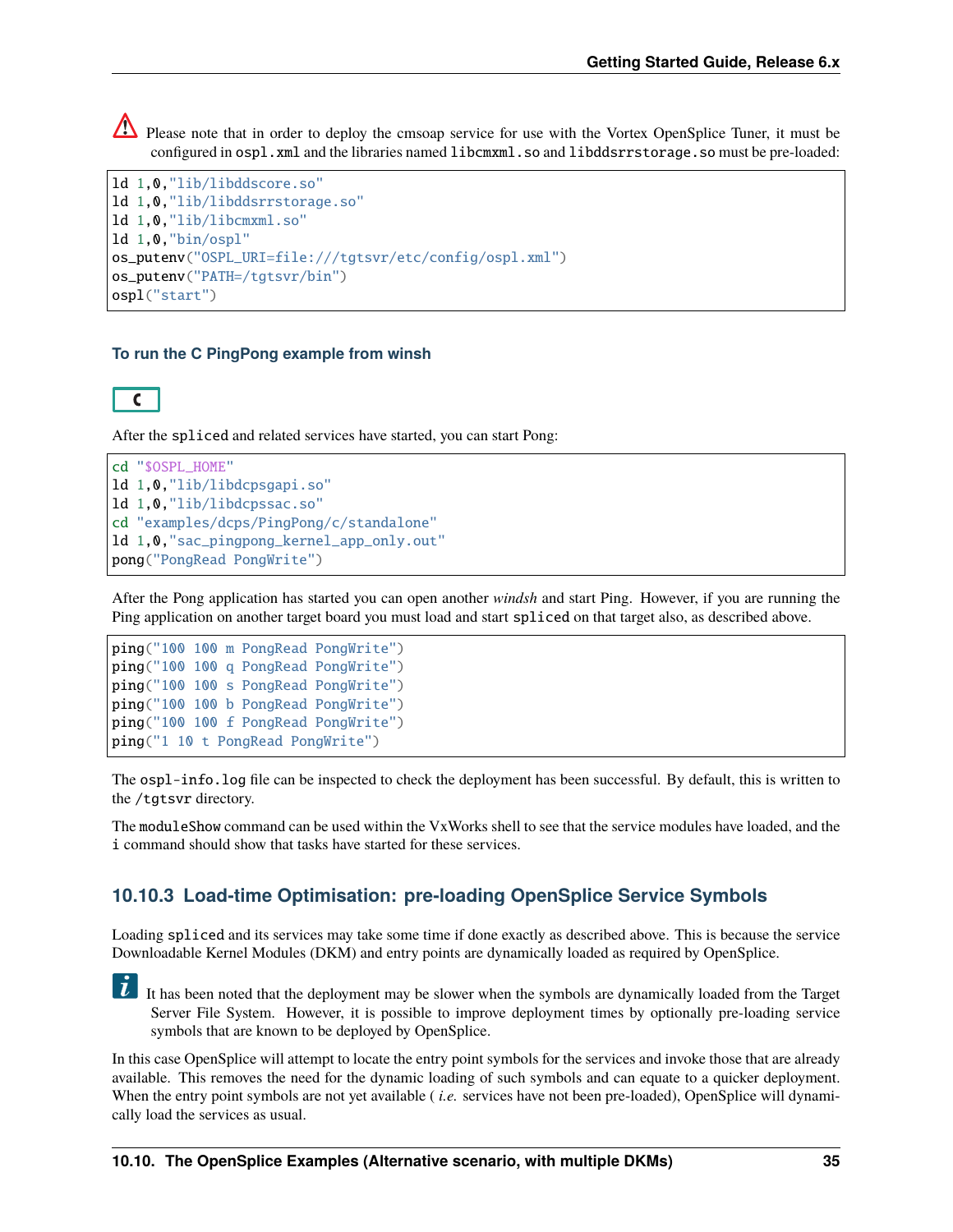Please note that in order to deploy the cmsoap service for use with the Vortex OpenSplice Tuner, it must be configured in ospl.xml and the libraries named libcmxml.so and libddsrrstorage.so must be pre-loaded:

```
ld 1,0,"lib/libddscore.so"
ld 1,0,"lib/libddsrrstorage.so"
ld 1,0,"lib/libcmxml.so"
ld 1,0,"bin/ospl"
os_putenv("OSPL_URI=file:///tgtsvr/etc/config/ospl.xml")
os_putenv("PATH=/tgtsvr/bin")
ospl("start")
```
### **To run the C PingPong example from winsh**



After the spliced and related services have started, you can start Pong:

```
cd "$OSPL_HOME"
ld 1,0,"lib/libdcpsgapi.so"
ld 1,0,"lib/libdcpssac.so"
cd "examples/dcps/PingPong/c/standalone"
ld 1,0,"sac_pingpong_kernel_app_only.out"
pong("PongRead PongWrite")
```
After the Pong application has started you can open another *windsh* and start Ping. However, if you are running the Ping application on another target board you must load and start spliced on that target also, as described above.

```
ping("100 100 m PongRead PongWrite")
ping("100 100 q PongRead PongWrite")
ping("100 100 s PongRead PongWrite")
ping("100 100 b PongRead PongWrite")
ping("100 100 f PongRead PongWrite")
ping("1 10 t PongRead PongWrite")
```
The ospl-info.log file can be inspected to check the deployment has been successful. By default, this is written to the /tgtsvr directory.

The moduleShow command can be used within the VxWorks shell to see that the service modules have loaded, and the i command should show that tasks have started for these services.

## **10.10.3 Load-time Optimisation: pre-loading OpenSplice Service Symbols**

Loading spliced and its services may take some time if done exactly as described above. This is because the service Downloadable Kernel Modules (DKM) and entry points are dynamically loaded as required by OpenSplice.

It has been noted that the deployment may be slower when the symbols are dynamically loaded from the Target Server File System. However, it is possible to improve deployment times by optionally pre-loading service symbols that are known to be deployed by OpenSplice.

In this case OpenSplice will attempt to locate the entry point symbols for the services and invoke those that are already available. This removes the need for the dynamic loading of such symbols and can equate to a quicker deployment. When the entry point symbols are not yet available *(i.e.* services have not been pre-loaded), OpenSplice will dynamically load the services as usual.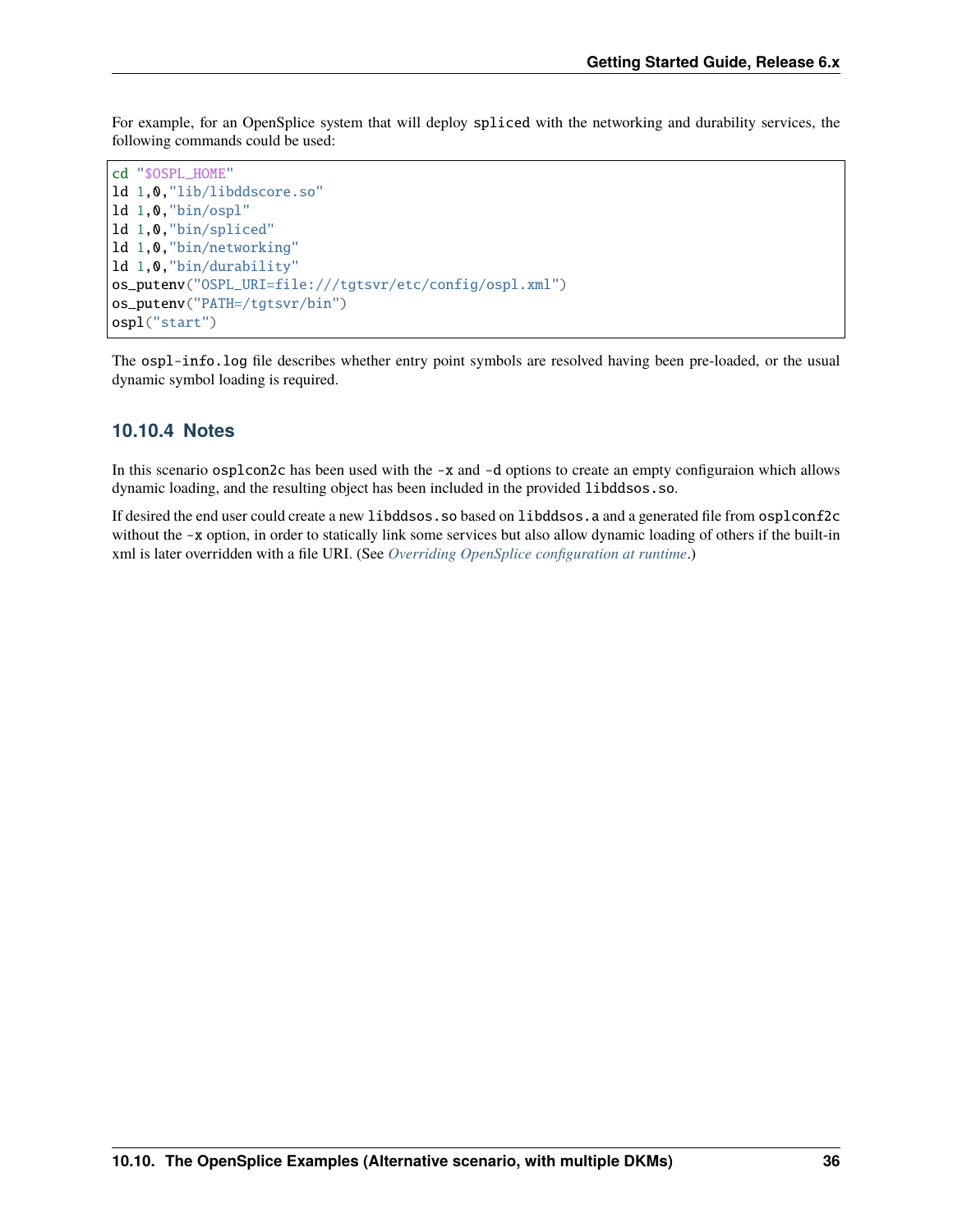For example, for an OpenSplice system that will deploy spliced with the networking and durability services, the following commands could be used:

```
cd "$OSPL_HOME"
ld 1,0,"lib/libddscore.so"
ld 1,0,"bin/ospl"
ld 1,0,"bin/spliced"
ld 1,0,"bin/networking"
ld 1,0,"bin/durability"
os_putenv("OSPL_URI=file:///tgtsvr/etc/config/ospl.xml")
os_putenv("PATH=/tgtsvr/bin")
ospl("start")
```
The ospl-info.log file describes whether entry point symbols are resolved having been pre-loaded, or the usual dynamic symbol loading is required.

## **10.10.4 Notes**

In this scenario osplcon2c has been used with the -x and -d options to create an empty configuraion which allows dynamic loading, and the resulting object has been included in the provided libddsos.so.

If desired the end user could create a new libddsos.so based on libddsos.a and a generated file from osplconf2c without the -x option, in order to statically link some services but also allow dynamic loading of others if the built-in xml is later overridden with a file URI. (See *[Overriding OpenSplice configuration at runtime](#page-35-0)*.)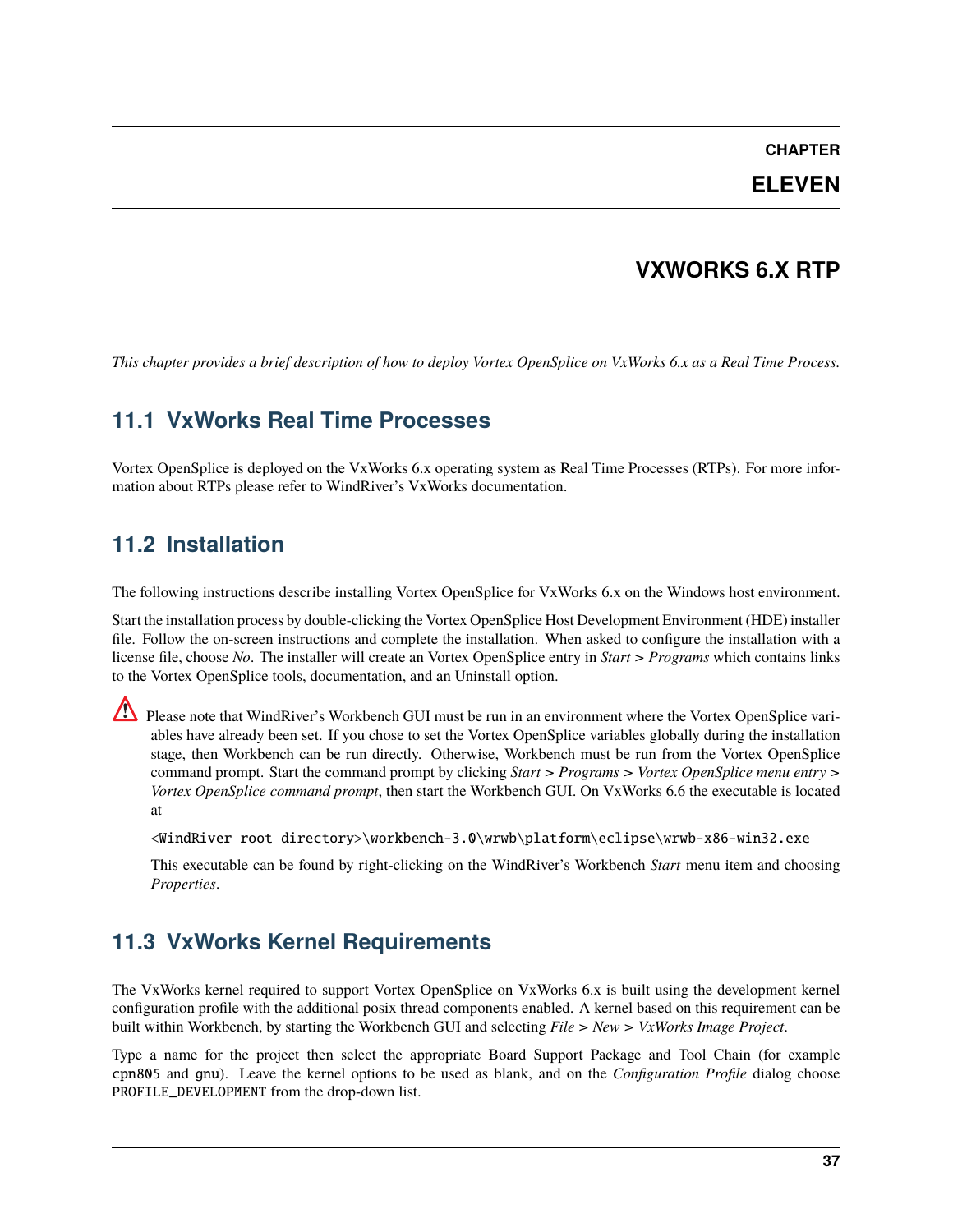## **CHAPTER**

# **ELEVEN**

# **VXWORKS 6.X RTP**

*This chapter provides a brief description of how to deploy Vortex OpenSplice on VxWorks 6.x as a Real Time Process.*

# **11.1 VxWorks Real Time Processes**

Vortex OpenSplice is deployed on the VxWorks 6.x operating system as Real Time Processes (RTPs). For more information about RTPs please refer to WindRiver's VxWorks documentation.

# **11.2 Installation**

The following instructions describe installing Vortex OpenSplice for VxWorks 6.x on the Windows host environment.

Start the installation process by double-clicking the Vortex OpenSplice Host Development Environment (HDE) installer file. Follow the on-screen instructions and complete the installation. When asked to configure the installation with a license file, choose *No*. The installer will create an Vortex OpenSplice entry in *Start > Programs* which contains links to the Vortex OpenSplice tools, documentation, and an Uninstall option.

Please note that WindRiver's Workbench GUI must be run in an environment where the Vortex OpenSplice variables have already been set. If you chose to set the Vortex OpenSplice variables globally during the installation stage, then Workbench can be run directly. Otherwise, Workbench must be run from the Vortex OpenSplice command prompt. Start the command prompt by clicking *Start > Programs > Vortex OpenSplice menu entry > Vortex OpenSplice command prompt*, then start the Workbench GUI. On VxWorks 6.6 the executable is located at

<WindRiver root directory>\workbench-3.0\wrwb\platform\eclipse\wrwb-x86-win32.exe

This executable can be found by right-clicking on the WindRiver's Workbench *Start* menu item and choosing *Properties*.

# **11.3 VxWorks Kernel Requirements**

The VxWorks kernel required to support Vortex OpenSplice on VxWorks 6.x is built using the development kernel configuration profile with the additional posix thread components enabled. A kernel based on this requirement can be built within Workbench, by starting the Workbench GUI and selecting *File > New > VxWorks Image Project*.

Type a name for the project then select the appropriate Board Support Package and Tool Chain (for example cpn805 and gnu). Leave the kernel options to be used as blank, and on the *Configuration Profile* dialog choose PROFILE\_DEVELOPMENT from the drop-down list.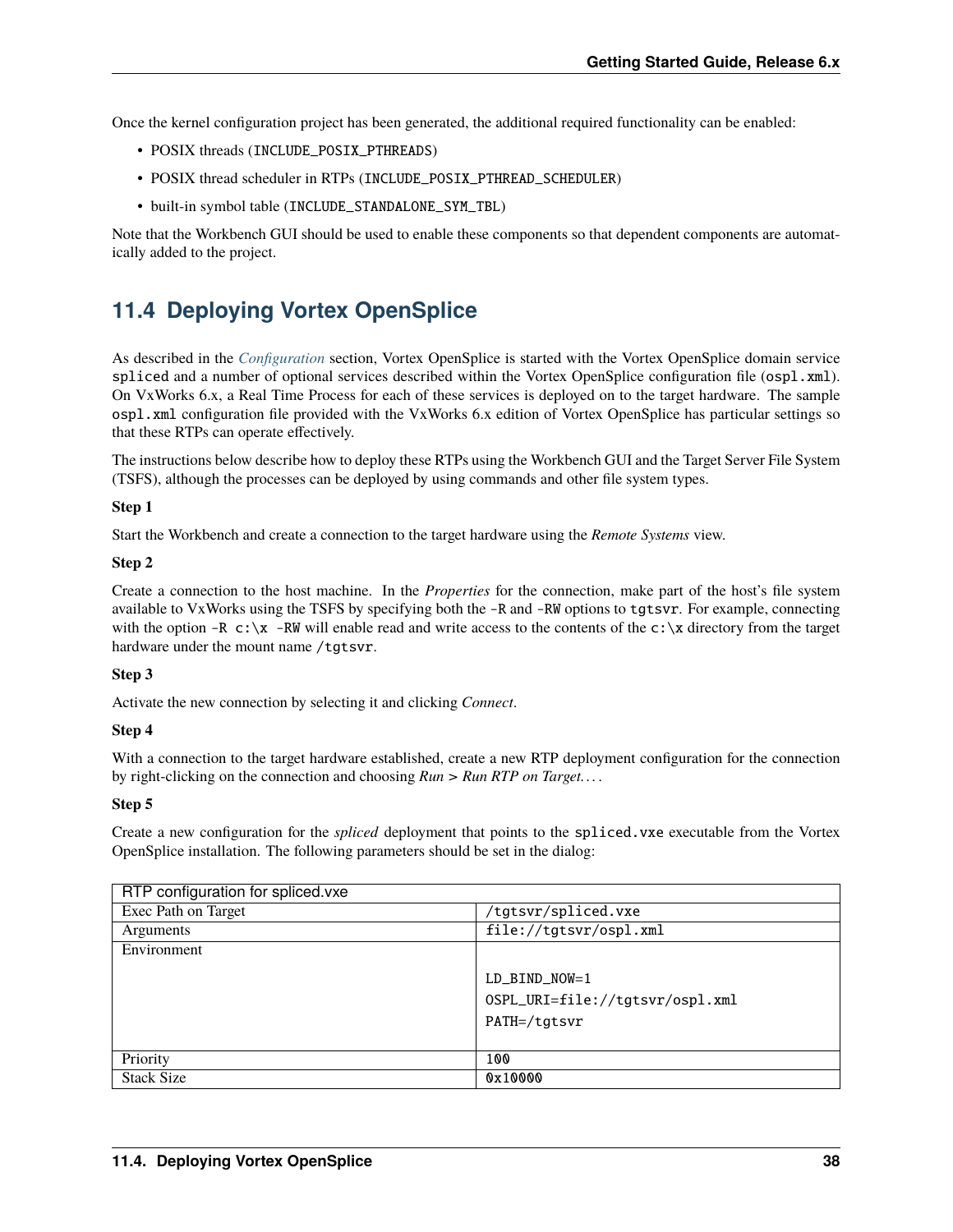Once the kernel configuration project has been generated, the additional required functionality can be enabled:

- POSIX threads (INCLUDE\_POSIX\_PTHREADS)
- POSIX thread scheduler in RTPs (INCLUDE\_POSIX\_PTHREAD\_SCHEDULER)
- built-in symbol table (INCLUDE\_STANDALONE\_SYM\_TBL)

Note that the Workbench GUI should be used to enable these components so that dependent components are automatically added to the project.

# <span id="page-41-0"></span>**11.4 Deploying Vortex OpenSplice**

As described in the *[Configuration](#page-20-0)* section, Vortex OpenSplice is started with the Vortex OpenSplice domain service spliced and a number of optional services described within the Vortex OpenSplice configuration file (ospl.xml). On VxWorks 6.x, a Real Time Process for each of these services is deployed on to the target hardware. The sample ospl.xml configuration file provided with the VxWorks 6.x edition of Vortex OpenSplice has particular settings so that these RTPs can operate effectively.

The instructions below describe how to deploy these RTPs using the Workbench GUI and the Target Server File System (TSFS), although the processes can be deployed by using commands and other file system types.

#### **Step 1**

Start the Workbench and create a connection to the target hardware using the *Remote Systems* view.

#### **Step 2**

Create a connection to the host machine. In the *Properties* for the connection, make part of the host's file system available to VxWorks using the TSFS by specifying both the -R and -RW options to tgtsvr. For example, connecting with the option -R  $c:\x$  -RW will enable read and write access to the contents of the  $c:\x$  directory from the target hardware under the mount name /tgtsvr.

#### **Step 3**

Activate the new connection by selecting it and clicking *Connect*.

## **Step 4**

With a connection to the target hardware established, create a new RTP deployment configuration for the connection by right-clicking on the connection and choosing *Run > Run RTP on Target. . .* .

#### **Step 5**

Create a new configuration for the *spliced* deployment that points to the spliced.vxe executable from the Vortex OpenSplice installation. The following parameters should be set in the dialog:

| RTP configuration for spliced vxe |                                                                    |
|-----------------------------------|--------------------------------------------------------------------|
| Exec Path on Target               | /tgtsvr/spliced.vxe                                                |
| Arguments                         | file://tgtsvr/ospl.xml                                             |
| Environment                       |                                                                    |
|                                   | $LD_BIND_NOW=1$<br>OSPL_URI=file://tgtsvr/ospl.xml<br>PATH=/tgtsvr |
| Priority                          | 100                                                                |
| <b>Stack Size</b>                 | 0x10000                                                            |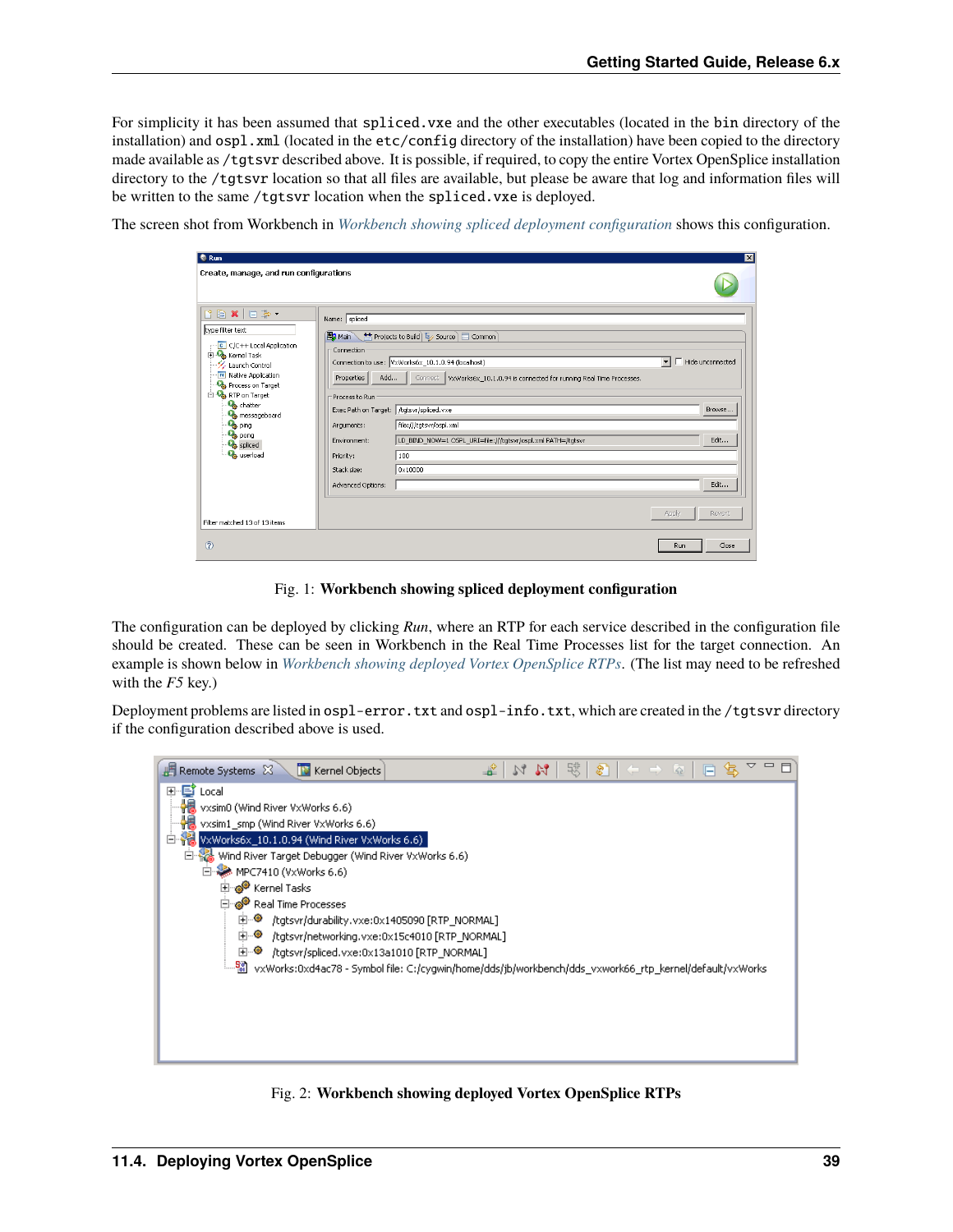For simplicity it has been assumed that spliced.vxe and the other executables (located in the bin directory of the installation) and  $osp1$ . xml (located in the etc/config directory of the installation) have been copied to the directory made available as /tgtsvr described above. It is possible, if required, to copy the entire Vortex OpenSplice installation directory to the /tgtsvr location so that all files are available, but please be aware that log and information files will be written to the same /tgtsvr location when the spliced.vxe is deployed.

<span id="page-42-0"></span>The screen shot from Workbench in *[Workbench showing spliced deployment configuration](#page-42-0)* shows this configuration.

| <b>&amp;</b> Run                                                                                                                                                                                                                                                                                                                                                                                                                                                                                                                                                                                                                              |                                                                                                                                                                                                                                                                                                                                                                                                                                                                                                                |                        |
|-----------------------------------------------------------------------------------------------------------------------------------------------------------------------------------------------------------------------------------------------------------------------------------------------------------------------------------------------------------------------------------------------------------------------------------------------------------------------------------------------------------------------------------------------------------------------------------------------------------------------------------------------|----------------------------------------------------------------------------------------------------------------------------------------------------------------------------------------------------------------------------------------------------------------------------------------------------------------------------------------------------------------------------------------------------------------------------------------------------------------------------------------------------------------|------------------------|
| Create, manage, and run configurations                                                                                                                                                                                                                                                                                                                                                                                                                                                                                                                                                                                                        |                                                                                                                                                                                                                                                                                                                                                                                                                                                                                                                |                        |
| $\begin{array}{c c c c c c} \hline \mathbf{f} & \mathbf{f} & \mathbf{f} & \mathbf{f} & \mathbf{f} \\ \hline \mathbf{f} & \mathbf{f} & \mathbf{f} & \mathbf{f} & \mathbf{f} & \mathbf{f} \\ \hline \mathbf{f} & \mathbf{f} & \mathbf{f} & \mathbf{f} & \mathbf{f} & \mathbf{f} \end{array}$<br>type filter text<br>C C/C++ Local Application<br><b>Elles</b> Kernel Task<br>™ Launch Control<br>Native Application<br><b>Co</b> Process on Target<br>RTP on Target<br><b>O</b> <sub>o</sub> chatter<br><b>O</b> <sub>o</sub> messageboard<br><b>O<sub>o</sub></b> ping<br><b>O<sub>O</sub></b> pong<br><b>Co</b> spliced<br><b>Co</b> userload | Name: spliced<br>Main Projects to Build E Source Common<br>Connection<br>Connection to use: VxWorks6x_10.1.0.94 (localhost)<br>Hide unconnected<br>Add<br>Properties<br>Connect   VxWorks6x_10.1.0.94 is connected for running Real Time Processes.<br>Process to Run<br>Exec Path on Target:   /tgtsvr/spliced.vxe<br>file:///tgtsvr/ospl.xml<br>Arguments:<br>LD_BIND_NOW=1 OSPL_URI=file:///tgtsvr/ospl.xml PATH=/tgtsvr<br>Environment:<br>100<br>Priority:<br>0x10000<br>Stack size:<br>Advanced Options: | Browse<br>Edit<br>Edit |
| Filter matched 13 of 13 items                                                                                                                                                                                                                                                                                                                                                                                                                                                                                                                                                                                                                 | Apply                                                                                                                                                                                                                                                                                                                                                                                                                                                                                                          | Revert                 |
| $\circledR$                                                                                                                                                                                                                                                                                                                                                                                                                                                                                                                                                                                                                                   | Run                                                                                                                                                                                                                                                                                                                                                                                                                                                                                                            | Close                  |

Fig. 1: **Workbench showing spliced deployment configuration**

The configuration can be deployed by clicking *Run*, where an RTP for each service described in the configuration file should be created. These can be seen in Workbench in the Real Time Processes list for the target connection. An example is shown below in *[Workbench showing deployed Vortex OpenSplice RTPs](#page-42-1)*. (The list may need to be refreshed with the *F5* key.)

Deployment problems are listed in ospl-error.txt and ospl-info.txt, which are created in the /tgtsvr directory if the configuration described above is used.

<span id="page-42-1"></span>

Fig. 2: **Workbench showing deployed Vortex OpenSplice RTPs**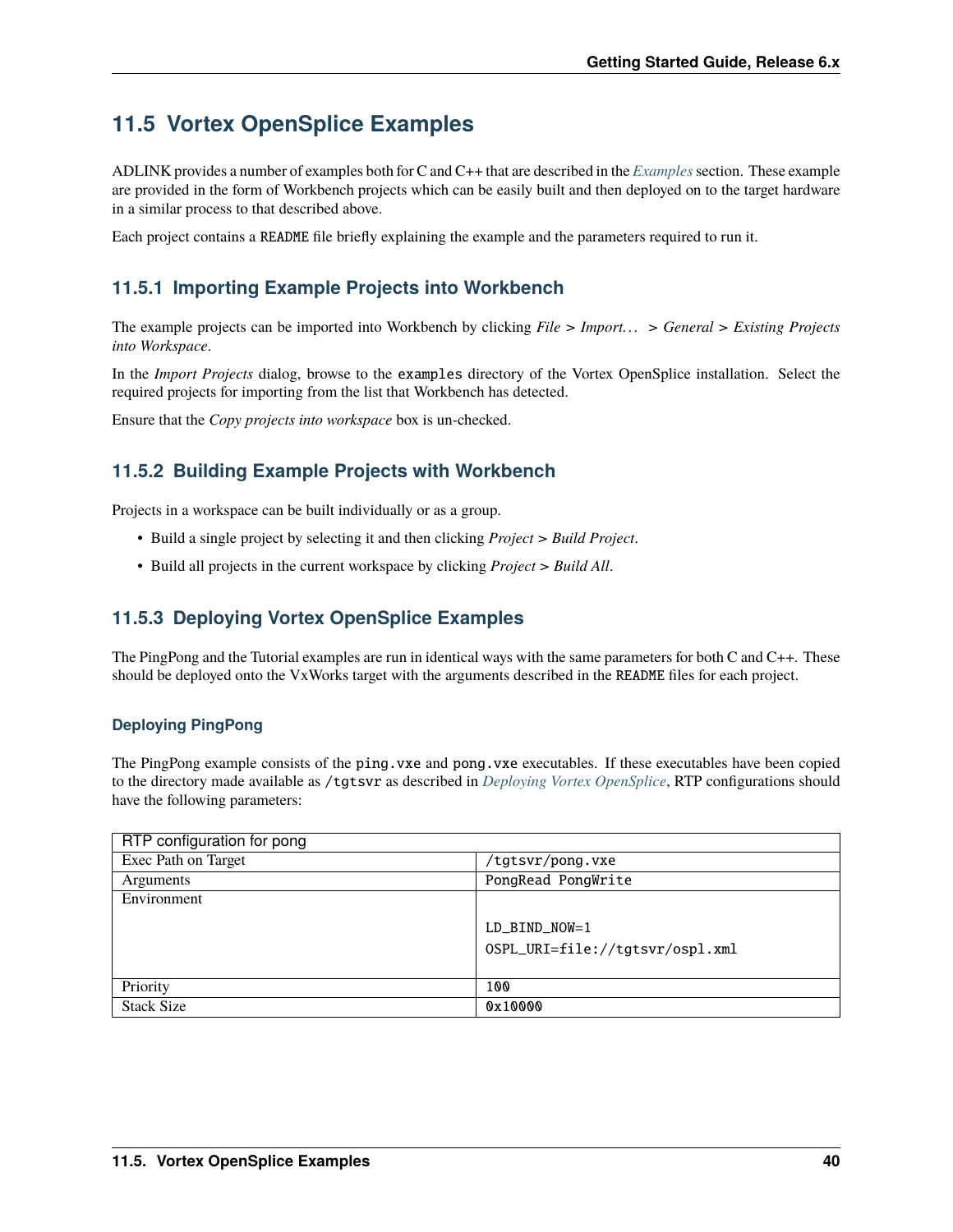# **11.5 Vortex OpenSplice Examples**

ADLINK provides a number of examples both for C and C++ that are described in the *[Examples](#page-23-0)*section. These example are provided in the form of Workbench projects which can be easily built and then deployed on to the target hardware in a similar process to that described above.

Each project contains a README file briefly explaining the example and the parameters required to run it.

# **11.5.1 Importing Example Projects into Workbench**

The example projects can be imported into Workbench by clicking *File > Import. . . > General > Existing Projects into Workspace*.

In the *Import Projects* dialog, browse to the examples directory of the Vortex OpenSplice installation. Select the required projects for importing from the list that Workbench has detected.

Ensure that the *Copy projects into workspace* box is un-checked.

# **11.5.2 Building Example Projects with Workbench**

Projects in a workspace can be built individually or as a group.

- Build a single project by selecting it and then clicking *Project > Build Project*.
- Build all projects in the current workspace by clicking *Project > Build All*.

# **11.5.3 Deploying Vortex OpenSplice Examples**

The PingPong and the Tutorial examples are run in identical ways with the same parameters for both C and C++. These should be deployed onto the VxWorks target with the arguments described in the README files for each project.

## **Deploying PingPong**

The PingPong example consists of the ping. vxe and pong. vxe executables. If these executables have been copied to the directory made available as /tgtsvr as described in *[Deploying Vortex OpenSplice](#page-41-0)*, RTP configurations should have the following parameters:

| RTP configuration for pong |                                 |
|----------------------------|---------------------------------|
| Exec Path on Target        | tgtsvr/pong.vxe/                |
| <b>Arguments</b>           | PongRead PongWrite              |
| Environment                |                                 |
|                            | $LD_BIND_NOW=1$                 |
|                            | OSPL_URI=file://tgtsvr/ospl.xml |
|                            |                                 |
| Priority                   | 100                             |
| <b>Stack Size</b>          | 0x10000                         |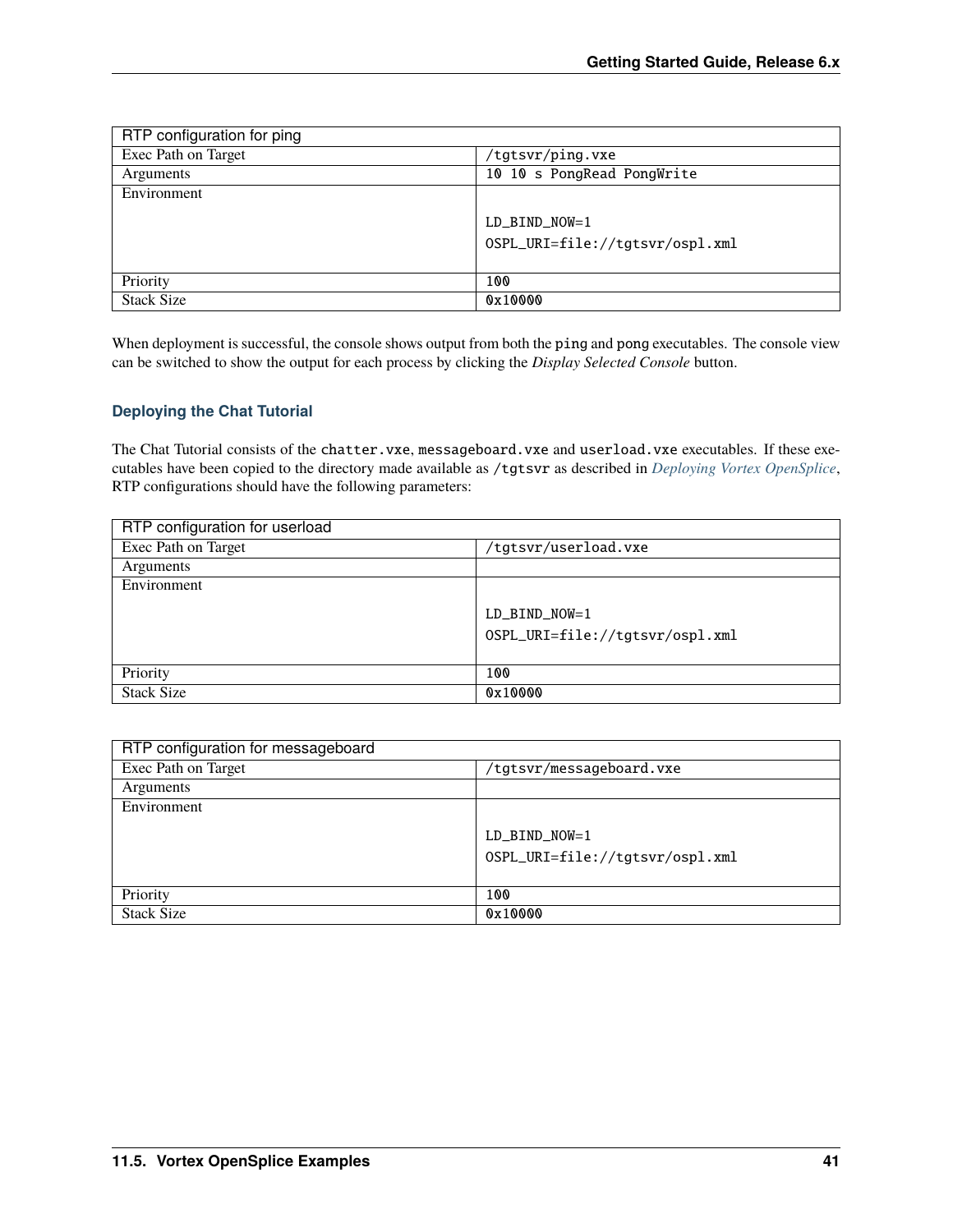| RTP configuration for ping |                                 |
|----------------------------|---------------------------------|
| Exec Path on Target        | /tgtsvr/ping.vxe                |
| Arguments                  | 10 10 s PongRead PongWrite      |
| Environment                |                                 |
|                            | $LD_BIND_NOW=1$                 |
|                            | OSPL_URI=file://tgtsvr/ospl.xml |
|                            |                                 |
| Priority                   | 100                             |
| <b>Stack Size</b>          | 0x10000                         |

When deployment is successful, the console shows output from both the ping and pong executables. The console view can be switched to show the output for each process by clicking the *Display Selected Console* button.

## **Deploying the Chat Tutorial**

The Chat Tutorial consists of the chatter.vxe, messageboard.vxe and userload.vxe executables. If these executables have been copied to the directory made available as /tgtsvr as described in *[Deploying Vortex OpenSplice](#page-41-0)*, RTP configurations should have the following parameters:

| RTP configuration for userload |                                 |
|--------------------------------|---------------------------------|
| Exec Path on Target            | /tgtsvr/userload.vxe            |
| Arguments                      |                                 |
| Environment                    |                                 |
|                                | $LD_BIND_NOW=1$                 |
|                                |                                 |
|                                | OSPL_URI=file://tgtsvr/ospl.xml |
|                                |                                 |
| Priority                       | 100                             |
| <b>Stack Size</b>              | 0x10000                         |

| RTP configuration for messageboard |                                 |
|------------------------------------|---------------------------------|
| Exec Path on Target                | /tgtsvr/messageboard.vxe        |
| Arguments                          |                                 |
| Environment                        |                                 |
|                                    | $LD_BIND_NOW=1$                 |
|                                    | OSPL_URI=file://tgtsvr/ospl.xml |
| Priority                           | 100                             |
| <b>Stack Size</b>                  | 0x10000                         |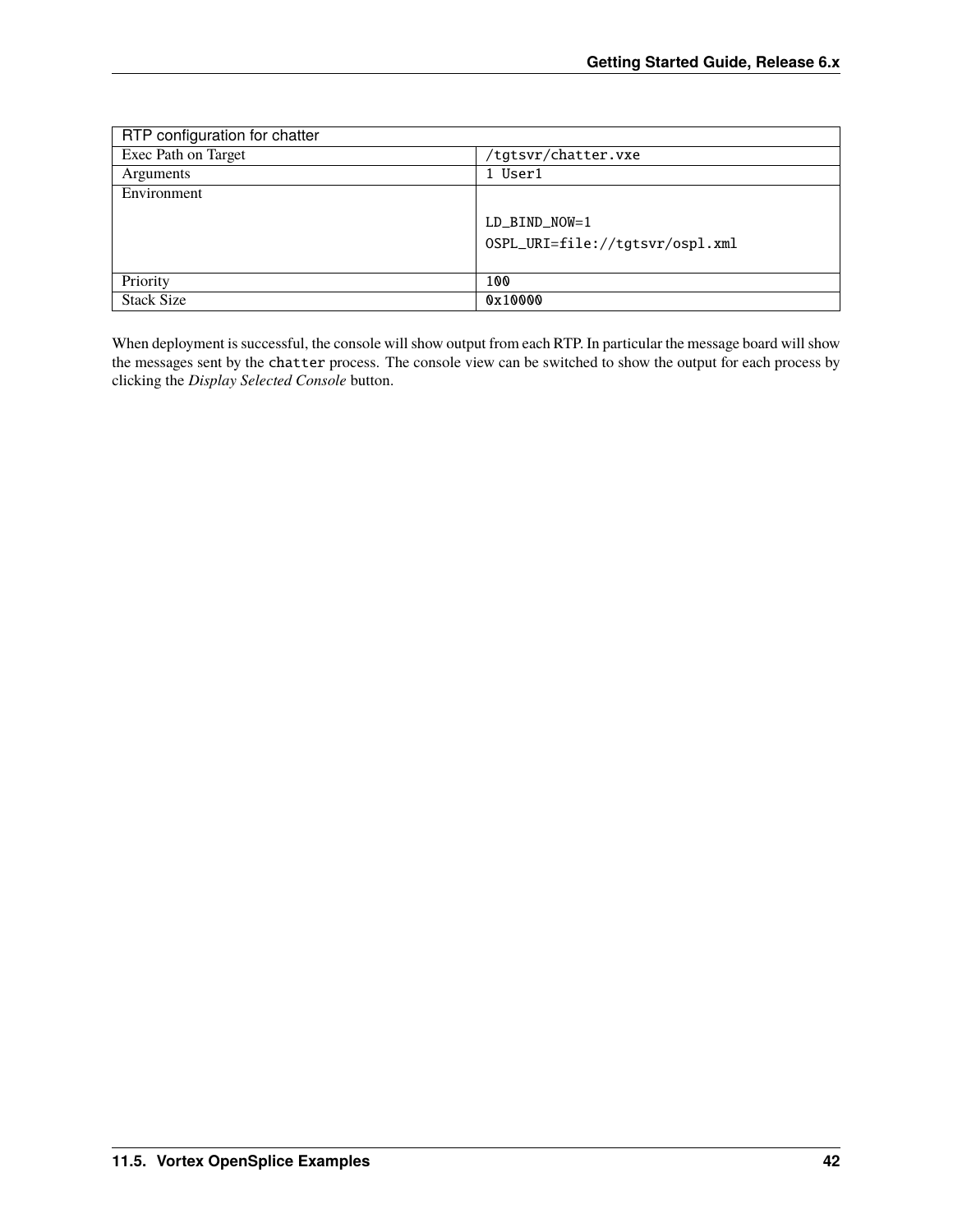| RTP configuration for chatter |                                 |
|-------------------------------|---------------------------------|
| Exec Path on Target           | /tgtsvr/chatter.vxe             |
| Arguments                     | 1 User1                         |
| Environment                   |                                 |
|                               | LD BIND NOW=1                   |
|                               | OSPL_URI=file://tgtsvr/ospl.xml |
| Priority                      | 100                             |
| <b>Stack Size</b>             | 0x10000                         |

When deployment is successful, the console will show output from each RTP. In particular the message board will show the messages sent by the chatter process. The console view can be switched to show the output for each process by clicking the *Display Selected Console* button.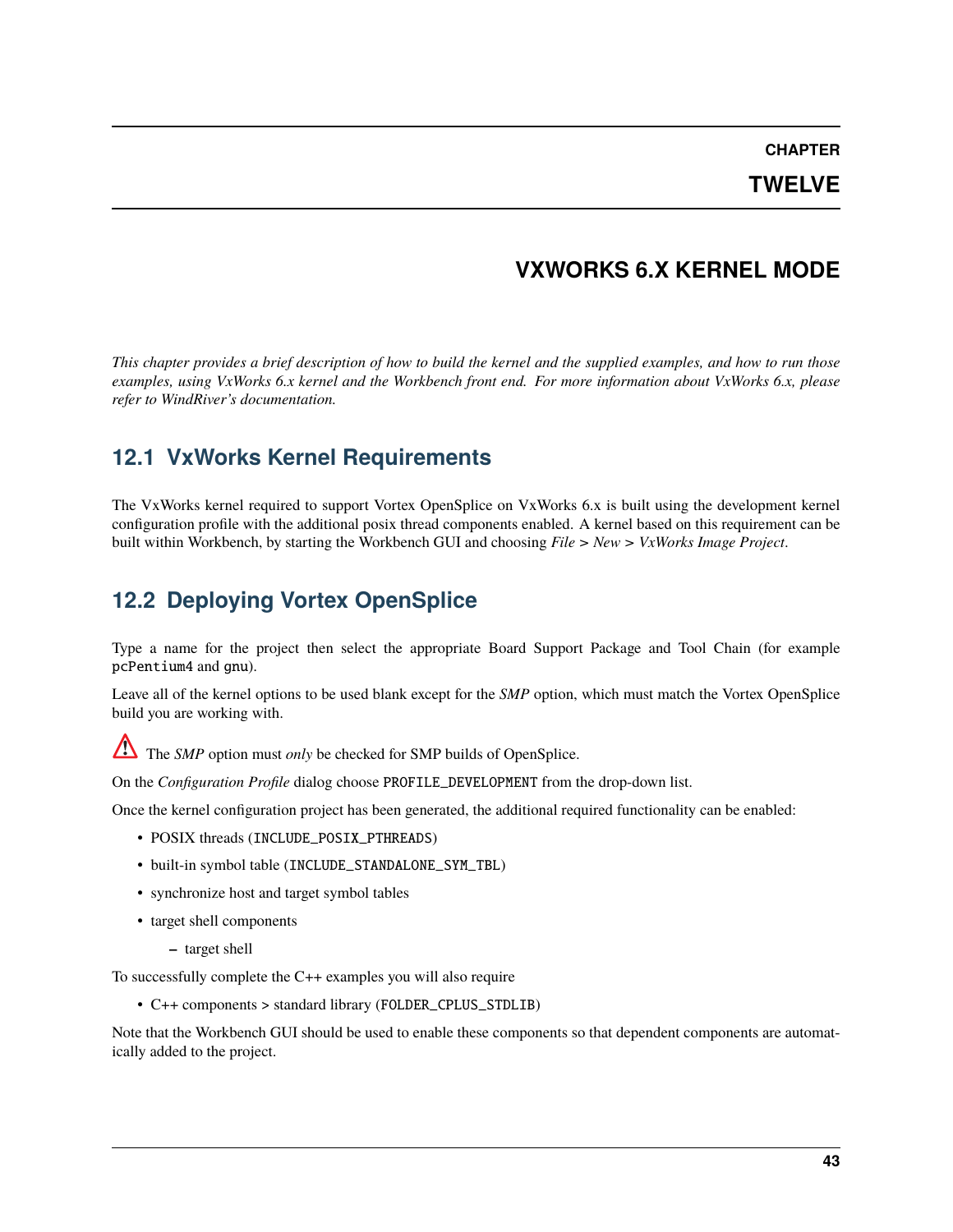**CHAPTER**

# **TWELVE**

# **VXWORKS 6.X KERNEL MODE**

*This chapter provides a brief description of how to build the kernel and the supplied examples, and how to run those examples, using VxWorks 6.x kernel and the Workbench front end. For more information about VxWorks 6.x, please refer to WindRiver's documentation.*

# **12.1 VxWorks Kernel Requirements**

The VxWorks kernel required to support Vortex OpenSplice on VxWorks 6.x is built using the development kernel configuration profile with the additional posix thread components enabled. A kernel based on this requirement can be built within Workbench, by starting the Workbench GUI and choosing *File > New > VxWorks Image Project*.

# **12.2 Deploying Vortex OpenSplice**

Type a name for the project then select the appropriate Board Support Package and Tool Chain (for example pcPentium4 and gnu).

Leave all of the kernel options to be used blank except for the *SMP* option, which must match the Vortex OpenSplice build you are working with.

The *SMP* option must *only* be checked for SMP builds of OpenSplice.

On the *Configuration Profile* dialog choose PROFILE\_DEVELOPMENT from the drop-down list.

Once the kernel configuration project has been generated, the additional required functionality can be enabled:

- POSIX threads (INCLUDE\_POSIX\_PTHREADS)
- built-in symbol table (INCLUDE\_STANDALONE\_SYM\_TBL)
- synchronize host and target symbol tables
- target shell components
	- **–** target shell

To successfully complete the C++ examples you will also require

• C++ components > standard library (FOLDER\_CPLUS\_STDLIB)

Note that the Workbench GUI should be used to enable these components so that dependent components are automatically added to the project.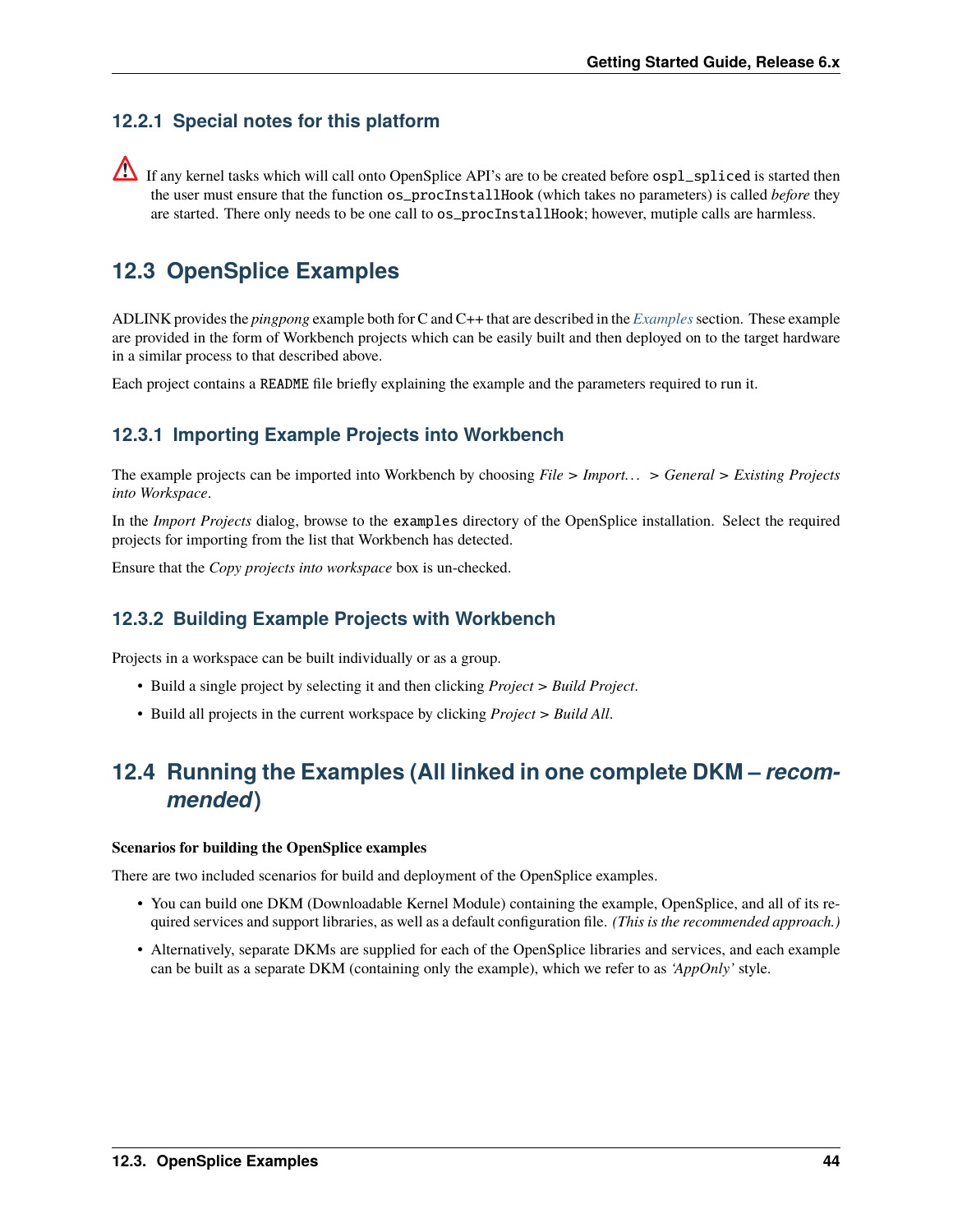# **12.2.1 Special notes for this platform**

 $\triangle$  If any kernel tasks which will call onto OpenSplice API's are to be created before  $osp1$  spliced is started then the user must ensure that the function os\_procInstallHook (which takes no parameters) is called *before* they are started. There only needs to be one call to os\_procInstallHook; however, mutiple calls are harmless.

# **12.3 OpenSplice Examples**

ADLINK provides the *pingpong* example both for C and C++ that are described in the *[Examples](#page-23-0)*section. These example are provided in the form of Workbench projects which can be easily built and then deployed on to the target hardware in a similar process to that described above.

Each project contains a README file briefly explaining the example and the parameters required to run it.

# **12.3.1 Importing Example Projects into Workbench**

The example projects can be imported into Workbench by choosing *File > Import. . . > General > Existing Projects into Workspace*.

In the *Import Projects* dialog, browse to the examples directory of the OpenSplice installation. Select the required projects for importing from the list that Workbench has detected.

Ensure that the *Copy projects into workspace* box is un-checked.

# **12.3.2 Building Example Projects with Workbench**

Projects in a workspace can be built individually or as a group.

- Build a single project by selecting it and then clicking *Project > Build Project*.
- Build all projects in the current workspace by clicking *Project > Build All*.

# **12.4 Running the Examples (All linked in one complete DKM –** *recommended***)**

#### **Scenarios for building the OpenSplice examples**

There are two included scenarios for build and deployment of the OpenSplice examples.

- You can build one DKM (Downloadable Kernel Module) containing the example, OpenSplice, and all of its required services and support libraries, as well as a default configuration file. *(This is the recommended approach.)*
- Alternatively, separate DKMs are supplied for each of the OpenSplice libraries and services, and each example can be built as a separate DKM (containing only the example), which we refer to as *'AppOnly'* style.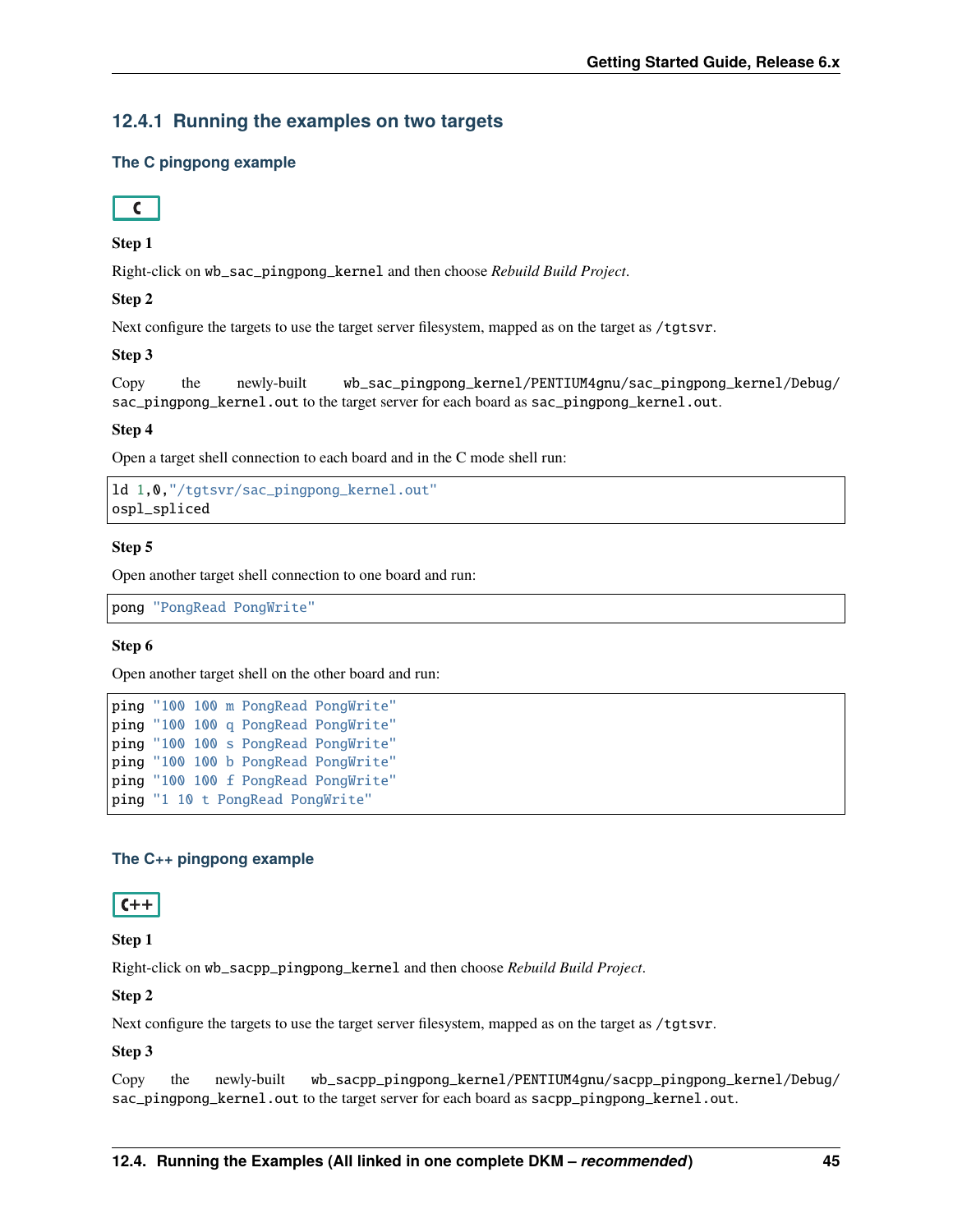# **12.4.1 Running the examples on two targets**

## **The C pingpong example**



## **Step 1**

Right-click on wb\_sac\_pingpong\_kernel and then choose *Rebuild Build Project*.

## **Step 2**

Next configure the targets to use the target server filesystem, mapped as on the target as /tgtsvr.

## **Step 3**

```
Copy the newly-built wb_sac_pingpong_kernel/PENTIUM4gnu/sac_pingpong_kernel/Debug/
sac_pingpong_kernel.out to the target server for each board as sac_pingpong_kernel.out.
```
## **Step 4**

Open a target shell connection to each board and in the C mode shell run:

```
ld 1,0,"/tgtsvr/sac_pingpong_kernel.out"
ospl_spliced
```
## **Step 5**

Open another target shell connection to one board and run:

pong "PongRead PongWrite"

## **Step 6**

Open another target shell on the other board and run:

```
ping "100 100 m PongRead PongWrite"
ping "100 100 q PongRead PongWrite"
ping "100 100 s PongRead PongWrite"
ping "100 100 b PongRead PongWrite"
ping "100 100 f PongRead PongWrite"
ping "1 10 t PongRead PongWrite"
```
## **The C++ pingpong example**

# $C++$

## **Step 1**

Right-click on wb\_sacpp\_pingpong\_kernel and then choose *Rebuild Build Project*.

## **Step 2**

Next configure the targets to use the target server filesystem, mapped as on the target as /tgtsvr.

## **Step 3**

Copy the newly-built wb\_sacpp\_pingpong\_kernel/PENTIUM4gnu/sacpp\_pingpong\_kernel/Debug/ sac\_pingpong\_kernel.out to the target server for each board as sacpp\_pingpong\_kernel.out.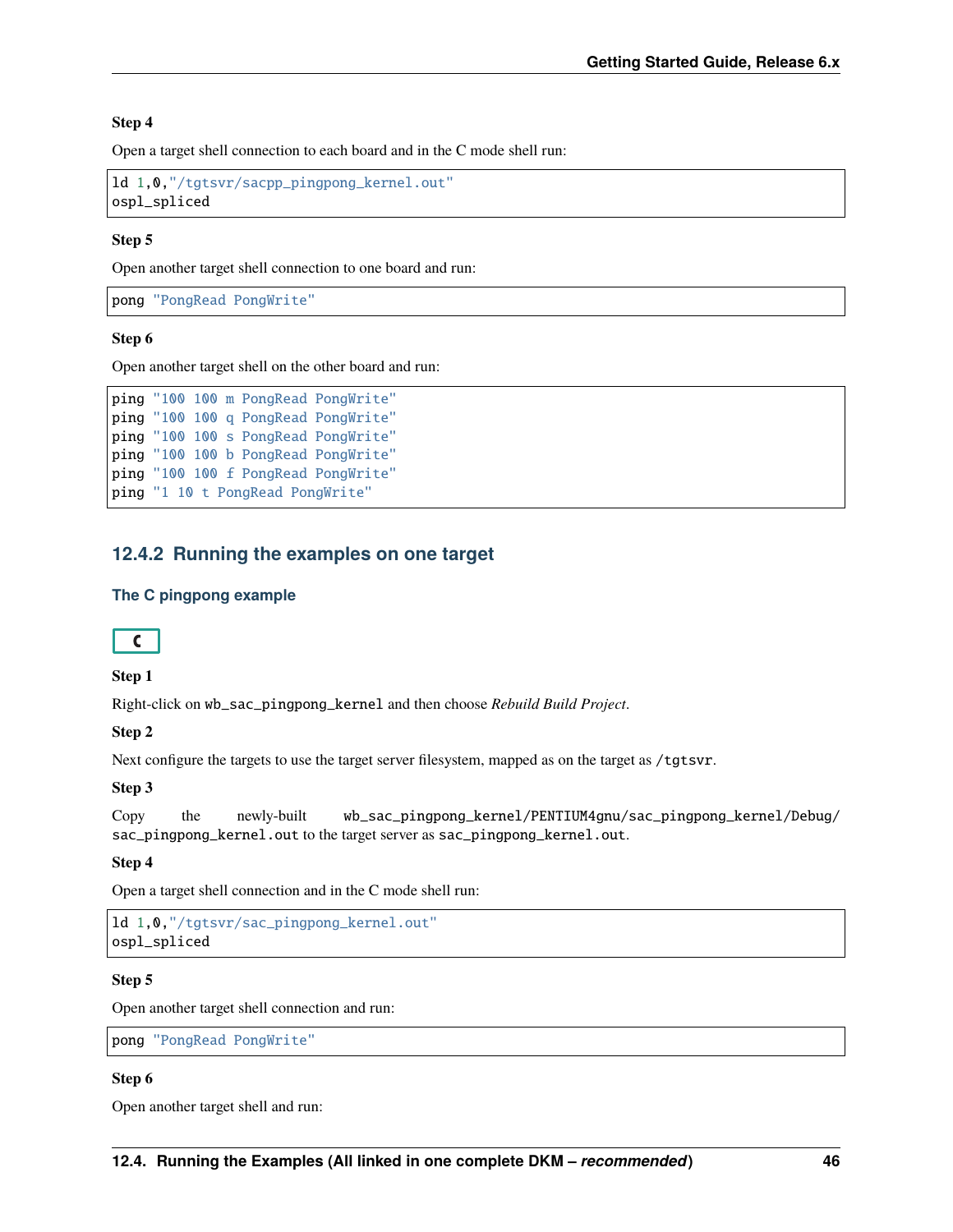## **Step 4**

Open a target shell connection to each board and in the C mode shell run:

```
ld 1,0,"/tgtsvr/sacpp_pingpong_kernel.out"
ospl_spliced
```
## **Step 5**

Open another target shell connection to one board and run:

pong "PongRead PongWrite"

## **Step 6**

Open another target shell on the other board and run:

```
ping "100 100 m PongRead PongWrite"
ping "100 100 q PongRead PongWrite"
ping "100 100 s PongRead PongWrite"
ping "100 100 b PongRead PongWrite"
ping "100 100 f PongRead PongWrite"
ping "1 10 t PongRead PongWrite"
```
## **12.4.2 Running the examples on one target**

## **The C pingpong example**



## **Step 1**

Right-click on wb\_sac\_pingpong\_kernel and then choose *Rebuild Build Project*.

#### **Step 2**

Next configure the targets to use the target server filesystem, mapped as on the target as /tgtsvr.

## **Step 3**

Copy the newly-built wb\_sac\_pingpong\_kernel/PENTIUM4gnu/sac\_pingpong\_kernel/Debug/ sac\_pingpong\_kernel.out to the target server as sac\_pingpong\_kernel.out.

## **Step 4**

Open a target shell connection and in the C mode shell run:

```
ld 1,0,"/tgtsvr/sac_pingpong_kernel.out"
ospl_spliced
```
## **Step 5**

Open another target shell connection and run:

pong "PongRead PongWrite"

## **Step 6**

Open another target shell and run: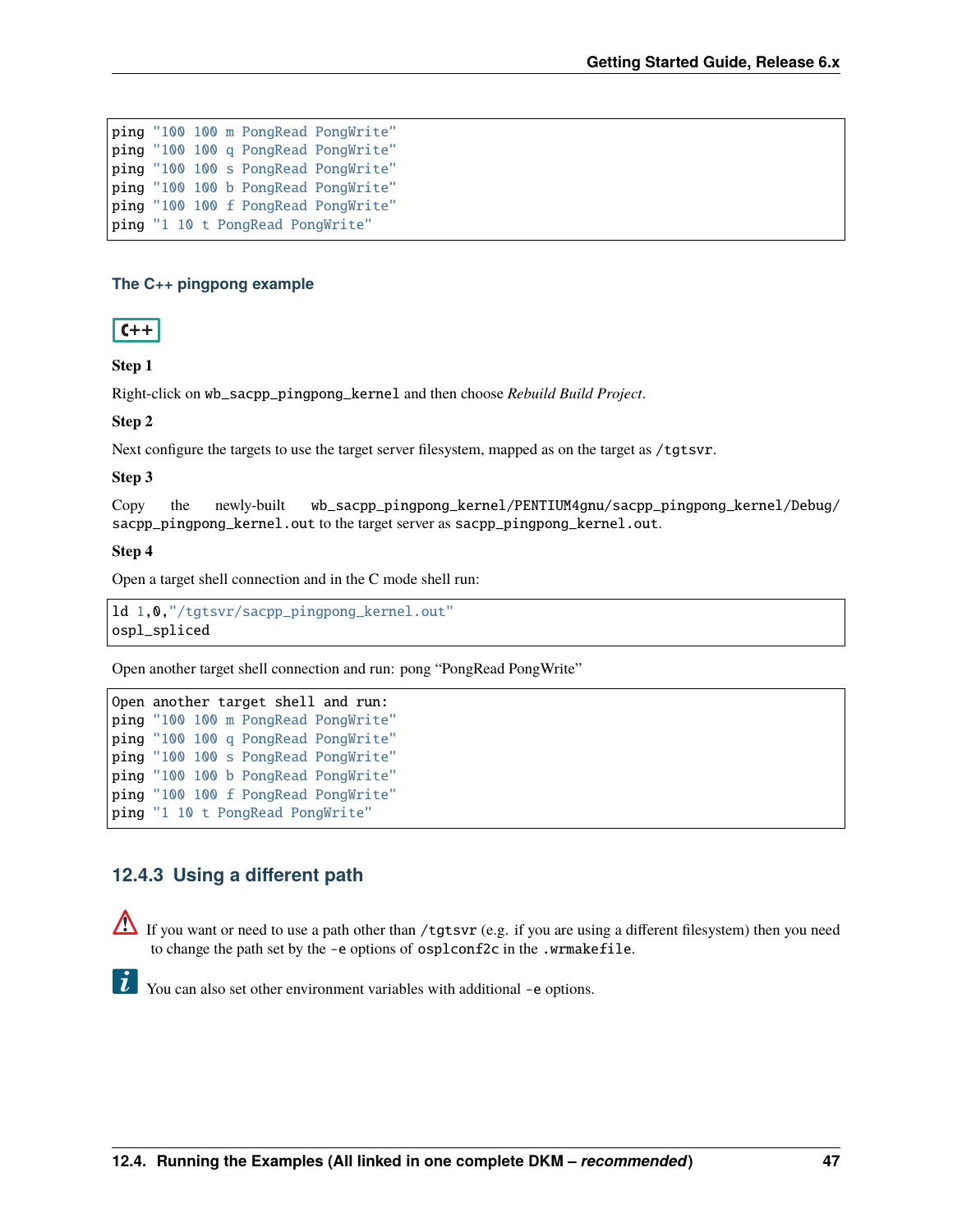ping "100 100 m PongRead PongWrite" ping "100 100 q PongRead PongWrite" ping "100 100 s PongRead PongWrite" ping "100 100 b PongRead PongWrite" ping "100 100 f PongRead PongWrite" ping "1 10 t PongRead PongWrite"

## **The C++ pingpong example**



## **Step 1**

Right-click on wb\_sacpp\_pingpong\_kernel and then choose *Rebuild Build Project*.

## **Step 2**

Next configure the targets to use the target server filesystem, mapped as on the target as /tgtsvr.

## **Step 3**

Copy the newly-built wb\_sacpp\_pingpong\_kernel/PENTIUM4gnu/sacpp\_pingpong\_kernel/Debug/ sacpp\_pingpong\_kernel.out to the target server as sacpp\_pingpong\_kernel.out.

#### **Step 4**

Open a target shell connection and in the C mode shell run:

ld 1,0,"/tgtsvr/sacpp\_pingpong\_kernel.out" ospl\_spliced

Open another target shell connection and run: pong "PongRead PongWrite"

```
Open another target shell and run:
ping "100 100 m PongRead PongWrite"
ping "100 100 q PongRead PongWrite"
ping "100 100 s PongRead PongWrite"
ping "100 100 b PongRead PongWrite"
ping "100 100 f PongRead PongWrite"
ping "1 10 t PongRead PongWrite"
```
# **12.4.3 Using a different path**

If you want or need to use a path other than /tgtsvr (e.g. if you are using a different filesystem) then you need to change the path set by the -e options of osplconf2c in the .wrmakefile.

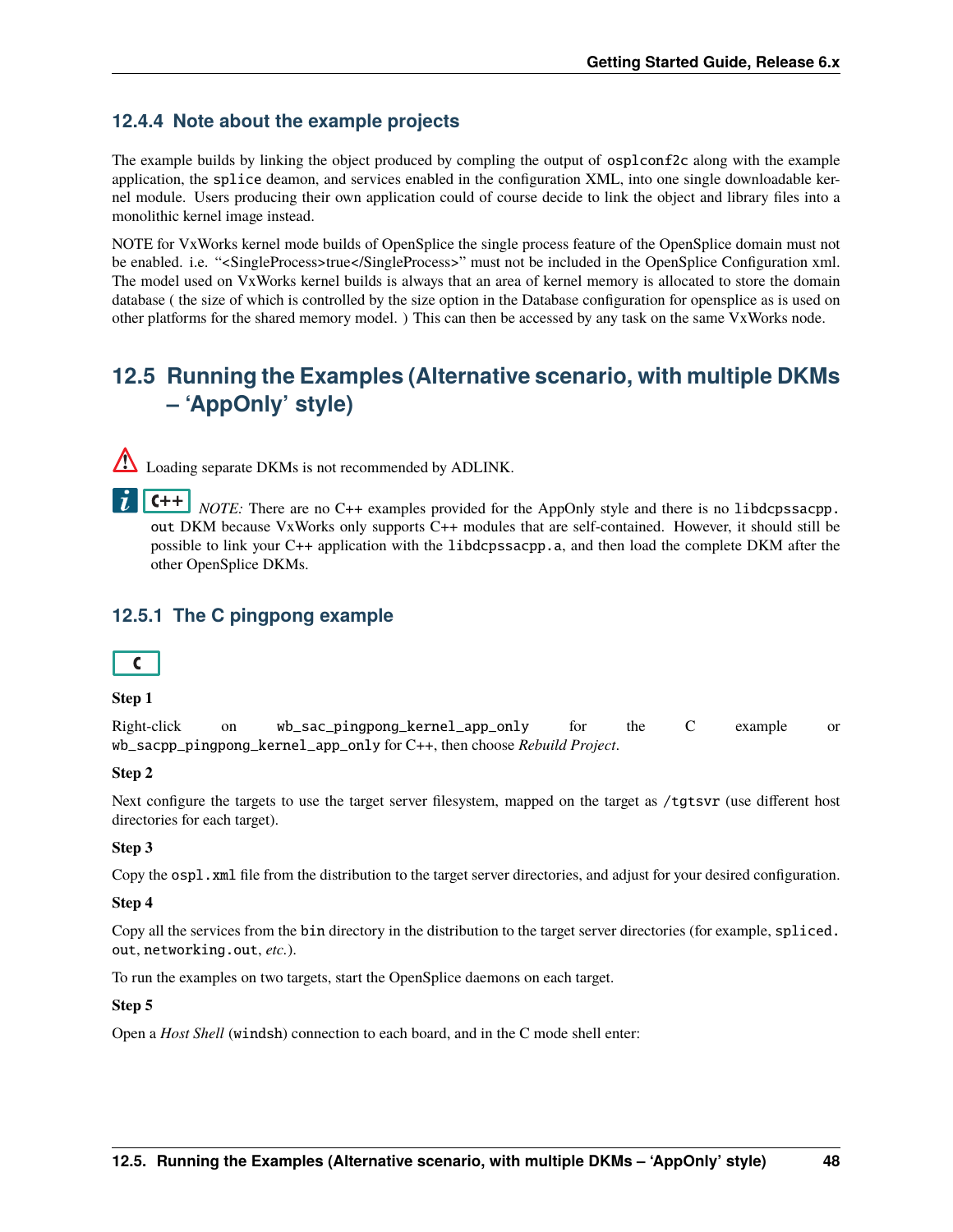# **12.4.4 Note about the example projects**

The example builds by linking the object produced by compling the output of osplconf2c along with the example application, the splice deamon, and services enabled in the configuration XML, into one single downloadable kernel module. Users producing their own application could of course decide to link the object and library files into a monolithic kernel image instead.

NOTE for VxWorks kernel mode builds of OpenSplice the single process feature of the OpenSplice domain must not be enabled. i.e. "<SingleProcess>true</SingleProcess>" must not be included in the OpenSplice Configuration xml. The model used on VxWorks kernel builds is always that an area of kernel memory is allocated to store the domain database ( the size of which is controlled by the size option in the Database configuration for opensplice as is used on other platforms for the shared memory model. ) This can then be accessed by any task on the same VxWorks node.

# **12.5 Running the Examples (Alternative scenario, with multiple DKMs – 'AppOnly' style)**

Loading separate DKMs is not recommended by ADLINK.

 $C++$ *NOTE:* There are no C++ examples provided for the AppOnly style and there is no libdcpssacpp. out DKM because VxWorks only supports C++ modules that are self-contained. However, it should still be possible to link your C++ application with the libdcpssacpp.a, and then load the complete DKM after the other OpenSplice DKMs.

# **12.5.1 The C pingpong example**



## **Step 1**

Right-click on wb\_sac\_pingpong\_kernel\_app\_only for the C example or wb\_sacpp\_pingpong\_kernel\_app\_only for C++, then choose *Rebuild Project*.

## **Step 2**

Next configure the targets to use the target server filesystem, mapped on the target as /tgtsvr (use different host directories for each target).

## **Step 3**

Copy the ospl.xml file from the distribution to the target server directories, and adjust for your desired configuration.

## **Step 4**

Copy all the services from the bin directory in the distribution to the target server directories (for example, spliced. out, networking.out, *etc.*).

To run the examples on two targets, start the OpenSplice daemons on each target.

## **Step 5**

Open a *Host Shell* (windsh) connection to each board, and in the C mode shell enter: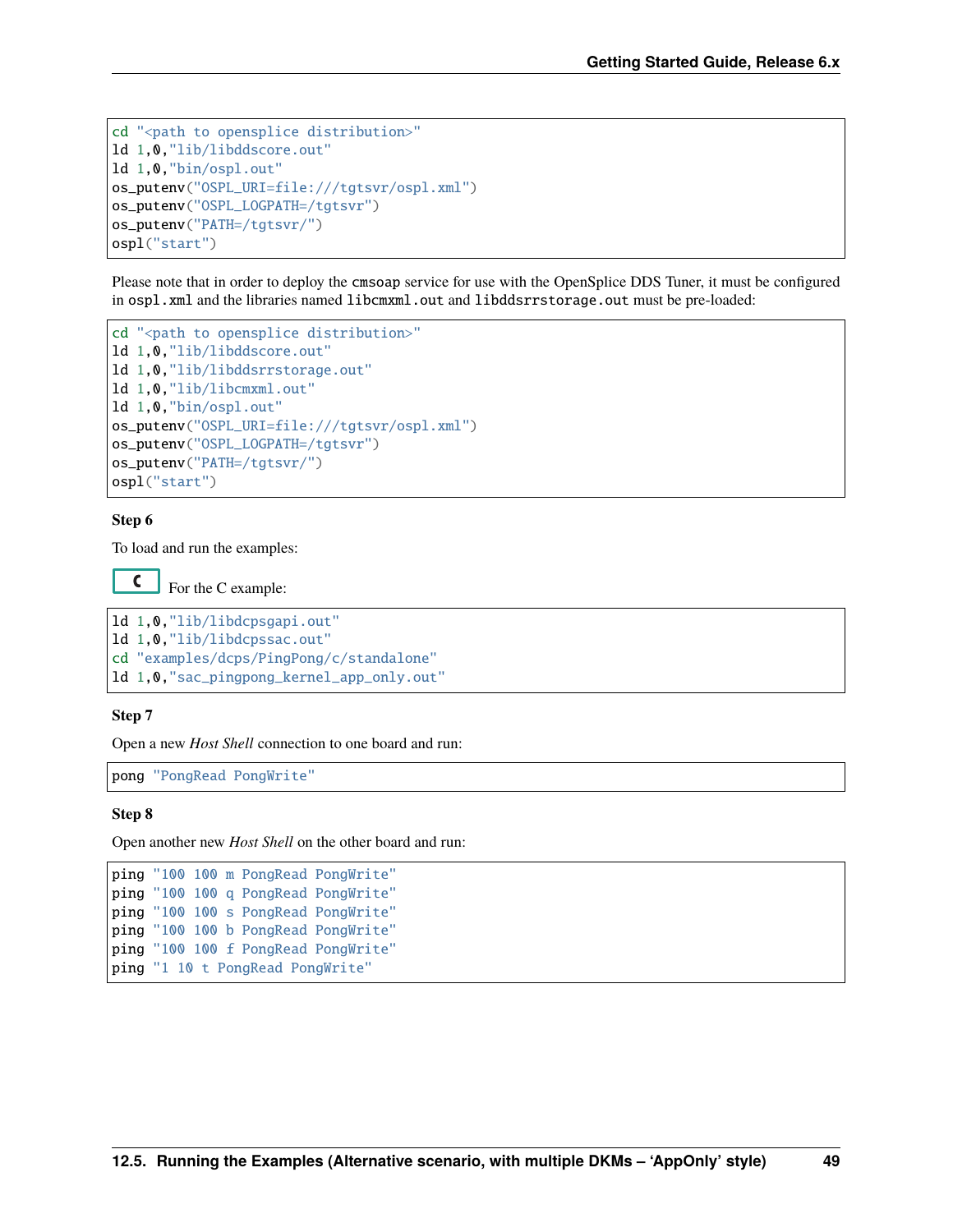```
cd "<path to opensplice distribution>"
ld 1,0,"lib/libddscore.out"
ld 1,0,"bin/ospl.out"
os_putenv("OSPL_URI=file:///tgtsvr/ospl.xml")
os_putenv("OSPL_LOGPATH=/tgtsvr")
os_putenv("PATH=/tgtsvr/")
ospl("start")
```
Please note that in order to deploy the cmsoap service for use with the OpenSplice DDS Tuner, it must be configured in ospl.xml and the libraries named libcmxml.out and libddsrrstorage.out must be pre-loaded:

```
cd "<path to opensplice distribution>"
ld 1,0,"lib/libddscore.out"
ld 1,0,"lib/libddsrrstorage.out"
ld 1,0,"lib/libcmxml.out"
ld 1,0,"bin/ospl.out"
os_putenv("OSPL_URI=file:///tgtsvr/ospl.xml")
os_putenv("OSPL_LOGPATH=/tgtsvr")
os_putenv("PATH=/tgtsvr/")
ospl("start")
```
#### **Step 6**

To load and run the examples:

 $\mathsf{C}$ For the C example:

```
ld 1,0,"lib/libdcpsgapi.out"
ld 1,0,"lib/libdcpssac.out"
cd "examples/dcps/PingPong/c/standalone"
ld 1,0,"sac_pingpong_kernel_app_only.out"
```
#### **Step 7**

Open a new *Host Shell* connection to one board and run:

pong "PongRead PongWrite"

#### **Step 8**

Open another new *Host Shell* on the other board and run:

```
ping "100 100 m PongRead PongWrite"
ping "100 100 q PongRead PongWrite"
ping "100 100 s PongRead PongWrite"
ping "100 100 b PongRead PongWrite"
ping "100 100 f PongRead PongWrite"
ping "1 10 t PongRead PongWrite"
```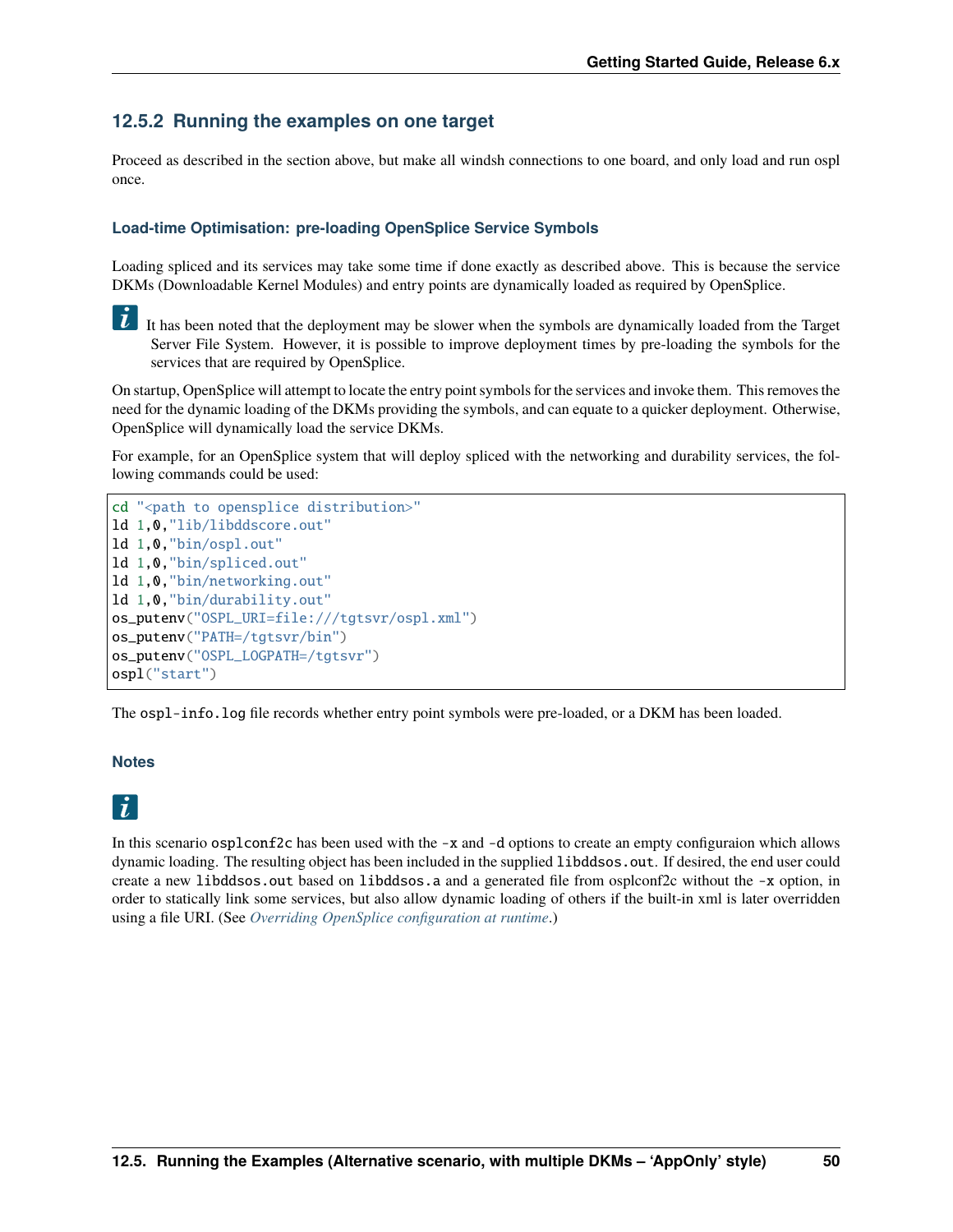## **12.5.2 Running the examples on one target**

Proceed as described in the section above, but make all windsh connections to one board, and only load and run ospl once.

## **Load-time Optimisation: pre-loading OpenSplice Service Symbols**

Loading spliced and its services may take some time if done exactly as described above. This is because the service DKMs (Downloadable Kernel Modules) and entry points are dynamically loaded as required by OpenSplice.

 $\tilde{L}$ It has been noted that the deployment may be slower when the symbols are dynamically loaded from the Target Server File System. However, it is possible to improve deployment times by pre-loading the symbols for the services that are required by OpenSplice.

On startup, OpenSplice will attempt to locate the entry point symbols for the services and invoke them. This removes the need for the dynamic loading of the DKMs providing the symbols, and can equate to a quicker deployment. Otherwise, OpenSplice will dynamically load the service DKMs.

For example, for an OpenSplice system that will deploy spliced with the networking and durability services, the following commands could be used:

```
cd "<path to opensplice distribution>"
ld 1,0,"lib/libddscore.out"
ld 1,0,"bin/ospl.out"
ld 1,0,"bin/spliced.out"
ld 1,0,"bin/networking.out"
ld 1,0,"bin/durability.out"
os_putenv("OSPL_URI=file:///tgtsvr/ospl.xml")
os_putenv("PATH=/tgtsvr/bin")
os_putenv("OSPL_LOGPATH=/tgtsvr")
ospl("start")
```
The ospl-info.log file records whether entry point symbols were pre-loaded, or a DKM has been loaded.

#### **Notes**

# $\vec{L}$

In this scenario osplconf2c has been used with the  $-x$  and  $-d$  options to create an empty configuraion which allows dynamic loading. The resulting object has been included in the supplied libddsos.out. If desired, the end user could create a new libddsos.out based on libddsos.a and a generated file from osplconf2c without the -x option, in order to statically link some services, but also allow dynamic loading of others if the built-in xml is later overridden using a file URI. (See *[Overriding OpenSplice configuration at runtime](#page-35-0)*.)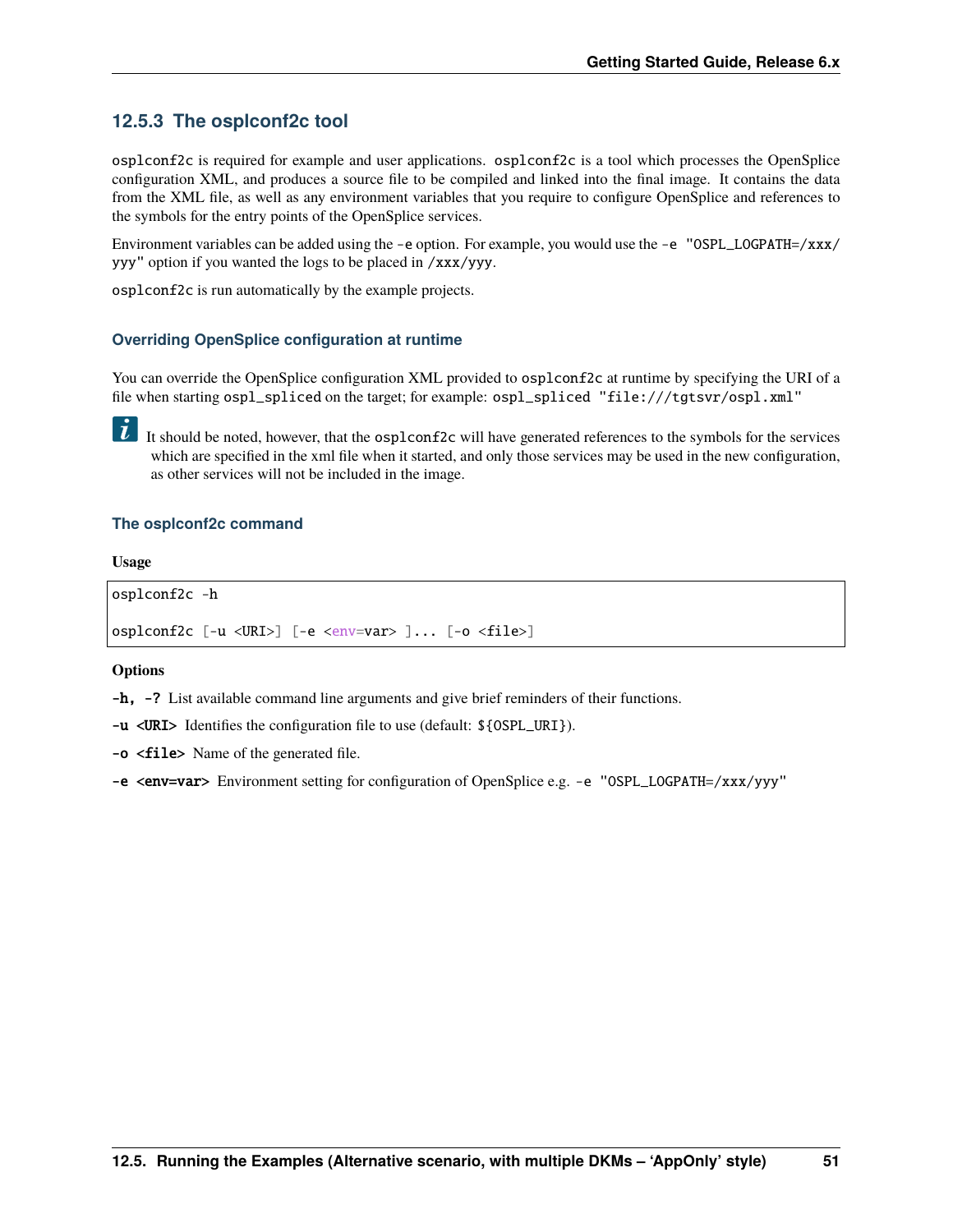## **12.5.3 The osplconf2c tool**

osplconf2c is required for example and user applications. osplconf2c is a tool which processes the OpenSplice configuration XML, and produces a source file to be compiled and linked into the final image. It contains the data from the XML file, as well as any environment variables that you require to configure OpenSplice and references to the symbols for the entry points of the OpenSplice services.

Environment variables can be added using the -e option. For example, you would use the -e "OSPL\_LOGPATH=/xxx/ yyy" option if you wanted the logs to be placed in /xxx/yyy.

osplconf2c is run automatically by the example projects.

#### **Overriding OpenSplice configuration at runtime**

You can override the OpenSplice configuration XML provided to osplconf2c at runtime by specifying the URI of a file when starting ospl\_spliced on the target; for example: ospl\_spliced "file:///tgtsvr/ospl.xml"

It should be noted, however, that the  $\sigma$ splconf2c will have generated references to the symbols for the services which are specified in the xml file when it started, and only those services may be used in the new configuration, as other services will not be included in the image.

#### **The osplconf2c command**

#### **Usage**

```
osplconf2c -h
osplconf2c [-u <URI>] [-e <env=var> ]... [-o <file>]
```
#### **Options**

-h, -? List available command line arguments and give brief reminders of their functions.

-u <URI> Identifies the configuration file to use (default: \${OSPL\_URI}).

-o <file> Name of the generated file.

-e <env=var> Environment setting for configuration of OpenSplice e.g. -e "OSPL\_LOGPATH=/xxx/yyy"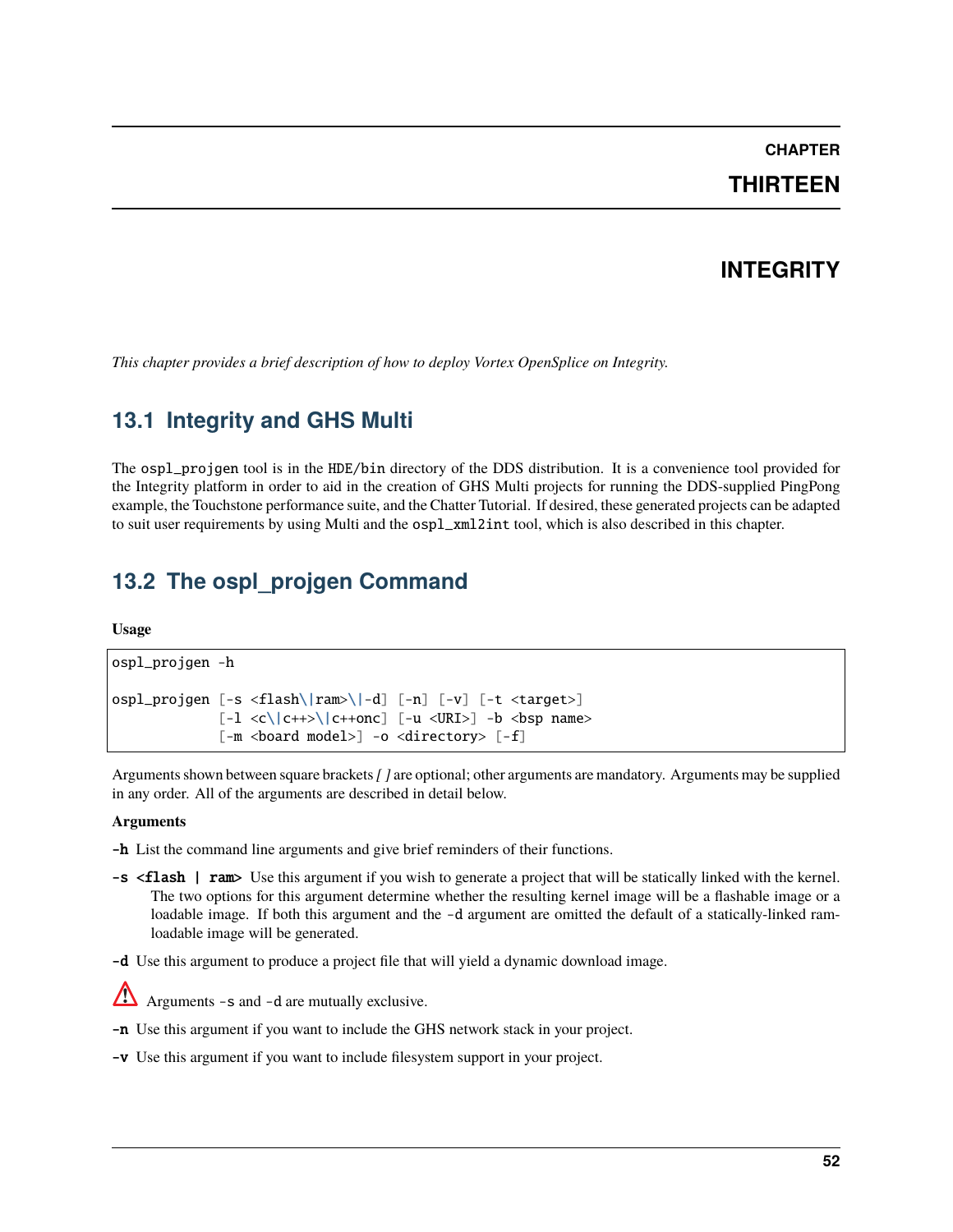## **CHAPTER**

# **THIRTEEN**

# **INTEGRITY**

*This chapter provides a brief description of how to deploy Vortex OpenSplice on Integrity.*

# **13.1 Integrity and GHS Multi**

The ospl\_projgen tool is in the HDE/bin directory of the DDS distribution. It is a convenience tool provided for the Integrity platform in order to aid in the creation of GHS Multi projects for running the DDS-supplied PingPong example, the Touchstone performance suite, and the Chatter Tutorial. If desired, these generated projects can be adapted to suit user requirements by using Multi and the  $osp1\_xm12int$  tool, which is also described in this chapter.

# **13.2 The ospl\_projgen Command**

#### **Usage**

```
ospl_projgen -h
ospl_projgen [-s <flash\|ram>\|-d] [-n] [-v] [-t <target>]
                  [-1 \lt c \leq |c++\geq \leq |c++\text{onc}] [-u \lt URI>] -b \lt bsp names
                  \lceil -m \rceil <br/>board model>\rceil -o <directory> \lceil -f \rceil
```
Arguments shown between square brackets*[ ]* are optional; other arguments are mandatory. Arguments may be supplied in any order. All of the arguments are described in detail below.

#### **Arguments**

-h List the command line arguments and give brief reminders of their functions.

- -s <flash | ram> Use this argument if you wish to generate a project that will be statically linked with the kernel. The two options for this argument determine whether the resulting kernel image will be a flashable image or a loadable image. If both this argument and the -d argument are omitted the default of a statically-linked ramloadable image will be generated.
- -d Use this argument to produce a project file that will yield a dynamic download image.



- -n Use this argument if you want to include the GHS network stack in your project.
- -v Use this argument if you want to include filesystem support in your project.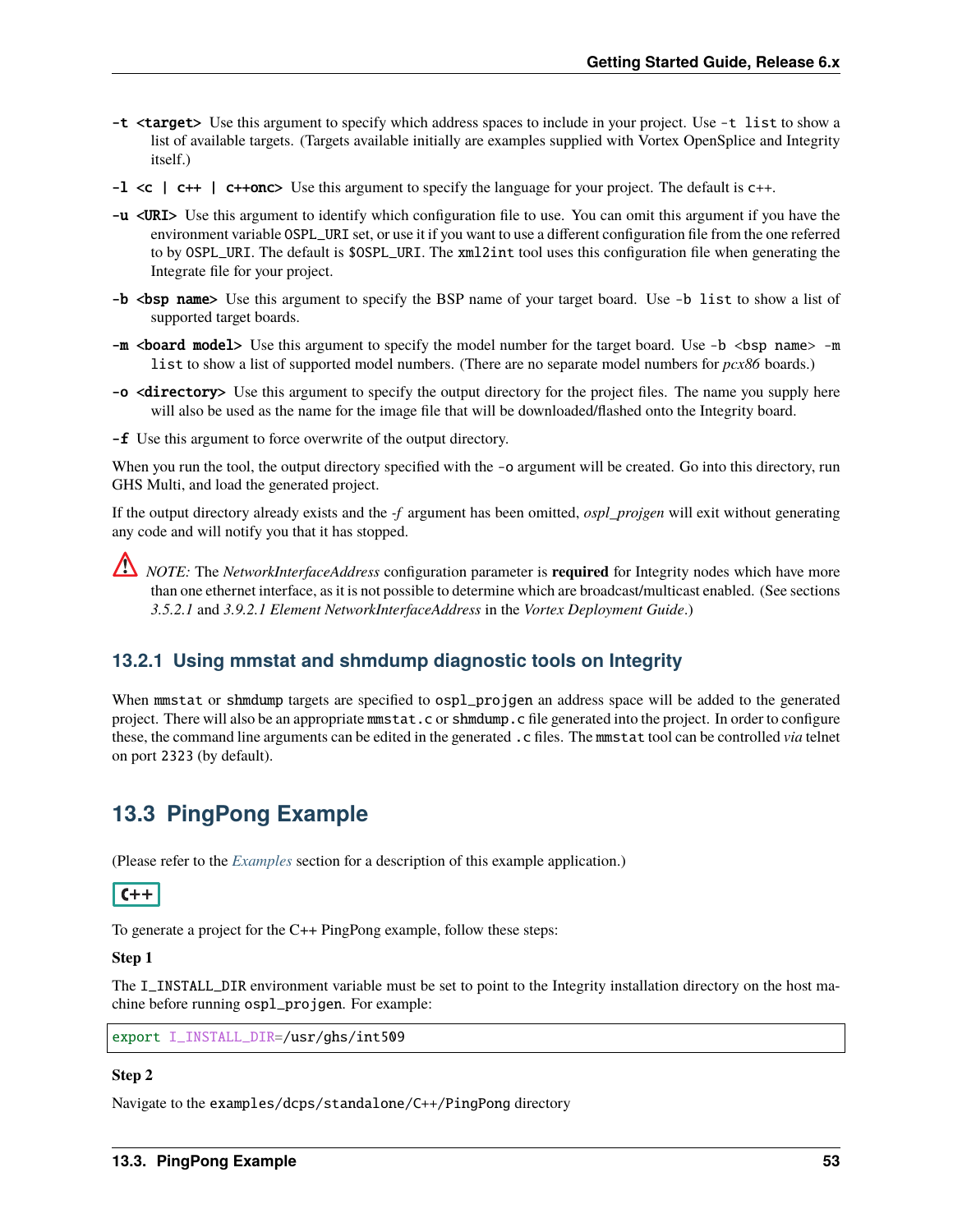- -t <target> Use this argument to specify which address spaces to include in your project. Use -t list to show a list of available targets. (Targets available initially are examples supplied with Vortex OpenSplice and Integrity itself.)
- -l <c | c++ | c++onc> Use this argument to specify the language for your project. The default is c++.
- -u <URI> Use this argument to identify which configuration file to use. You can omit this argument if you have the environment variable OSPL\_URI set, or use it if you want to use a different configuration file from the one referred to by OSPL\_URI. The default is \$OSPL\_URI. The xml2int tool uses this configuration file when generating the Integrate file for your project.
- -b <br/> <br/>show a list of this argument to specify the BSP name of your target board. Use -b list to show a list of supported target boards.
- $-m$  <br/>**board model**> Use this argument to specify the model number for the target board. Use  $-b$  <br/> $\leq$  bsp name> -m list to show a list of supported model numbers. (There are no separate model numbers for *pcx86* boards.)
- -o <directory> Use this argument to specify the output directory for the project files. The name you supply here will also be used as the name for the image file that will be downloaded/flashed onto the Integrity board.
- -f Use this argument to force overwrite of the output directory.

When you run the tool, the output directory specified with the -o argument will be created. Go into this directory, run GHS Multi, and load the generated project.

If the output directory already exists and the *-f* argument has been omitted, *ospl\_projgen* will exit without generating any code and will notify you that it has stopped.

*NOTE:* The *NetworkInterfaceAddress* configuration parameter is **required** for Integrity nodes which have more than one ethernet interface, as it is not possible to determine which are broadcast/multicast enabled. (See sections *3.5.2.1* and *3.9.2.1 Element NetworkInterfaceAddress* in the *Vortex Deployment Guide*.)

## <span id="page-56-0"></span>**13.2.1 Using mmstat and shmdump diagnostic tools on Integrity**

When mmstat or shmdump targets are specified to  $osp1$ -projgen an address space will be added to the generated project. There will also be an appropriate mmstat.c or shmdump.c file generated into the project. In order to configure these, the command line arguments can be edited in the generated .c files. The mmstat tool can be controlled *via* telnet on port 2323 (by default).

# **13.3 PingPong Example**

(Please refer to the *[Examples](#page-23-0)* section for a description of this example application.)

## $C++$

To generate a project for the C++ PingPong example, follow these steps:

#### **Step 1**

The I\_INSTALL\_DIR environment variable must be set to point to the Integrity installation directory on the host machine before running ospl\_projgen. For example:

export I\_INSTALL\_DIR=/usr/ghs/int509

## **Step 2**

Navigate to the examples/dcps/standalone/C++/PingPong directory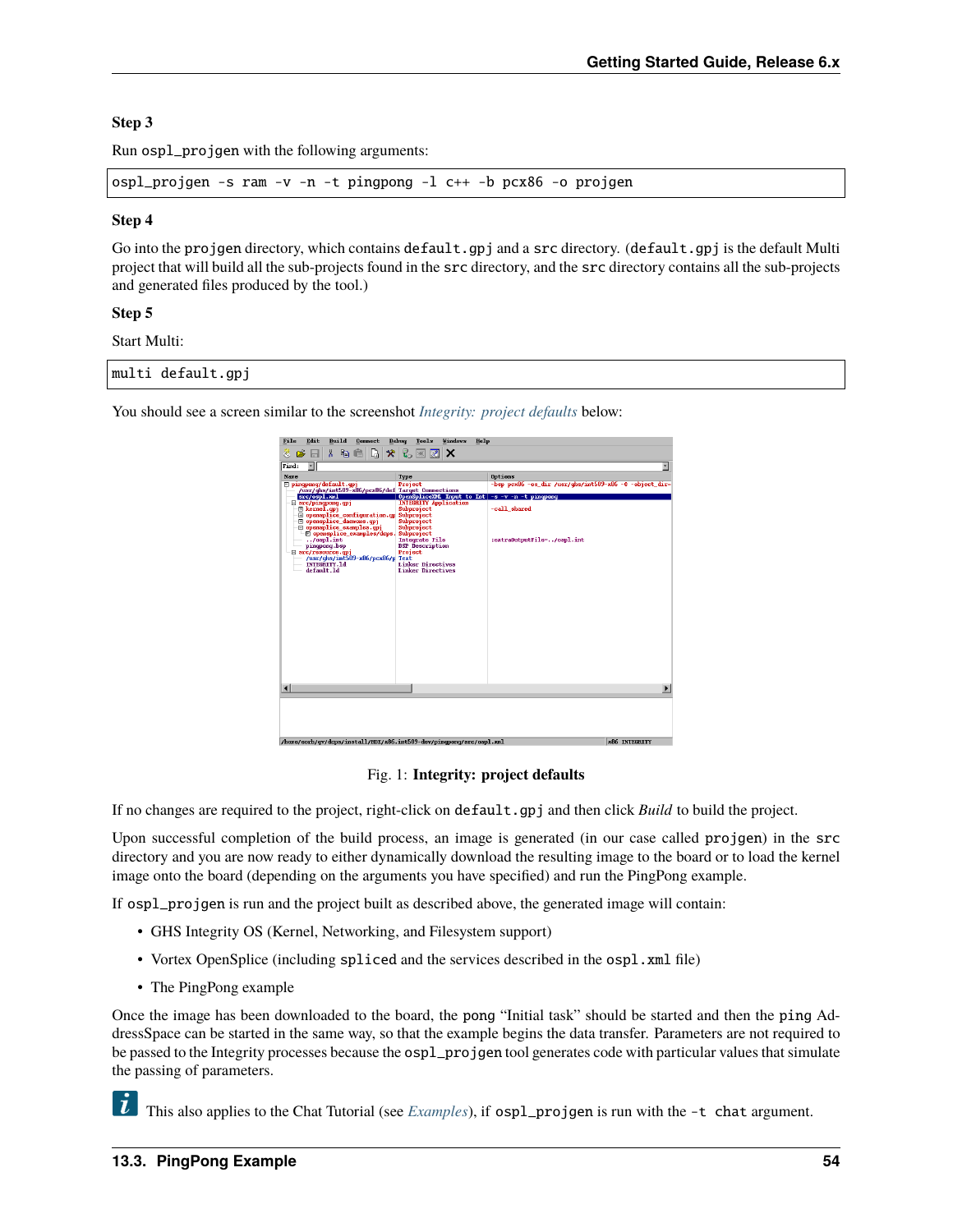## **Step 3**

Run ospl\_projgen with the following arguments:

ospl\_projgen -s ram -v -n -t pingpong -l c++ -b pcx86 -o projgen

#### **Step 4**

Go into the projgen directory, which contains default.gpj and a src directory. (default.gpj is the default Multi project that will build all the sub-projects found in the src directory, and the src directory contains all the sub-projects and generated files produced by the tool.)

## **Step 5**

Start Multi:

|  | multi default.gpj |  |
|--|-------------------|--|
|--|-------------------|--|

<span id="page-57-0"></span>You should see a screen similar to the screenshot *[Integrity: project defaults](#page-57-0)* below:

| File<br>Edit<br>Build<br>Connect                                                                                                                                                                                                                                                                | Debuq<br>Tools<br><b>Vindows</b><br>Help                                                                                                                                          |                                                                      |
|-------------------------------------------------------------------------------------------------------------------------------------------------------------------------------------------------------------------------------------------------------------------------------------------------|-----------------------------------------------------------------------------------------------------------------------------------------------------------------------------------|----------------------------------------------------------------------|
| D,<br>y,<br>X,<br>$\bullet$<br>49 信<br>Ø.<br>Н                                                                                                                                                                                                                                                  | ę,<br>×<br>网<br>$ \mathscr{R} $                                                                                                                                                   |                                                                      |
| च।<br>Find:                                                                                                                                                                                                                                                                                     |                                                                                                                                                                                   | ×                                                                    |
| <b>Name</b><br>□ pingpong/default.gpj<br>/usr/ghs/int509-x86/pcx86/def Target Connections<br>src/ospl.xml<br>$\Box$ src/pingpong.gpj                                                                                                                                                            | Type<br>Project<br>OpenSpliceXML Imput to Int -s -v -n -t pingpong<br><b>INTEGRITY Application</b>                                                                                | Options<br>$-b$ sp pcx86 -os dir /usr/ahs/int509-x86 -6 -object dir- |
| E kernel.qpj<br><b>El opensplice configuration.gu</b><br><b>El opensplice daemons.gpi</b><br>□ opensplice_examples.cpj<br>El opensplice_examples/dcps.<br>$/osp1.$ int<br>pingpong.bsp<br>$\boxminus$ src/resource.opj<br>/usr/qhs/int509-x86/pcx86/p Text<br><b>INTEGRITY.1d</b><br>default.1d | Subproject<br>Subproject<br>Subproject<br>Subproject<br>Subproject<br>Integrate File<br><b>BSP</b> Description<br>Project<br><b>Linker Directives</b><br><b>Linker Directives</b> | -call shared<br>:extra0utputFile=/ospl.int                           |
| $\blacksquare$                                                                                                                                                                                                                                                                                  |                                                                                                                                                                                   |                                                                      |
|                                                                                                                                                                                                                                                                                                 |                                                                                                                                                                                   |                                                                      |
| /hone/eorb/qv/dcps/install/HDE/x86.int509-dev/pinqponq/src/ospl.xnl                                                                                                                                                                                                                             |                                                                                                                                                                                   | x86 INTEGRITY                                                        |

Fig. 1: **Integrity: project defaults**

If no changes are required to the project, right-click on default.gpj and then click *Build* to build the project.

Upon successful completion of the build process, an image is generated (in our case called projgen) in the src directory and you are now ready to either dynamically download the resulting image to the board or to load the kernel image onto the board (depending on the arguments you have specified) and run the PingPong example.

If ospl\_projgen is run and the project built as described above, the generated image will contain:

- GHS Integrity OS (Kernel, Networking, and Filesystem support)
- Vortex OpenSplice (including spliced and the services described in the ospl.xml file)
- The PingPong example

Once the image has been downloaded to the board, the pong "Initial task" should be started and then the ping AddressSpace can be started in the same way, so that the example begins the data transfer. Parameters are not required to be passed to the Integrity processes because the ospl\_projgen tool generates code with particular values that simulate the passing of parameters.

This also applies to the Chat Tutorial (see *[Examples](#page-23-0)*), if ospl\_projgen is run with the -t chat argument.

 $\tilde{\mathbf{L}}$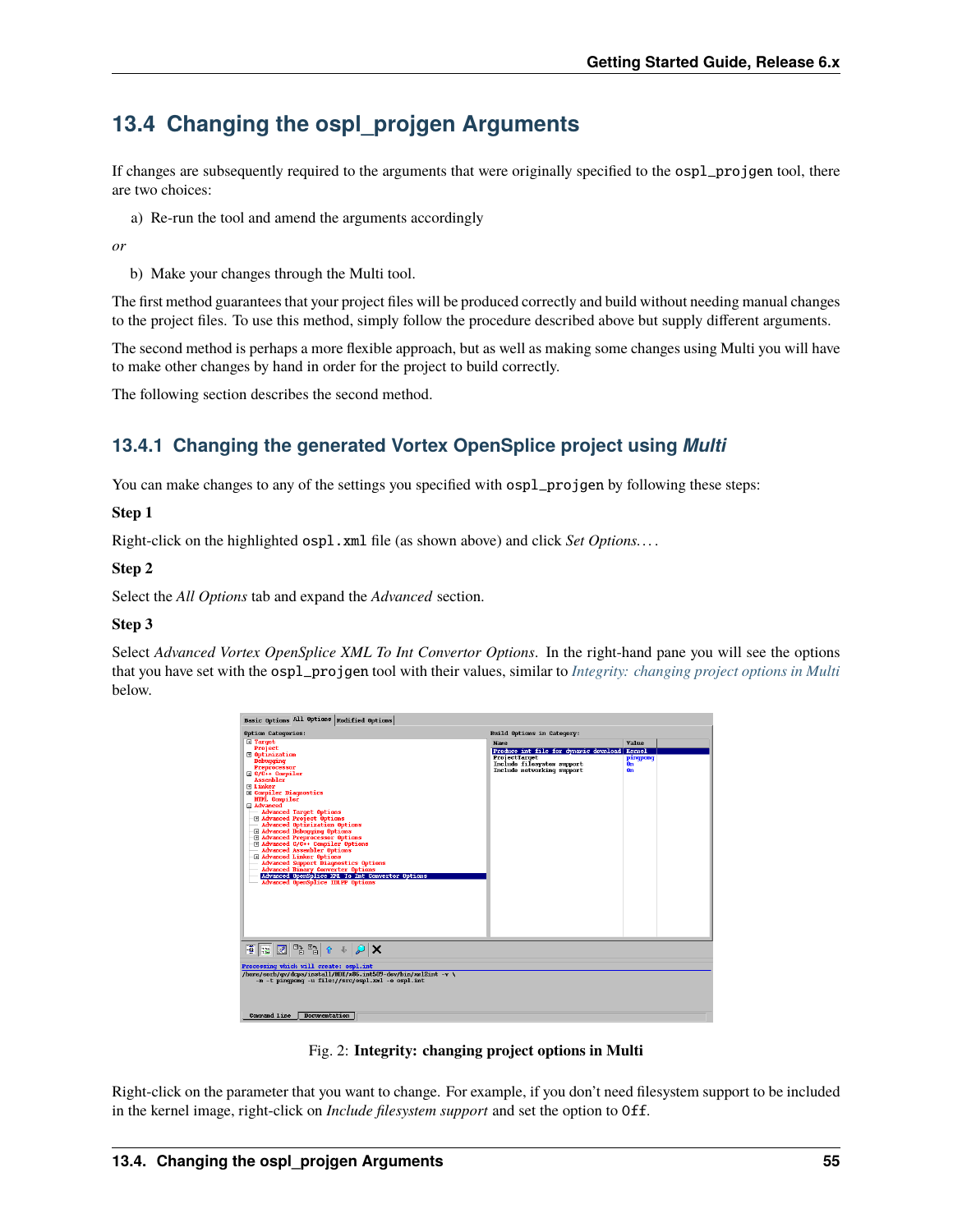# **13.4 Changing the ospl\_projgen Arguments**

If changes are subsequently required to the arguments that were originally specified to the ospl\_projgen tool, there are two choices:

a) Re-run the tool and amend the arguments accordingly

*or*

b) Make your changes through the Multi tool.

The first method guarantees that your project files will be produced correctly and build without needing manual changes to the project files. To use this method, simply follow the procedure described above but supply different arguments.

The second method is perhaps a more flexible approach, but as well as making some changes using Multi you will have to make other changes by hand in order for the project to build correctly.

The following section describes the second method.

# **13.4.1 Changing the generated Vortex OpenSplice project using** *Multi*

You can make changes to any of the settings you specified with ospl\_projgen by following these steps:

## **Step 1**

Right-click on the highlighted ospl.xml file (as shown above) and click *Set Options. . .* .

## **Step 2**

Select the *All Options* tab and expand the *Advanced* section.

## **Step 3**

<span id="page-58-0"></span>Select *Advanced Vortex OpenSplice XML To Int Convertor Options*. In the right-hand pane you will see the options that you have set with the ospl\_projgen tool with their values, similar to *[Integrity: changing project options in Multi](#page-58-0)* below.



Fig. 2: **Integrity: changing project options in Multi**

Right-click on the parameter that you want to change. For example, if you don't need filesystem support to be included in the kernel image, right-click on *Include filesystem support* and set the option to Off.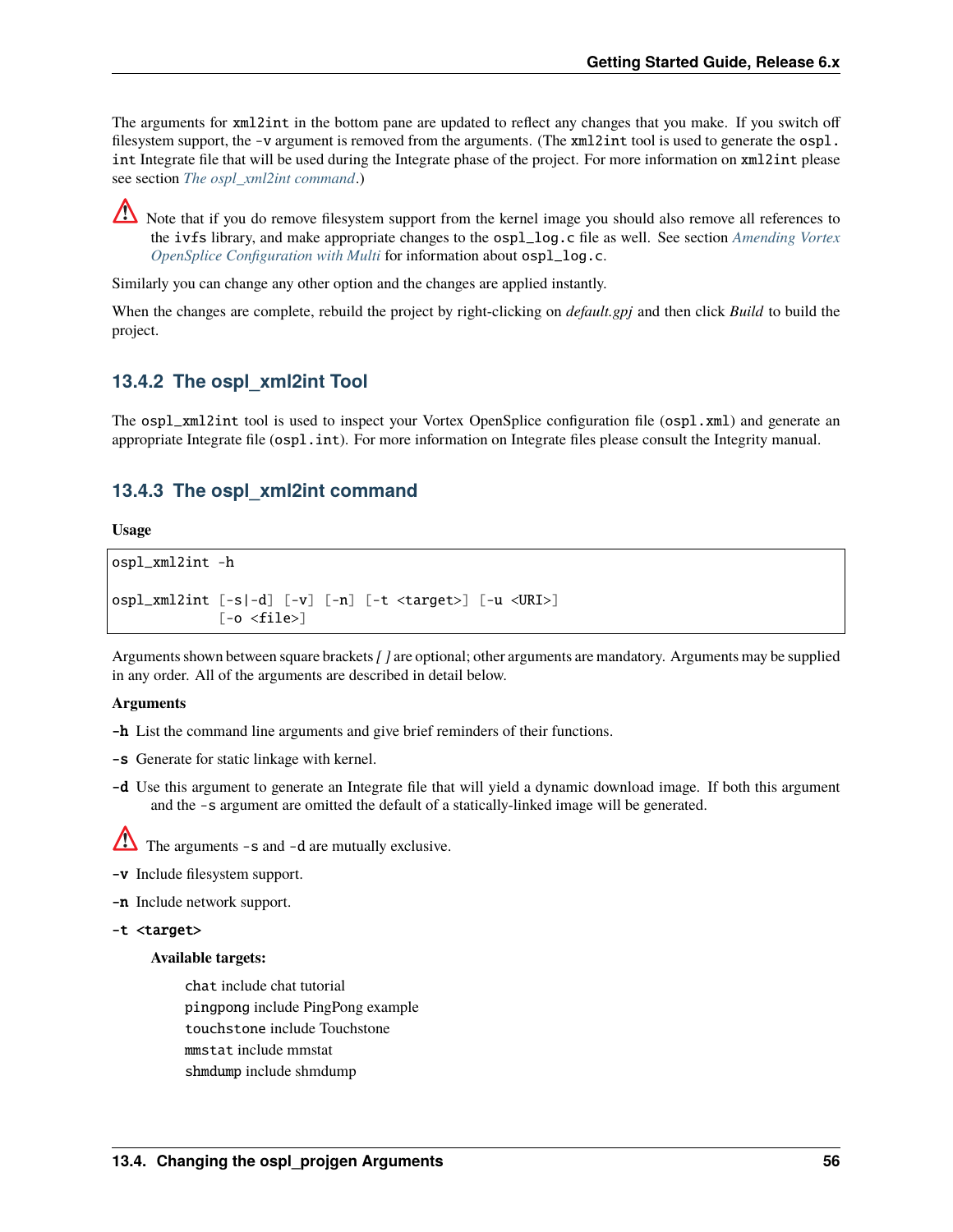The arguments for xml2int in the bottom pane are updated to reflect any changes that you make. If you switch off filesystem support, the -v argument is removed from the arguments. (The  $xml2int$  tool is used to generate the  $osp1$ . int Integrate file that will be used during the Integrate phase of the project. For more information on xml2int please see section *[The ospl\\_xml2int command](#page-59-0)*.)

Note that if you do remove filesystem support from the kernel image you should also remove all references to the ivfs library, and make appropriate changes to the ospl\_log.c file as well. See section *[Amending Vortex](#page-61-0) [OpenSplice Configuration with Multi](#page-61-0)* for information about ospl\_log.c.

Similarly you can change any other option and the changes are applied instantly.

When the changes are complete, rebuild the project by right-clicking on *default.gpj* and then click *Build* to build the project.

## **13.4.2 The ospl\_xml2int Tool**

The ospl\_xml2int tool is used to inspect your Vortex OpenSplice configuration file (ospl.xml) and generate an appropriate Integrate file (ospl.int). For more information on Integrate files please consult the Integrity manual.

## <span id="page-59-0"></span>**13.4.3 The ospl\_xml2int command**

**Usage**

```
ospl_xml2int -h
ospl_xml2int [-s|-d] [-v] [-n] [-t <target>] [-u <URI>]
              [-o \text{ -}file>]
```
Arguments shown between square brackets*[ ]* are optional; other arguments are mandatory. Arguments may be supplied in any order. All of the arguments are described in detail below.

#### **Arguments**

- -h List the command line arguments and give brief reminders of their functions.
- -s Generate for static linkage with kernel.
- -d Use this argument to generate an Integrate file that will yield a dynamic download image. If both this argument and the -s argument are omitted the default of a statically-linked image will be generated.

 $\sum$  The arguments -s and -d are mutually exclusive.

- -v Include filesystem support.
- -n Include network support.

```
-t <target>
```
## **Available targets:**

chat include chat tutorial pingpong include PingPong example touchstone include Touchstone mmstat include mmstat shmdump include shmdump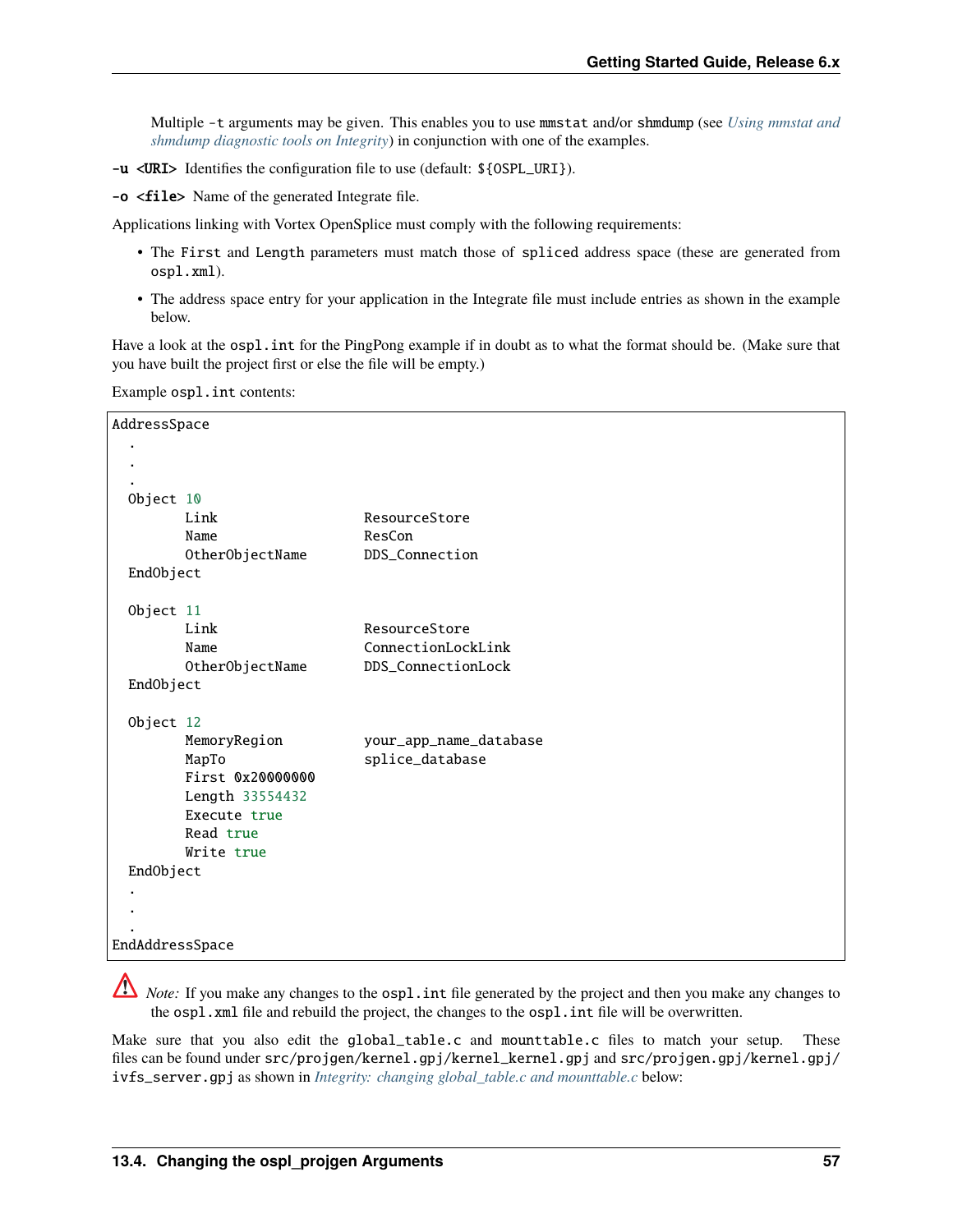Multiple -t arguments may be given. This enables you to use mmstat and/or shmdump (see *[Using mmstat and](#page-56-0) [shmdump diagnostic tools on Integrity](#page-56-0)*) in conjunction with one of the examples.

-u <URI> Identifies the configuration file to use (default: \${OSPL\_URI}).

-o <file> Name of the generated Integrate file.

Applications linking with Vortex OpenSplice must comply with the following requirements:

- The First and Length parameters must match those of spliced address space (these are generated from ospl.xml).
- The address space entry for your application in the Integrate file must include entries as shown in the example below.

Have a look at the ospl.int for the PingPong example if in doubt as to what the format should be. (Make sure that you have built the project first or else the file will be empty.)

Example ospl.int contents:

| AddressSpace    |                  |                        |
|-----------------|------------------|------------------------|
|                 |                  |                        |
|                 |                  |                        |
| Object 10       |                  |                        |
|                 | Link             | ResourceStore          |
|                 | Name             | ResCon                 |
|                 | OtherObjectName  | DDS_Connection         |
| EndObject       |                  |                        |
| Object 11       |                  |                        |
|                 | Link             | ResourceStore          |
|                 | Name             | ConnectionLockLink     |
|                 | OtherObjectName  | DDS_ConnectionLock     |
| EndObject       |                  |                        |
| Object 12       |                  |                        |
|                 | MemoryRegion     | your_app_name_database |
|                 | MapTo            | splice_database        |
|                 | First 0x20000000 |                        |
|                 | Length 33554432  |                        |
|                 | Execute true     |                        |
|                 | Read true        |                        |
|                 | Write true       |                        |
| EndObject       |                  |                        |
|                 |                  |                        |
|                 |                  |                        |
|                 |                  |                        |
| EndAddressSpace |                  |                        |

*Note:* If you make any changes to the ospl.int file generated by the project and then you make any changes to the ospl.xml file and rebuild the project, the changes to the ospl.int file will be overwritten.

Make sure that you also edit the global\_table.c and mounttable.c files to match your setup. These files can be found under src/projgen/kernel.gpj/kernel\_kernel.gpj and src/projgen.gpj/kernel.gpj/ ivfs\_server.gpj as shown in *[Integrity: changing global\\_table.c and mounttable.c](#page-61-1)* below: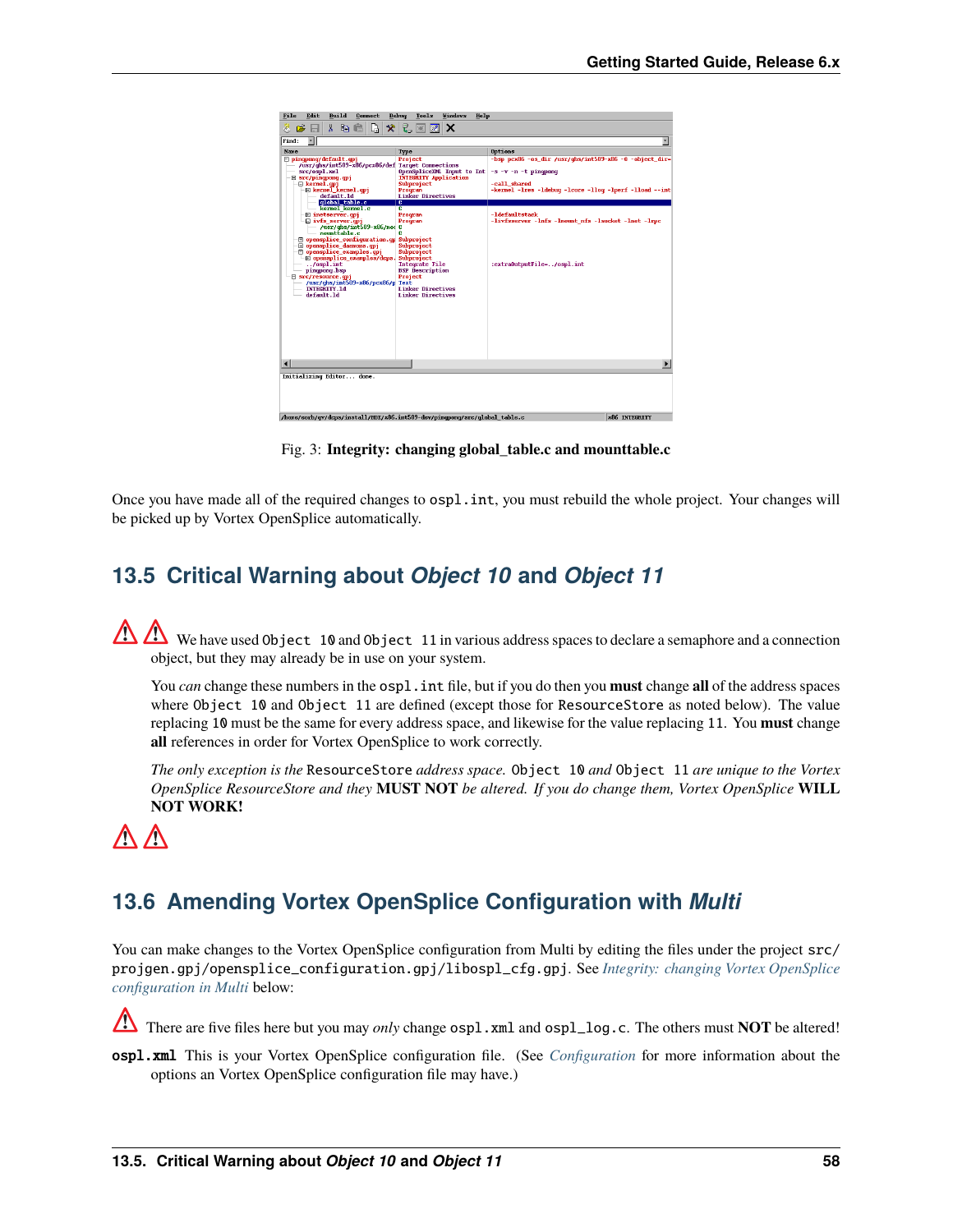<span id="page-61-1"></span>

| Build<br>File<br>Edit<br>Connect                                                                                                                                                                                                                                                                                                                                                                                                                                                                                                                                                                                          | <b>Vindows</b><br>Debuq<br>Tools<br>Help                                                                                                                                                                                                                                                                                                               |                                                                                                                                                                                                                                                                                  |
|---------------------------------------------------------------------------------------------------------------------------------------------------------------------------------------------------------------------------------------------------------------------------------------------------------------------------------------------------------------------------------------------------------------------------------------------------------------------------------------------------------------------------------------------------------------------------------------------------------------------------|--------------------------------------------------------------------------------------------------------------------------------------------------------------------------------------------------------------------------------------------------------------------------------------------------------------------------------------------------------|----------------------------------------------------------------------------------------------------------------------------------------------------------------------------------------------------------------------------------------------------------------------------------|
| X.<br>C)<br>X,<br>$\bullet$<br>la C<br>Ø.<br>ы                                                                                                                                                                                                                                                                                                                                                                                                                                                                                                                                                                            | ę,<br>深<br>lx.<br>$\mathscr{R}$                                                                                                                                                                                                                                                                                                                        |                                                                                                                                                                                                                                                                                  |
| $\overline{\phantom{a}}$<br>Find:                                                                                                                                                                                                                                                                                                                                                                                                                                                                                                                                                                                         |                                                                                                                                                                                                                                                                                                                                                        |                                                                                                                                                                                                                                                                                  |
| <b>Name</b><br>□ pingpong/default.gpj<br>/usr/ghs/int509-x86/pcx86/def Target Connections<br>src/ospl.xml<br>$\boxminus$ src/pingpong.gpj<br>E kernel.cpj<br><b>⊟</b> kernel kernel.qpj<br>default.1d<br>qlobal table.c<br>kernel kernel.c<br><b>E</b> inetserver.cpi<br>$\Box$ ivfs_server.qpj<br>/usr/ghs/int509-x86/not C<br>nomttable.c<br><b>El opensplice configuration.gp</b><br><b>H</b> opensplice daemons.qpj<br>mensplice_examples.opj<br>$-\mathbb{E}$ opensplice examples/dcps.<br>$.7$ ospl.int<br>pingpong.bsp<br>□ src/resource.opj<br>$/usr/dhs/int509-x86/pcx86/p$<br><b>INTEGRITY.1d</b><br>default.1d | Type<br>Project<br>OpenSpliceXML Imput to Int<br><b>INTEGRITY Application</b><br>Subproject<br>Program<br><b>Linker Directives</b><br>c<br>c<br>Program<br>Program<br>e<br>Subproject<br>Subproject<br>Subproject<br>Subproject<br>Integrate File<br><b>BSP</b> Description<br>Project<br><b>Text</b><br><b>Linker Directives</b><br>Linker Directives | Options<br>$-bsp$ pcx86 -os_dir /usr/qhs/int509-x86 -6 -object_dir-<br>$-s -v - n - t$ pingpong<br>-call shared<br>-kernel -lres -ldebug -lcore -llog -lperf -lload --int<br>-1defaultstack<br>-livfsserver -lnfs -lmount nfs -lsocket -lnet -lrpc<br>:extra0utputFile=/ospl.int |
|                                                                                                                                                                                                                                                                                                                                                                                                                                                                                                                                                                                                                           |                                                                                                                                                                                                                                                                                                                                                        | $\blacktriangleright$                                                                                                                                                                                                                                                            |
| Initializing Editor done.                                                                                                                                                                                                                                                                                                                                                                                                                                                                                                                                                                                                 |                                                                                                                                                                                                                                                                                                                                                        |                                                                                                                                                                                                                                                                                  |
| /home/eorb/gy/dcps/install/HDE/x86.int509-dev/ningpong/src/global_table.c                                                                                                                                                                                                                                                                                                                                                                                                                                                                                                                                                 |                                                                                                                                                                                                                                                                                                                                                        | x86 INTEGRITY                                                                                                                                                                                                                                                                    |

Fig. 3: **Integrity: changing global\_table.c and mounttable.c**

Once you have made all of the required changes to ospl.int, you must rebuild the whole project. Your changes will be picked up by Vortex OpenSplice automatically.

# **13.5 Critical Warning about** *Object 10* **and** *Object 11*

We have used Object 10 and Object 11 in various address spaces to declare a semaphore and a connection object, but they may already be in use on your system.

You *can* change these numbers in the ospl.int file, but if you do then you **must** change **all** of the address spaces where Object 10 and Object 11 are defined (except those for ResourceStore as noted below). The value replacing 10 must be the same for every address space, and likewise for the value replacing 11. You **must** change **all** references in order for Vortex OpenSplice to work correctly.

*The only exception is the* ResourceStore *address space.* Object 10 *and* Object 11 *are unique to the Vortex OpenSplice ResourceStore and they* **MUST NOT** *be altered. If you do change them, Vortex OpenSplice* **WILL NOT WORK!**



# <span id="page-61-0"></span>**13.6 Amending Vortex OpenSplice Configuration with** *Multi*

You can make changes to the Vortex OpenSplice configuration from Multi by editing the files under the project src/ projgen.gpj/opensplice\_configuration.gpj/libospl\_cfg.gpj. See *[Integrity: changing Vortex OpenSplice](#page-62-0) [configuration in Multi](#page-62-0)* below:

There are five files here but you may *only* change ospl.xml and ospl\_log.c. The others must **NOT** be altered!

ospl.xml This is your Vortex OpenSplice configuration file. (See *[Configuration](#page-20-0)* for more information about the options an Vortex OpenSplice configuration file may have.)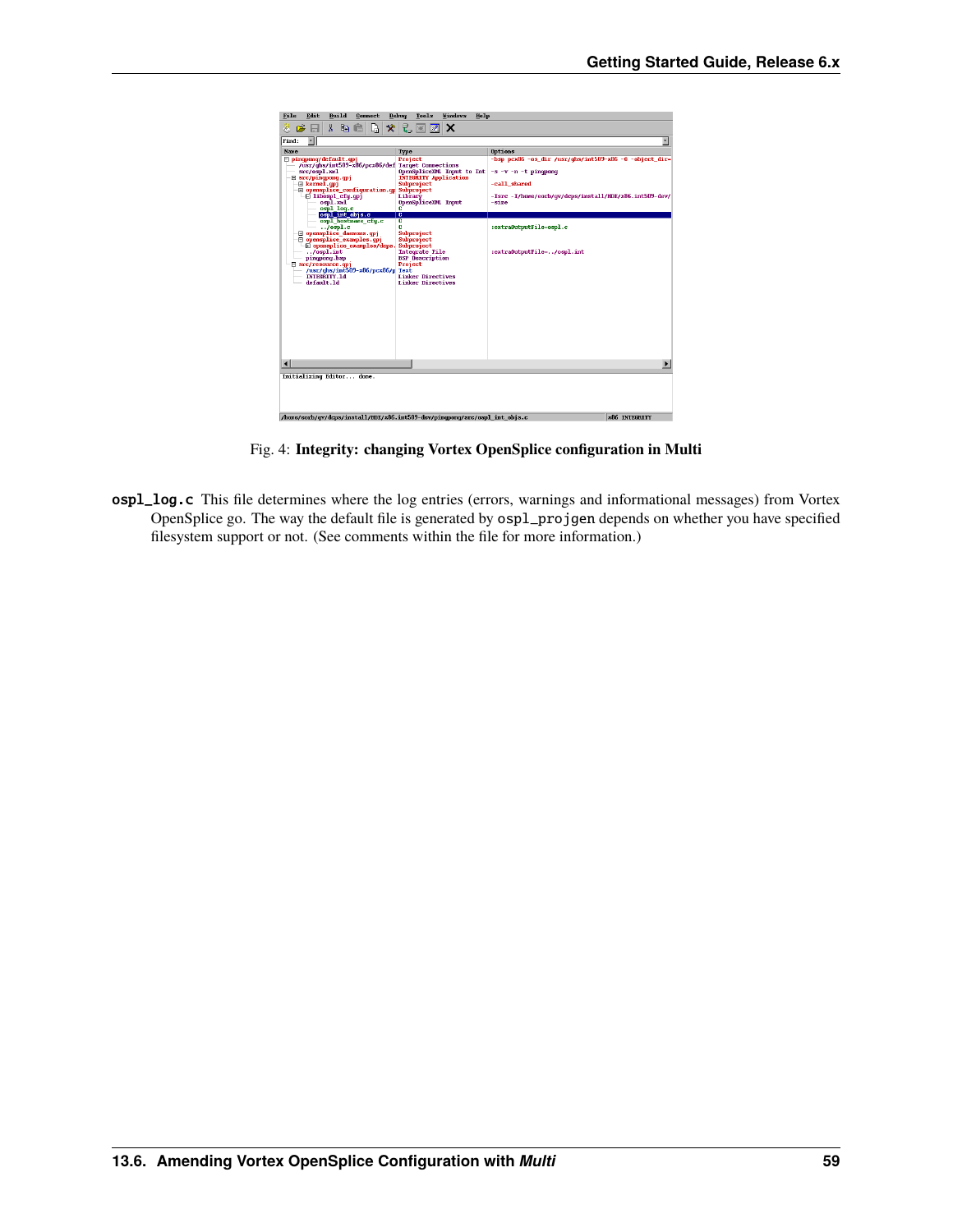<span id="page-62-0"></span>

| Build<br>File<br>Edit<br>Connect                                                            | <b>Vindows</b><br>Debuq<br>Tools<br>Help      |                                                           |  |
|---------------------------------------------------------------------------------------------|-----------------------------------------------|-----------------------------------------------------------|--|
| D<br>y.<br>X,<br>la C<br>Õ,<br>Ø.                                                           | ę,<br>网<br> Z <br>ΙX                          |                                                           |  |
| ы                                                                                           |                                               |                                                           |  |
| ⊣<br>Find:                                                                                  |                                               | $\overline{\phantom{a}}$                                  |  |
| <b>Name</b>                                                                                 | Type                                          | Options                                                   |  |
| □ pingpong/default.gpj<br>/usr/ghs/int509-x86/pcx86/def Target Connections                  | Project                                       | $-b$ sp pcx86 -os dir /usr/qhs/int509-x86 -6 -object dir- |  |
| src/ospl.xml                                                                                | OpenSpliceXML Imput to Int                    | $-s -v - n - t$ pingpong                                  |  |
| $\boxminus$ src/pingpong.gpj                                                                | <b>INTEGRITY Application</b>                  |                                                           |  |
| El kernel.cpj<br>□ opensplice_configuration.qp Subproject                                   | Subproject                                    | -call shared                                              |  |
| $\Box$ libospl cfq.qpj                                                                      | Library                                       | -Isrc -I/home/eorb/qv/dcps/install/HDE/x86.int509-dev/    |  |
| ospl.xnl                                                                                    | OpenSpliceXML Imput                           | -size                                                     |  |
| ospl_loq.c<br>ospl int objs.c                                                               | c<br>c                                        |                                                           |  |
| ospl hostname_cfq.c                                                                         | c                                             |                                                           |  |
| $.7$ ospl.c<br><b>E</b> opensplice_daemons.qpj                                              | c<br>Subproject                               | :extra0utputFile=ospl.c                                   |  |
| mensplice examples.gpi                                                                      | Subproject                                    |                                                           |  |
| H opensplice examples/dcps.                                                                 | Subproject                                    |                                                           |  |
| .<br>pingpong.bsp                                                                           | Integrate File<br><b>BSP</b> Description      | :extra0utputFile=/ospl.int                                |  |
| □ src/resource.opj                                                                          | Project                                       |                                                           |  |
| /usr/ghs/int509-x86/pcx86/p Text<br>INTEGRITY.1d                                            |                                               |                                                           |  |
| default.1d                                                                                  | Linker Directives<br><b>Linker Directives</b> |                                                           |  |
|                                                                                             |                                               |                                                           |  |
|                                                                                             |                                               |                                                           |  |
|                                                                                             |                                               |                                                           |  |
|                                                                                             |                                               |                                                           |  |
|                                                                                             |                                               |                                                           |  |
|                                                                                             |                                               |                                                           |  |
|                                                                                             |                                               |                                                           |  |
|                                                                                             |                                               |                                                           |  |
|                                                                                             |                                               |                                                           |  |
|                                                                                             |                                               |                                                           |  |
| Initializing Editor done.                                                                   |                                               |                                                           |  |
|                                                                                             |                                               |                                                           |  |
|                                                                                             |                                               |                                                           |  |
|                                                                                             |                                               |                                                           |  |
|                                                                                             |                                               |                                                           |  |
| /home/eorb/gv/dcos/install/HDE/x86.int509-dev/pingpong/src/ospl int objs.c<br>x86 INTEGRITY |                                               |                                                           |  |

Fig. 4: **Integrity: changing Vortex OpenSplice configuration in Multi**

ospl\_log.c This file determines where the log entries (errors, warnings and informational messages) from Vortex OpenSplice go. The way the default file is generated by ospl\_projgen depends on whether you have specified filesystem support or not. (See comments within the file for more information.)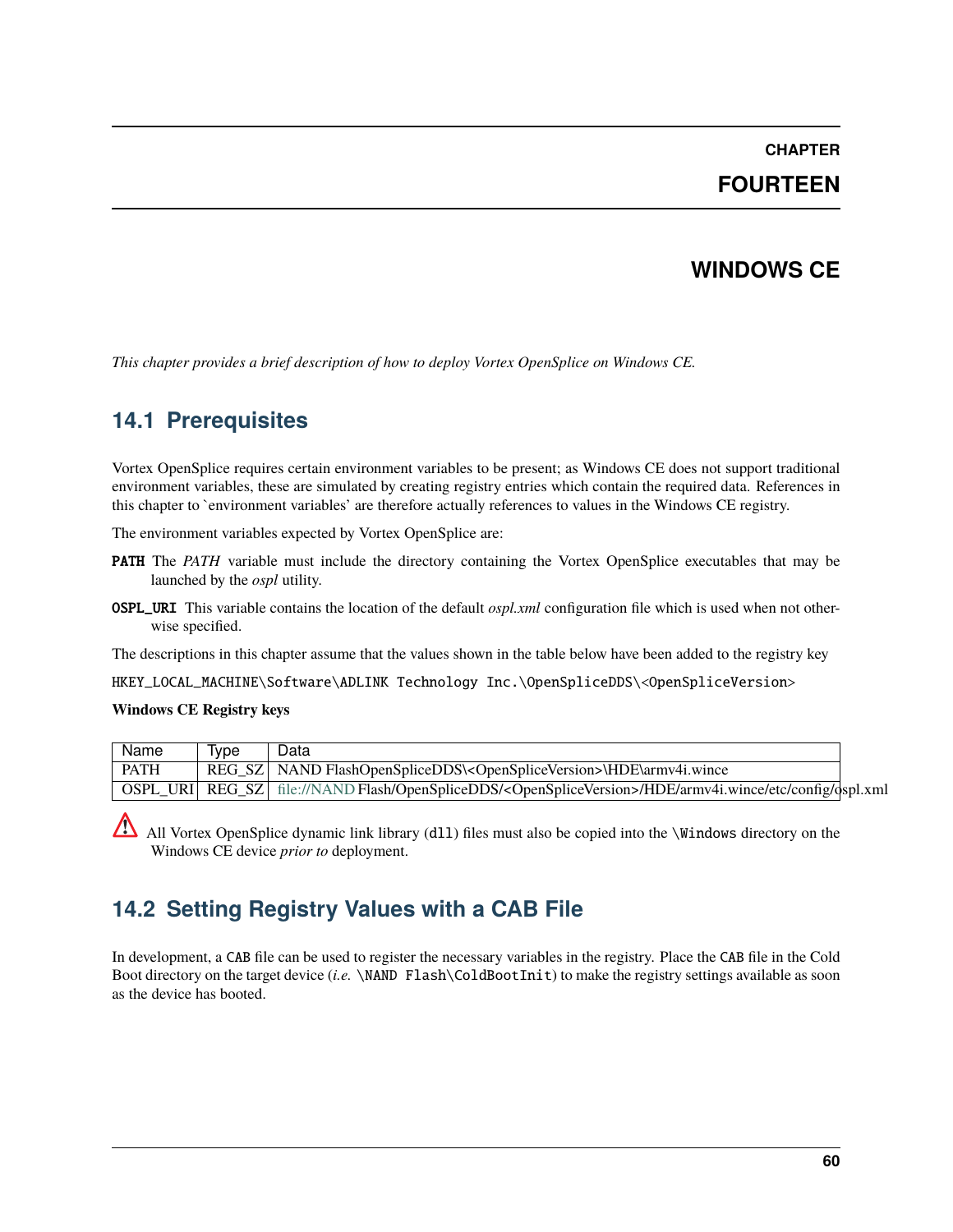## **CHAPTER**

# **FOURTEEN**

# **WINDOWS CE**

*This chapter provides a brief description of how to deploy Vortex OpenSplice on Windows CE.*

# **14.1 Prerequisites**

Vortex OpenSplice requires certain environment variables to be present; as Windows CE does not support traditional environment variables, these are simulated by creating registry entries which contain the required data. References in this chapter to `environment variables' are therefore actually references to values in the Windows CE registry.

The environment variables expected by Vortex OpenSplice are:

- **PATH** The *PATH* variable must include the directory containing the Vortex OpenSplice executables that may be launched by the *ospl* utility.
- OSPL\_URI This variable contains the location of the default *ospl.xml* configuration file which is used when not otherwise specified.

The descriptions in this chapter assume that the values shown in the table below have been added to the registry key

HKEY\_LOCAL\_MACHINE\Software\ADLINK Technology Inc.\OpenSpliceDDS\<OpenSpliceVersion>

#### **Windows CE Registry keys**

| Name | Tvpe | Data                                                                                                                          |  |
|------|------|-------------------------------------------------------------------------------------------------------------------------------|--|
| PATH |      | REG SZ   NAND FlashOpenSpliceDDS\ <openspliceversion>\HDE\armv4i.wince</openspliceversion>                                    |  |
|      |      | OSPL URI REG SZ file://NAND Flash/OpenSpliceDDS/ <openspliceversion>/HDE/armv4i.wince/etc/config/qspl.xml</openspliceversion> |  |

All Vortex OpenSplice dynamic link library (dll) files must also be copied into the  $\W$ indows directory on the Windows CE device *prior to* deployment.

# **14.2 Setting Registry Values with a CAB File**

In development, a CAB file can be used to register the necessary variables in the registry. Place the CAB file in the Cold Boot directory on the target device (*i.e.* \NAND Flash\ColdBootInit) to make the registry settings available as soon as the device has booted.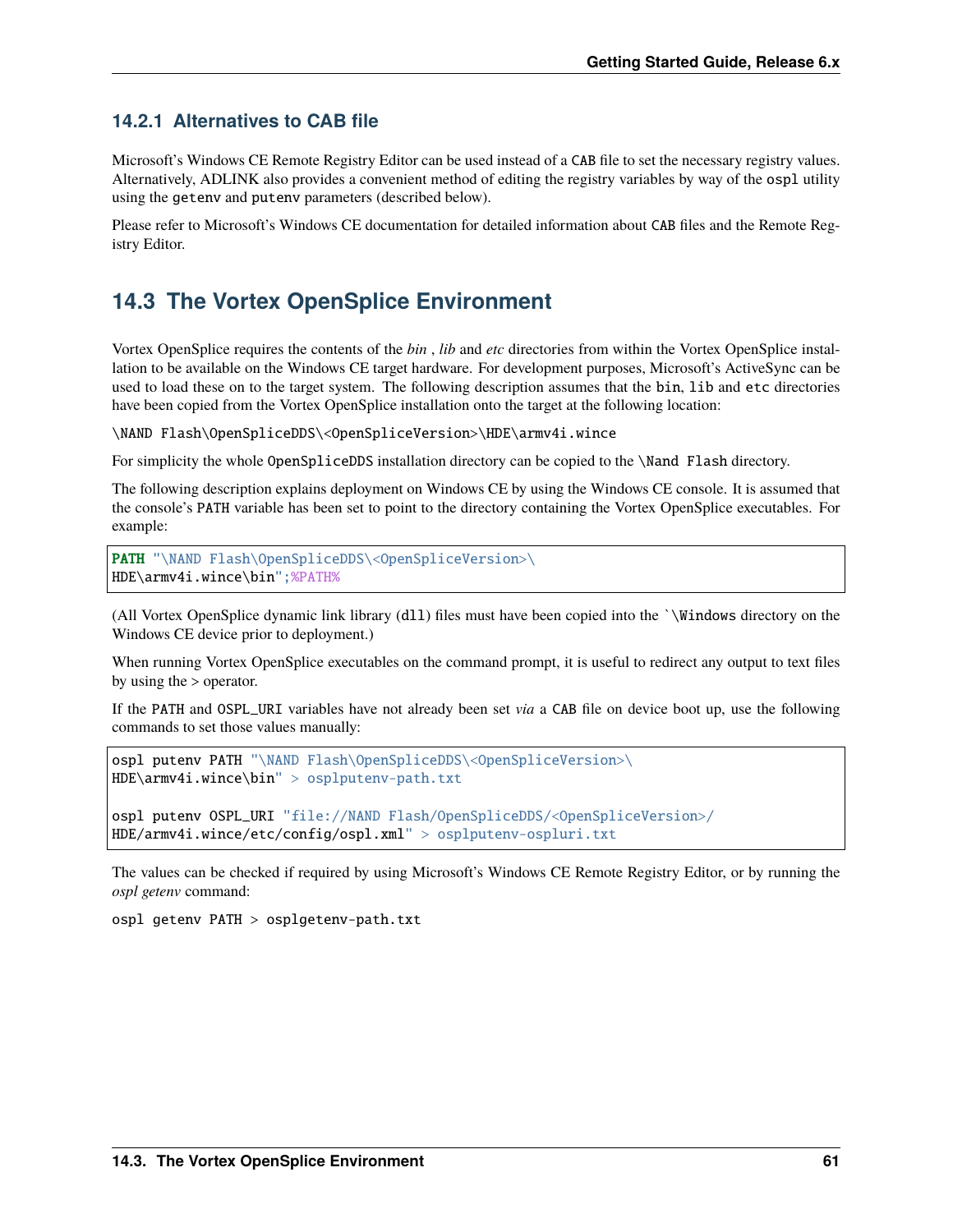# **14.2.1 Alternatives to CAB file**

Microsoft's Windows CE Remote Registry Editor can be used instead of a CAB file to set the necessary registry values. Alternatively, ADLINK also provides a convenient method of editing the registry variables by way of the ospl utility using the getenv and putenv parameters (described below).

Please refer to Microsoft's Windows CE documentation for detailed information about CAB files and the Remote Registry Editor.

# **14.3 The Vortex OpenSplice Environment**

Vortex OpenSplice requires the contents of the *bin* , *lib* and *etc* directories from within the Vortex OpenSplice installation to be available on the Windows CE target hardware. For development purposes, Microsoft's ActiveSync can be used to load these on to the target system. The following description assumes that the bin, lib and etc directories have been copied from the Vortex OpenSplice installation onto the target at the following location:

\NAND Flash\OpenSpliceDDS\<OpenSpliceVersion>\HDE\armv4i.wince

For simplicity the whole OpenSpliceDDS installation directory can be copied to the \Nand Flash directory.

The following description explains deployment on Windows CE by using the Windows CE console. It is assumed that the console's PATH variable has been set to point to the directory containing the Vortex OpenSplice executables. For example:

PATH "\NAND Flash\OpenSpliceDDS\<OpenSpliceVersion>\ HDE\armv4i.wince\bin";%PATH%

(All Vortex OpenSplice dynamic link library (dll) files must have been copied into the `\Windows directory on the Windows CE device prior to deployment.)

When running Vortex OpenSplice executables on the command prompt, it is useful to redirect any output to text files by using the > operator.

If the PATH and OSPL\_URI variables have not already been set *via* a CAB file on device boot up, use the following commands to set those values manually:

```
ospl putenv PATH "\NAND Flash\OpenSpliceDDS\<OpenSpliceVersion>\
HDE\armv4i.wince\bin" > osplputenv-path.txt
```

```
ospl putenv OSPL_URI "file://NAND Flash/OpenSpliceDDS/<OpenSpliceVersion>/
HDE/armv4i.wince/etc/config/ospl.xml" > osplputenv-ospluri.txt
```
The values can be checked if required by using Microsoft's Windows CE Remote Registry Editor, or by running the *ospl getenv* command:

ospl getenv PATH > osplgetenv-path.txt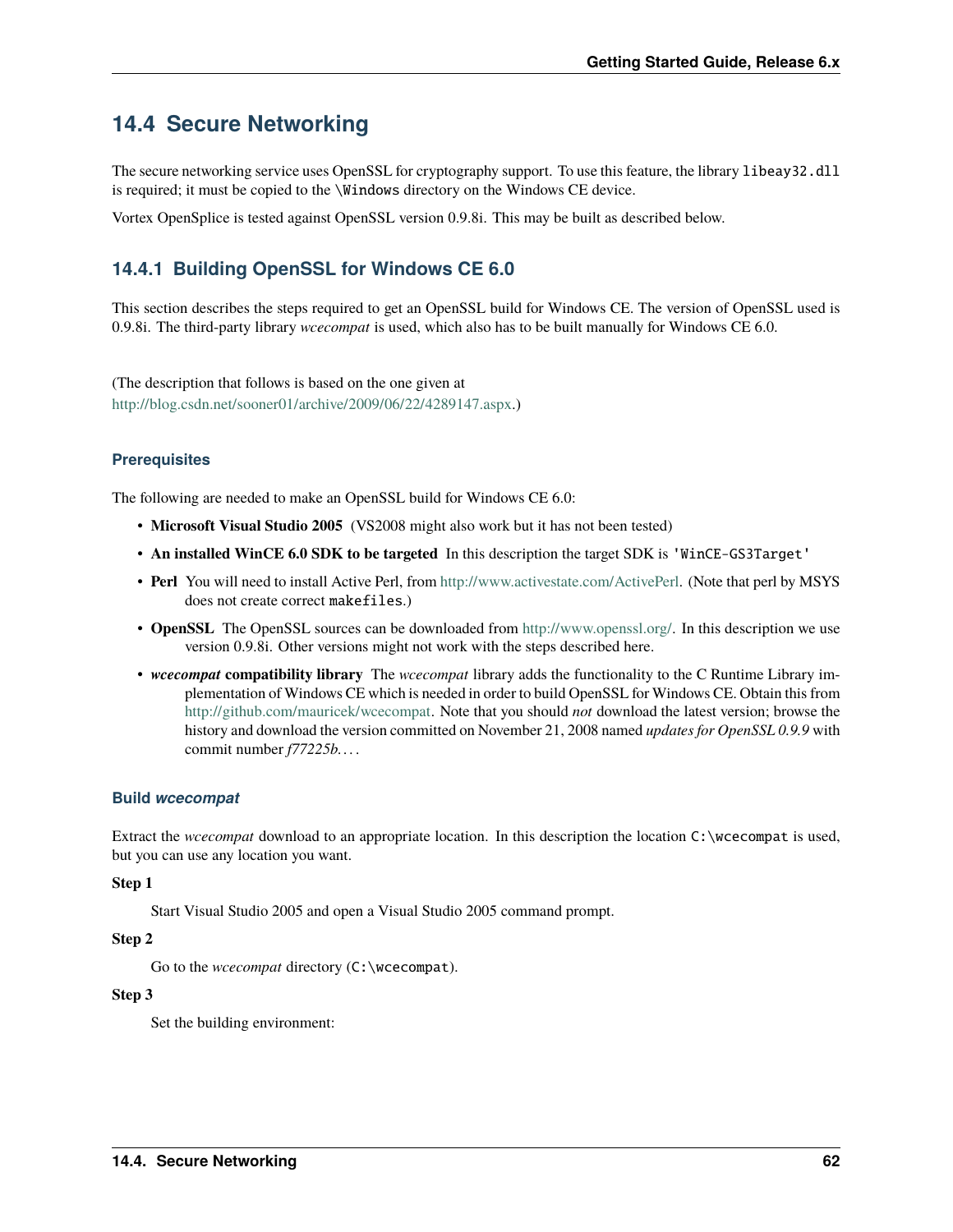# **14.4 Secure Networking**

The secure networking service uses OpenSSL for cryptography support. To use this feature, the library libeay32.dll is required; it must be copied to the \Windows directory on the Windows CE device.

Vortex OpenSplice is tested against OpenSSL version 0.9.8i. This may be built as described below.

# **14.4.1 Building OpenSSL for Windows CE 6.0**

This section describes the steps required to get an OpenSSL build for Windows CE. The version of OpenSSL used is 0.9.8i. The third-party library *wcecompat* is used, which also has to be built manually for Windows CE 6.0.

(The description that follows is based on the one given at [http://blog.csdn.net/sooner01/archive/2009/06/22/4289147.aspx.](http://blog.csdn.net/sooner01/archive/2009/06/22/4289147.aspx))

## **Prerequisites**

The following are needed to make an OpenSSL build for Windows CE 6.0:

- **Microsoft Visual Studio 2005** (VS2008 might also work but it has not been tested)
- **An installed WinCE 6.0 SDK to be targeted** In this description the target SDK is 'WinCE-GS3Target'
- **Perl** You will need to install Active Perl, from [http://www.activestate.com/ActivePerl.](http://www.activestate.com/ActivePerl) (Note that perl by MSYS does not create correct makefiles.)
- **OpenSSL** The OpenSSL sources can be downloaded from [http://www.openssl.org/.](http://www.openssl.org/) In this description we use version 0.9.8i. Other versions might not work with the steps described here.
- *wcecompat* **compatibility library** The *wcecompat* library adds the functionality to the C Runtime Library implementation of Windows CE which is needed in order to build OpenSSL for Windows CE. Obtain this from [http://github.com/mauricek/wcecompat.](http://github.com/mauricek/wcecompat) Note that you should *not* download the latest version; browse the history and download the version committed on November 21, 2008 named *updates for OpenSSL 0.9.9* with commit number *f77225b. . .* .

## **Build** *wcecompat*

Extract the *wcecompat* download to an appropriate location. In this description the location C:\wcecompat is used, but you can use any location you want.

#### **Step 1**

Start Visual Studio 2005 and open a Visual Studio 2005 command prompt.

### **Step 2**

Go to the *wcecompat* directory (C:\wcecompat).

### **Step 3**

Set the building environment: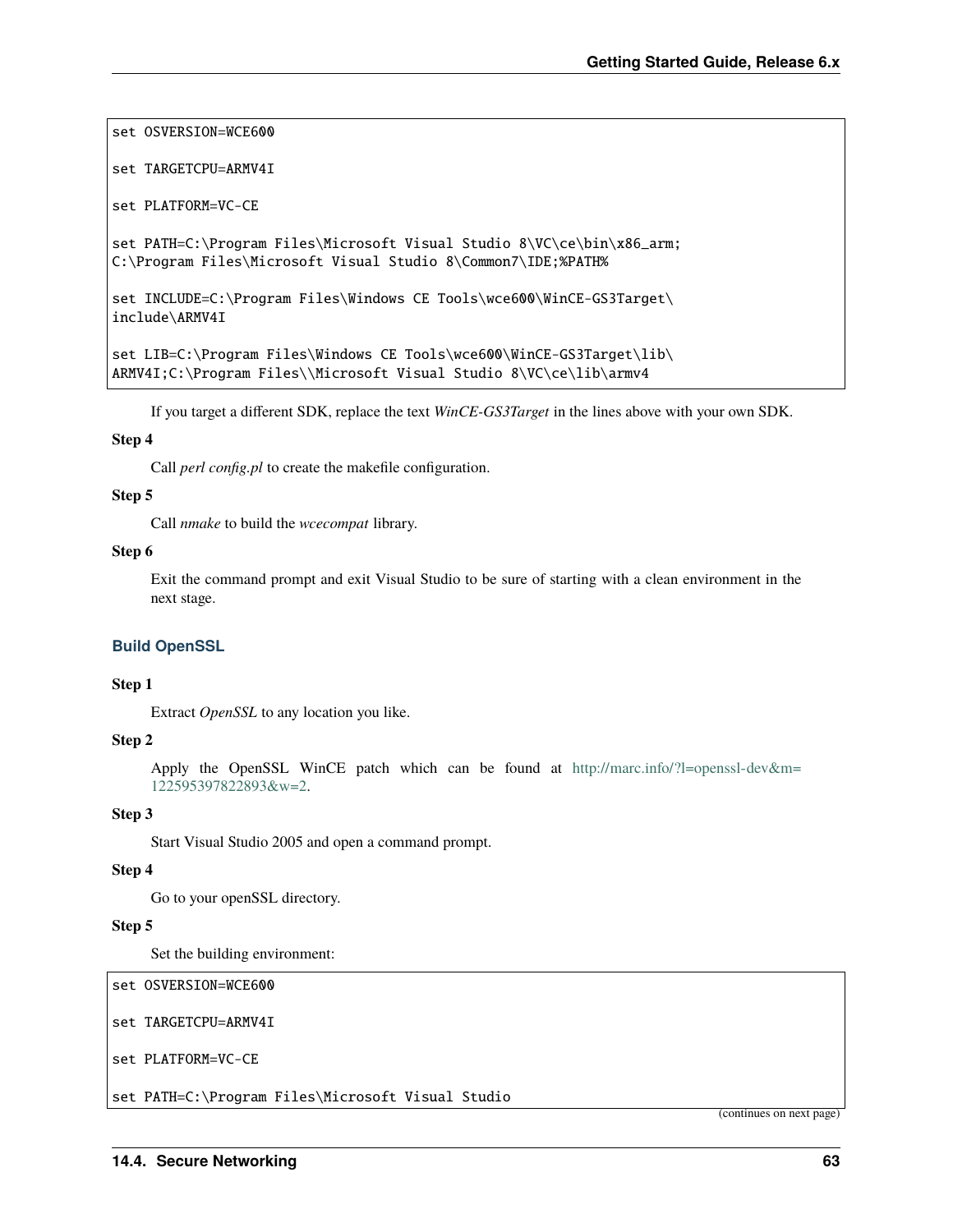set OSVERSION=WCE600

set TARGETCPU=ARMV4I

set PLATFORM=VC-CE

set PATH=C:\Program Files\Microsoft Visual Studio 8\VC\ce\bin\x86\_arm; C:\Program Files\Microsoft Visual Studio 8\Common7\IDE;%PATH%

```
set INCLUDE=C:\Program Files\Windows CE Tools\wce600\WinCE-GS3Target\
include\ARMV4I
```

```
set LIB=C:\Program Files\Windows CE Tools\wce600\WinCE-GS3Target\lib\
ARMV4I;C:\Program Files\\Microsoft Visual Studio 8\VC\ce\lib\armv4
```
If you target a different SDK, replace the text *WinCE-GS3Target* in the lines above with your own SDK.

#### **Step 4**

Call *perl config.pl* to create the makefile configuration.

#### **Step 5**

Call *nmake* to build the *wcecompat* library.

#### **Step 6**

Exit the command prompt and exit Visual Studio to be sure of starting with a clean environment in the next stage.

#### **Build OpenSSL**

#### **Step 1**

Extract *OpenSSL* to any location you like.

#### **Step 2**

Apply the OpenSSL WinCE patch which can be found at [http://marc.info/?l=openssl-dev&m=](http://marc.info/?l=openssl-dev&m=122595397822893&w=2) [122595397822893&w=2.](http://marc.info/?l=openssl-dev&m=122595397822893&w=2)

#### **Step 3**

Start Visual Studio 2005 and open a command prompt.

#### **Step 4**

Go to your openSSL directory.

#### **Step 5**

Set the building environment:

set OSVERSION=WCE600

```
set TARGETCPU=ARMV4I
```
set PLATFORM=VC-CE

set PATH=C:\Program Files\Microsoft Visual Studio

(continues on next page)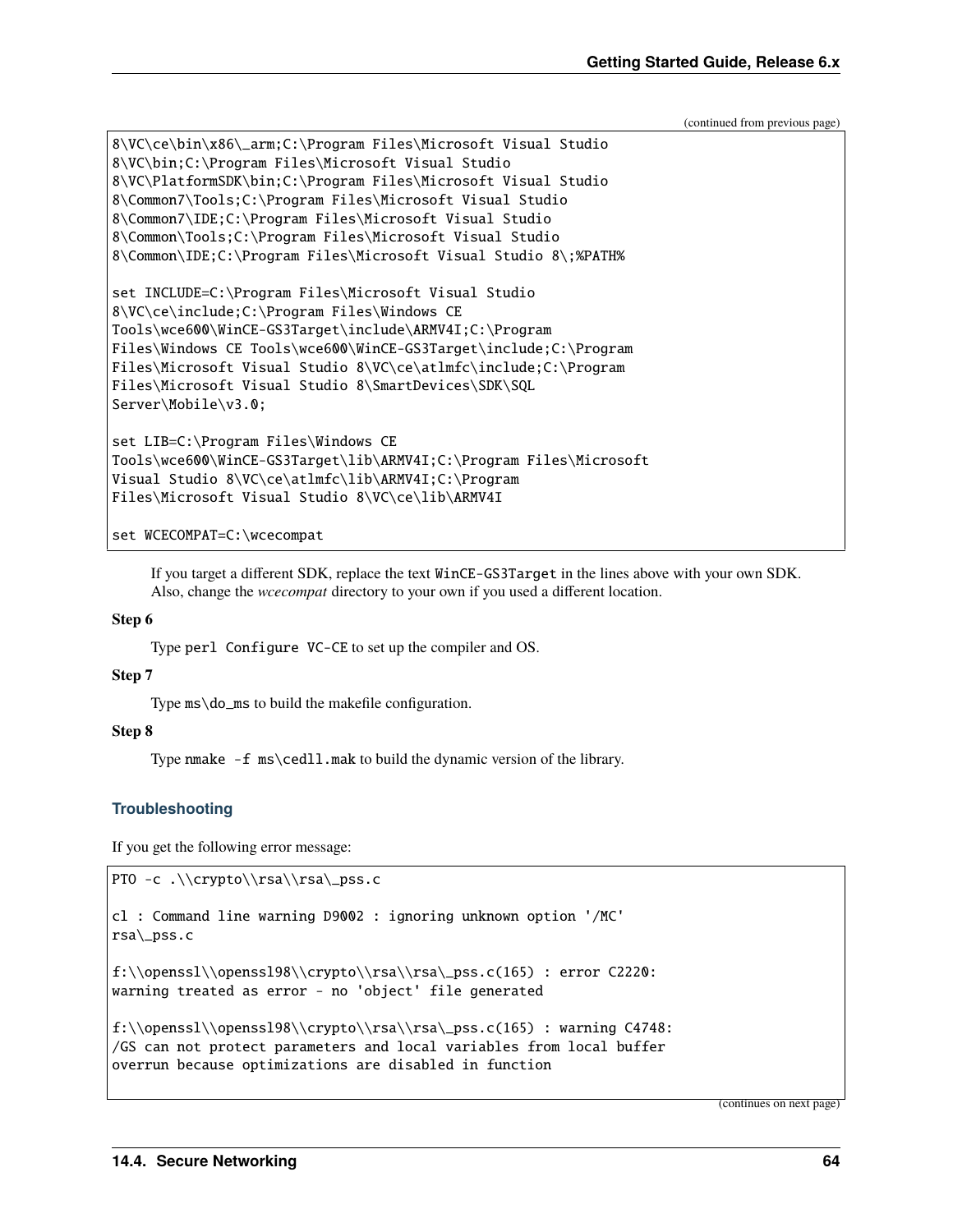(continued from previous page)

```
8\VC\ce\bin\x86\_arm;C:\Program Files\Microsoft Visual Studio
8\VC\bin;C:\Program Files\Microsoft Visual Studio
8\VC\PlatformSDK\bin;C:\Program Files\Microsoft Visual Studio
8\Common7\Tools;C:\Program Files\Microsoft Visual Studio
8\Common7\IDE;C:\Program Files\Microsoft Visual Studio
8\Common\Tools;C:\Program Files\Microsoft Visual Studio
8\Common\IDE;C:\Program Files\Microsoft Visual Studio 8\;%PATH%
set INCLUDE=C:\Program Files\Microsoft Visual Studio
8\VC\ce\include;C:\Program Files\Windows CE
Tools\wce600\WinCE-GS3Target\include\ARMV4I;C:\Program
Files\Windows CE Tools\wce600\WinCE-GS3Target\include;C:\Program
Files\Microsoft Visual Studio 8\VC\ce\atlmfc\include;C:\Program
Files\Microsoft Visual Studio 8\SmartDevices\SDK\SQL
Server\Mobile\v3.0;
set LIB=C:\Program Files\Windows CE
Tools\wce600\WinCE-GS3Target\lib\ARMV4I;C:\Program Files\Microsoft
Visual Studio 8\VC\ce\atlmfc\lib\ARMV4I;C:\Program
Files\Microsoft Visual Studio 8\VC\ce\lib\ARMV4I
```
set WCECOMPAT=C:\wcecompat

If you target a different SDK, replace the text WinCE-GS3Target in the lines above with your own SDK. Also, change the *wcecompat* directory to your own if you used a different location.

#### **Step 6**

Type perl Configure VC-CE to set up the compiler and OS.

#### **Step 7**

Type ms\do\_ms to build the makefile configuration.

#### **Step 8**

Type nmake -f ms\cedll.mak to build the dynamic version of the library.

## **Troubleshooting**

If you get the following error message:

```
PTO -c .\\crypto\\rsa\\rsa\_pss.c
```

```
cl : Command line warning D9002 : ignoring unknown option '/MC'
rsa\_pss.c
```

```
f:\\openssl\\openssl98\\crypto\\rsa\\rsa\_pss.c(165) : error C2220:
warning treated as error - no 'object' file generated
```

```
f:\\openssl\\openssl98\\crypto\\rsa\\rsa\_pss.c(165) : warning C4748:
/GS can not protect parameters and local variables from local buffer
overrun because optimizations are disabled in function
```
(continues on next page)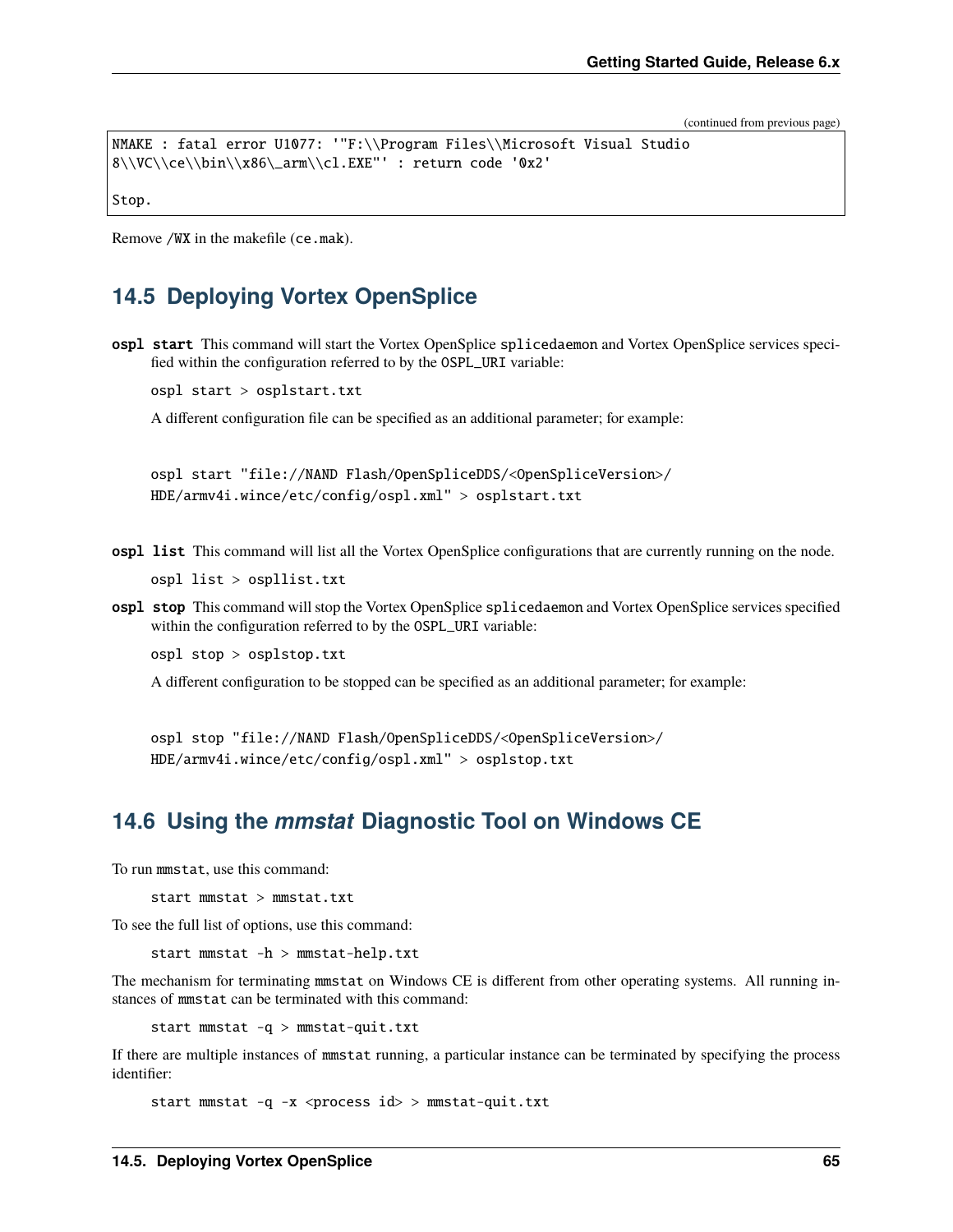(continued from previous page)

```
NMAKE : fatal error U1077: '"F:\\Program Files\\Microsoft Visual Studio
8\\VC\\ce\\bin\\x86\_arm\\cl.EXE"' : return code '0x2'
```
Remove /WX in the makefile (ce.mak).

Stop.

# **14.5 Deploying Vortex OpenSplice**

ospl start This command will start the Vortex OpenSplice splicedaemon and Vortex OpenSplice services specified within the configuration referred to by the OSPL\_URI variable:

ospl start > osplstart.txt

A different configuration file can be specified as an additional parameter; for example:

ospl start "file://NAND Flash/OpenSpliceDDS/<OpenSpliceVersion>/ HDE/armv4i.wince/etc/config/ospl.xml" > osplstart.txt

ospl list This command will list all the Vortex OpenSplice configurations that are currently running on the node.

ospl list > ospllist.txt

ospl stop This command will stop the Vortex OpenSplice splicedaemon and Vortex OpenSplice services specified within the configuration referred to by the OSPL\_URI variable:

ospl stop > osplstop.txt

A different configuration to be stopped can be specified as an additional parameter; for example:

ospl stop "file://NAND Flash/OpenSpliceDDS/<OpenSpliceVersion>/ HDE/armv4i.wince/etc/config/ospl.xml" > osplstop.txt

# **14.6 Using the** *mmstat* **Diagnostic Tool on Windows CE**

To run mmstat, use this command:

start mmstat > mmstat.txt

To see the full list of options, use this command:

start mmstat -h > mmstat-help.txt

The mechanism for terminating mmstat on Windows CE is different from other operating systems. All running instances of mmstat can be terminated with this command:

start mmstat -q > mmstat-quit.txt

If there are multiple instances of mmstat running, a particular instance can be terminated by specifying the process identifier:

start mmstat -q -x <process id> > mmstat-quit.txt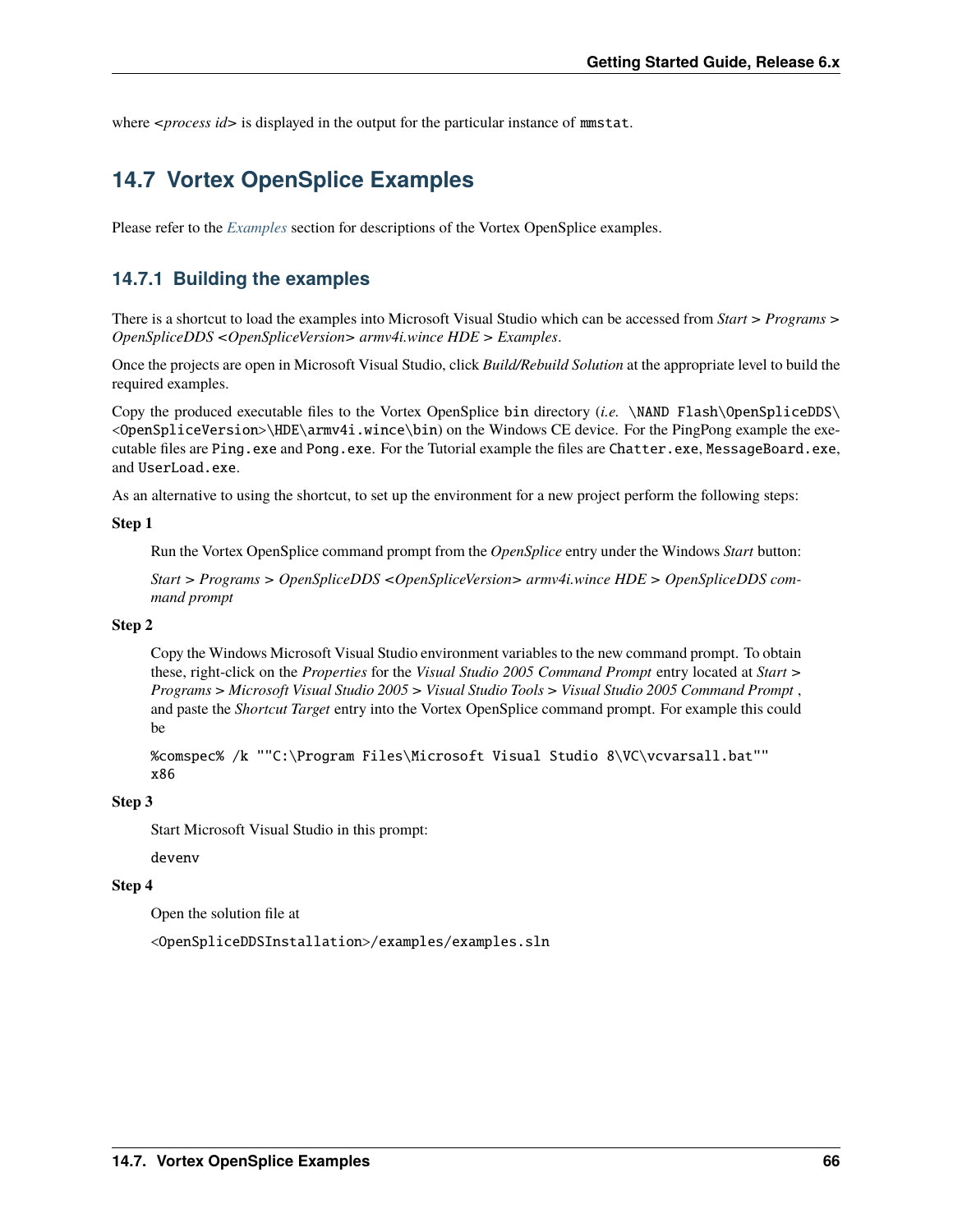where *<process id*> is displayed in the output for the particular instance of mmstat.

# **14.7 Vortex OpenSplice Examples**

Please refer to the *[Examples](#page-23-0)* section for descriptions of the Vortex OpenSplice examples.

## **14.7.1 Building the examples**

There is a shortcut to load the examples into Microsoft Visual Studio which can be accessed from *Start > Programs > OpenSpliceDDS <OpenSpliceVersion> armv4i.wince HDE > Examples*.

Once the projects are open in Microsoft Visual Studio, click *Build/Rebuild Solution* at the appropriate level to build the required examples.

Copy the produced executable files to the Vortex OpenSplice bin directory (*i.e.* \NAND Flash\OpenSpliceDDS\ <OpenSpliceVersion>\HDE\armv4i.wince\bin) on the Windows CE device. For the PingPong example the executable files are Ping.exe and Pong.exe. For the Tutorial example the files are Chatter.exe, MessageBoard.exe, and UserLoad.exe.

As an alternative to using the shortcut, to set up the environment for a new project perform the following steps:

#### **Step 1**

Run the Vortex OpenSplice command prompt from the *OpenSplice* entry under the Windows *Start* button:

*Start > Programs > OpenSpliceDDS <OpenSpliceVersion> armv4i.wince HDE > OpenSpliceDDS command prompt*

#### **Step 2**

Copy the Windows Microsoft Visual Studio environment variables to the new command prompt. To obtain these, right-click on the *Properties* for the *Visual Studio 2005 Command Prompt* entry located at *Start > Programs > Microsoft Visual Studio 2005 > Visual Studio Tools > Visual Studio 2005 Command Prompt* , and paste the *Shortcut Target* entry into the Vortex OpenSplice command prompt. For example this could be

%comspec% /k ""C:\Program Files\Microsoft Visual Studio 8\VC\vcvarsall.bat"" x86

### **Step 3**

Start Microsoft Visual Studio in this prompt:

devenv

#### **Step 4**

Open the solution file at

<OpenSpliceDDSInstallation>/examples/examples.sln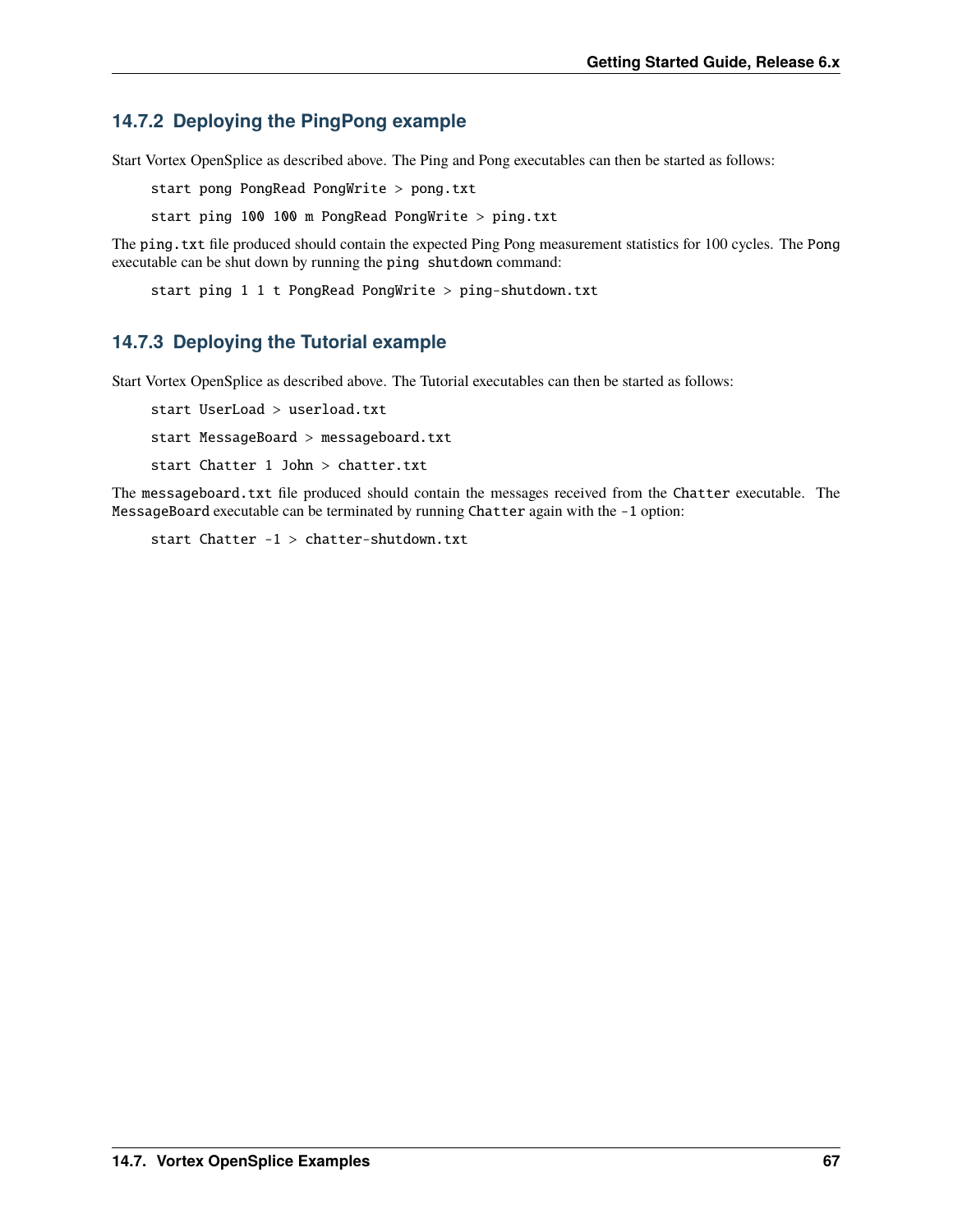# **14.7.2 Deploying the PingPong example**

Start Vortex OpenSplice as described above. The Ping and Pong executables can then be started as follows:

start pong PongRead PongWrite > pong.txt

start ping 100 100 m PongRead PongWrite > ping.txt

The ping.txt file produced should contain the expected Ping Pong measurement statistics for 100 cycles. The Pong executable can be shut down by running the ping shutdown command:

start ping 1 1 t PongRead PongWrite > ping-shutdown.txt

# **14.7.3 Deploying the Tutorial example**

Start Vortex OpenSplice as described above. The Tutorial executables can then be started as follows:

start UserLoad > userload.txt start MessageBoard > messageboard.txt start Chatter 1 John > chatter.txt

The messageboard.txt file produced should contain the messages received from the Chatter executable. The MessageBoard executable can be terminated by running Chatter again with the -1 option:

start Chatter -1 > chatter-shutdown.txt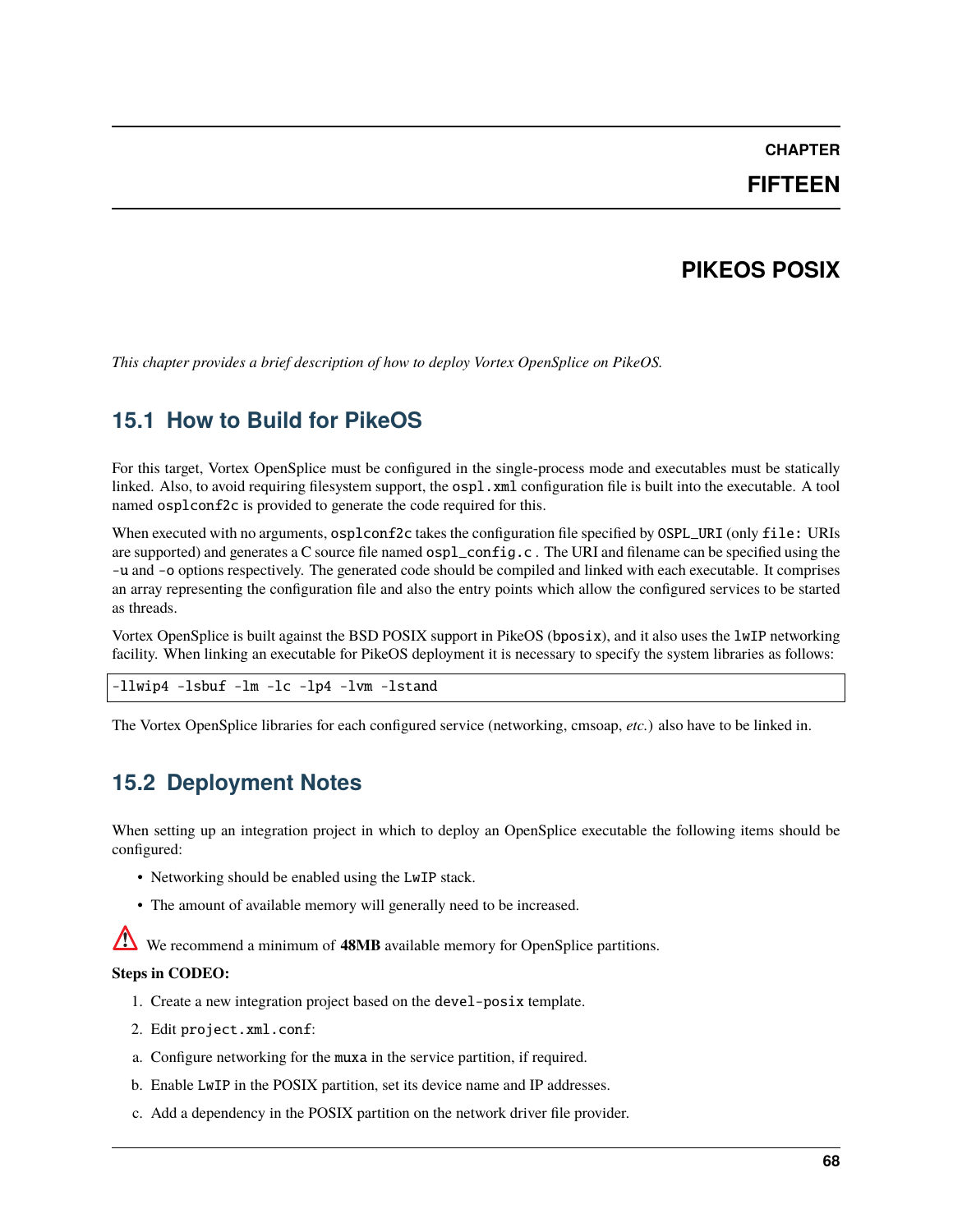## **CHAPTER**

## **FIFTEEN**

# **PIKEOS POSIX**

*This chapter provides a brief description of how to deploy Vortex OpenSplice on PikeOS.*

# **15.1 How to Build for PikeOS**

For this target, Vortex OpenSplice must be configured in the single-process mode and executables must be statically linked. Also, to avoid requiring filesystem support, the ospl.xml configuration file is built into the executable. A tool named osplconf2c is provided to generate the code required for this.

When executed with no arguments,  $osplconf2c$  takes the configuration file specified by OSPL\_URI (only file: URIs are supported) and generates a C source file named ospl\_config.c . The URI and filename can be specified using the -u and -o options respectively. The generated code should be compiled and linked with each executable. It comprises an array representing the configuration file and also the entry points which allow the configured services to be started as threads.

Vortex OpenSplice is built against the BSD POSIX support in PikeOS (bposix), and it also uses the lwIP networking facility. When linking an executable for PikeOS deployment it is necessary to specify the system libraries as follows:

-llwip4 -lsbuf -lm -lc -lp4 -lvm -lstand

The Vortex OpenSplice libraries for each configured service (networking, cmsoap, *etc.*) also have to be linked in.

# **15.2 Deployment Notes**

When setting up an integration project in which to deploy an OpenSplice executable the following items should be configured:

- Networking should be enabled using the LwIP stack.
- The amount of available memory will generally need to be increased.

We recommend a minimum of **48MB** available memory for OpenSplice partitions.

## **Steps in CODEO:**

- 1. Create a new integration project based on the devel-posix template.
- 2. Edit project.xml.conf:
- a. Configure networking for the muxa in the service partition, if required.
- b. Enable LwIP in the POSIX partition, set its device name and IP addresses.
- c. Add a dependency in the POSIX partition on the network driver file provider.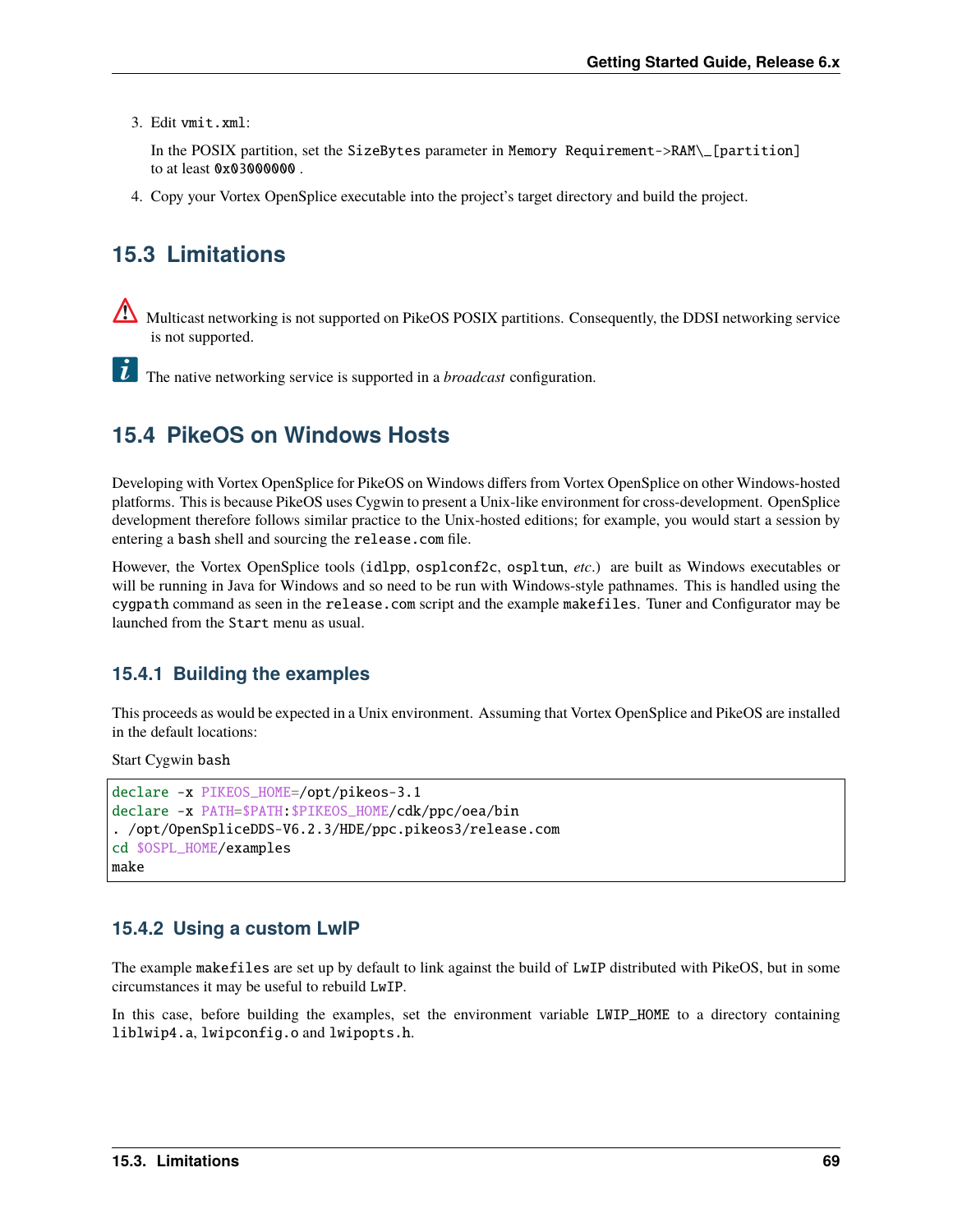3. Edit vmit.xml:

In the POSIX partition, set the SizeBytes parameter in Memory Requirement->RAM\\_[partition] to at least 0x03000000 .

4. Copy your Vortex OpenSplice executable into the project's target directory and build the project.

# **15.3 Limitations**

Multicast networking is not supported on PikeOS POSIX partitions. Consequently, the DDSI networking service is not supported.

**T** The native networking service is supported in a *broadcast* configuration.

## **15.4 PikeOS on Windows Hosts**

Developing with Vortex OpenSplice for PikeOS on Windows differs from Vortex OpenSplice on other Windows-hosted platforms. This is because PikeOS uses Cygwin to present a Unix-like environment for cross-development. OpenSplice development therefore follows similar practice to the Unix-hosted editions; for example, you would start a session by entering a bash shell and sourcing the release.com file.

However, the Vortex OpenSplice tools (idlpp, osplconf2c, ospltun, *etc*.) are built as Windows executables or will be running in Java for Windows and so need to be run with Windows-style pathnames. This is handled using the cygpath command as seen in the release.com script and the example makefiles. Tuner and Configurator may be launched from the Start menu as usual.

### **15.4.1 Building the examples**

This proceeds as would be expected in a Unix environment. Assuming that Vortex OpenSplice and PikeOS are installed in the default locations:

Start Cygwin bash

```
declare -x PIKEOS_HOME=/opt/pikeos-3.1
declare -x PATH=$PATH:$PIKEOS_HOME/cdk/ppc/oea/bin
. /opt/OpenSpliceDDS-V6.2.3/HDE/ppc.pikeos3/release.com
cd $OSPL_HOME/examples
make
```
### **15.4.2 Using a custom LwIP**

The example makefiles are set up by default to link against the build of LwIP distributed with PikeOS, but in some circumstances it may be useful to rebuild LwIP.

In this case, before building the examples, set the environment variable LWIP\_HOME to a directory containing liblwip4.a, lwipconfig.o and lwipopts.h.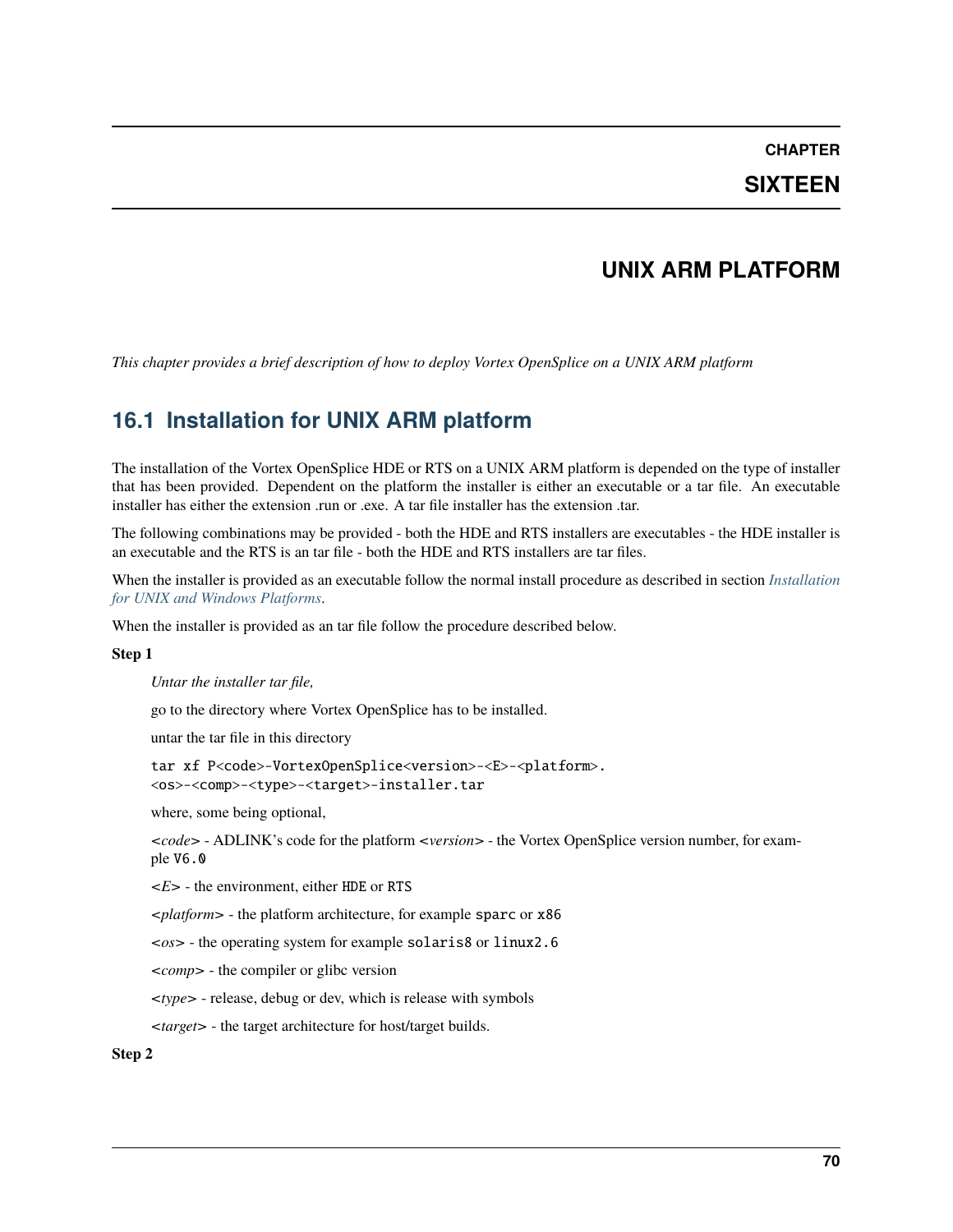### **CHAPTER**

## **SIXTEEN**

## **UNIX ARM PLATFORM**

*This chapter provides a brief description of how to deploy Vortex OpenSplice on a UNIX ARM platform*

## **16.1 Installation for UNIX ARM platform**

The installation of the Vortex OpenSplice HDE or RTS on a UNIX ARM platform is depended on the type of installer that has been provided. Dependent on the platform the installer is either an executable or a tar file. An executable installer has either the extension .run or .exe. A tar file installer has the extension .tar.

The following combinations may be provided - both the HDE and RTS installers are executables - the HDE installer is an executable and the RTS is an tar file - both the HDE and RTS installers are tar files.

When the installer is provided as an executable follow the normal install procedure as described in section *[Installation](#page-19-0) [for UNIX and Windows Platforms](#page-19-0)*.

When the installer is provided as an tar file follow the procedure described below.

#### **Step 1**

*Untar the installer tar file,*

go to the directory where Vortex OpenSplice has to be installed.

untar the tar file in this directory

tar xf P<code>-VortexOpenSplice<version>-<E>-<platform>. <os>-<comp>-<type>-<target>-installer.tar

where, some being optional,

*<code>* - ADLINK's code for the platform *<version>* - the Vortex OpenSplice version number, for example V6.0

*<E>* - the environment, either HDE or RTS

*<platform>* - the platform architecture, for example sparc or x86

*<os>* - the operating system for example solaris8 or linux2.6

*<comp>* - the compiler or glibc version

*<type>* - release, debug or dev, which is release with symbols

*<target>* - the target architecture for host/target builds.

#### **Step 2**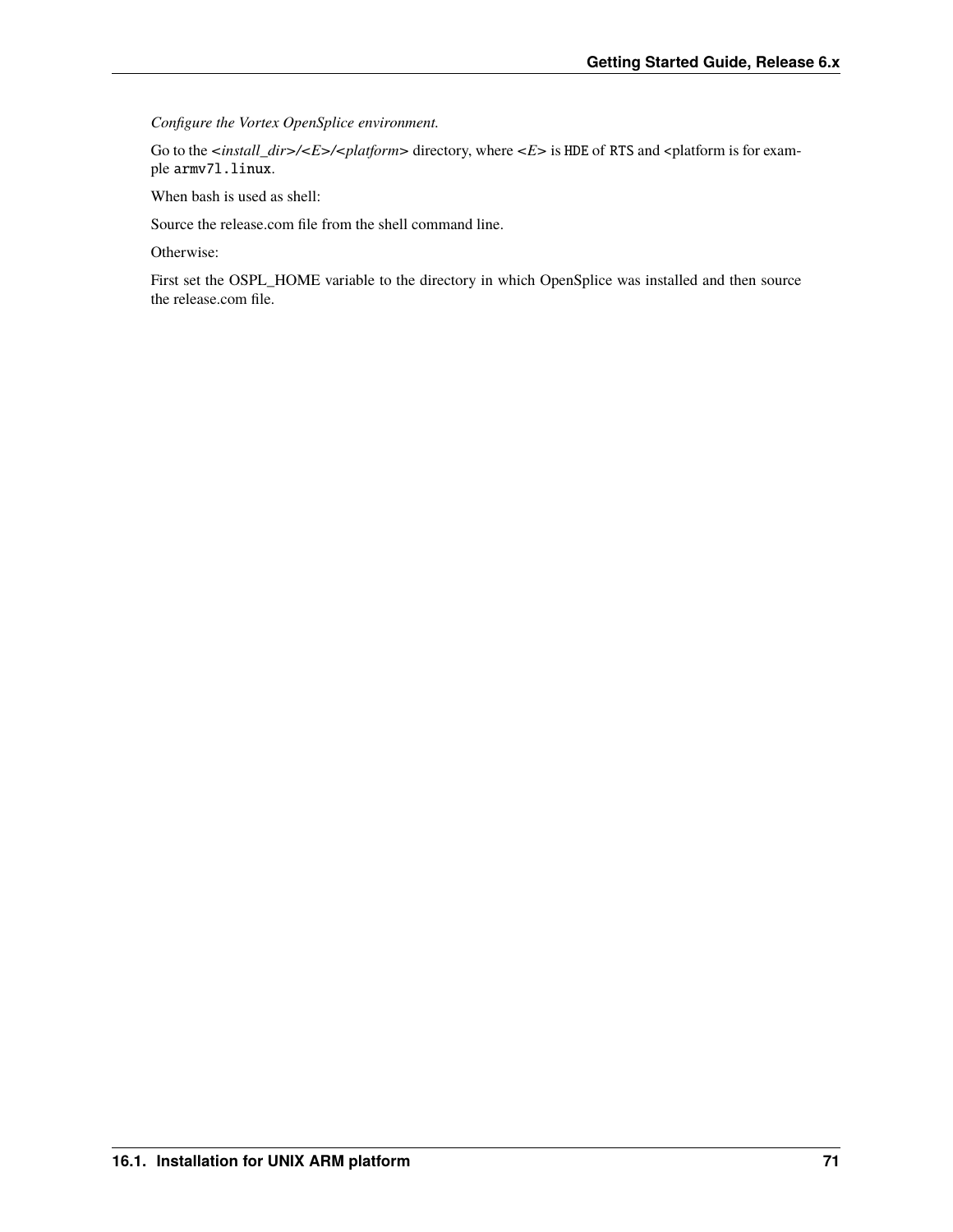*Configure the Vortex OpenSplice environment.*

Go to the <install\_dir>/<E>/<platform> directory, where <E> is HDE of RTS and <platform is for example armv7l.linux.

When bash is used as shell:

Source the release.com file from the shell command line.

Otherwise:

First set the OSPL\_HOME variable to the directory in which OpenSplice was installed and then source the release.com file.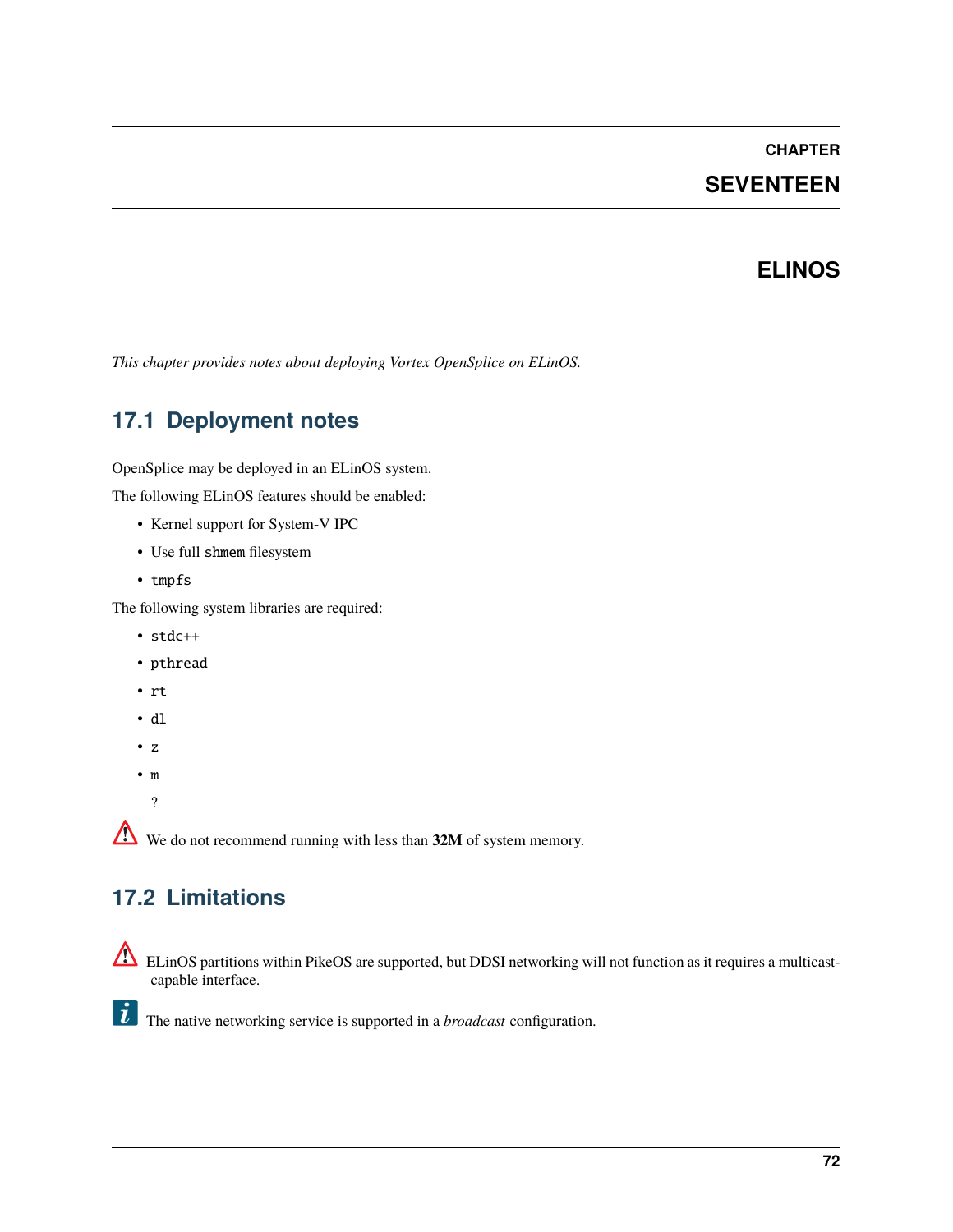### **CHAPTER**

# **SEVENTEEN**

## **ELINOS**

*This chapter provides notes about deploying Vortex OpenSplice on ELinOS.*

# **17.1 Deployment notes**

OpenSplice may be deployed in an ELinOS system.

The following ELinOS features should be enabled:

- Kernel support for System-V IPC
- Use full shmem filesystem
- tmpfs

The following system libraries are required:

- stdc++
- pthread
- rt
- dl
- z
- m

?

We do not recommend running with less than **32M** of system memory.

# **17.2 Limitations**

ELinOS partitions within PikeOS are supported, but DDSI networking will not function as it requires a multicastcapable interface.

The native networking service is supported in a *broadcast* configuration.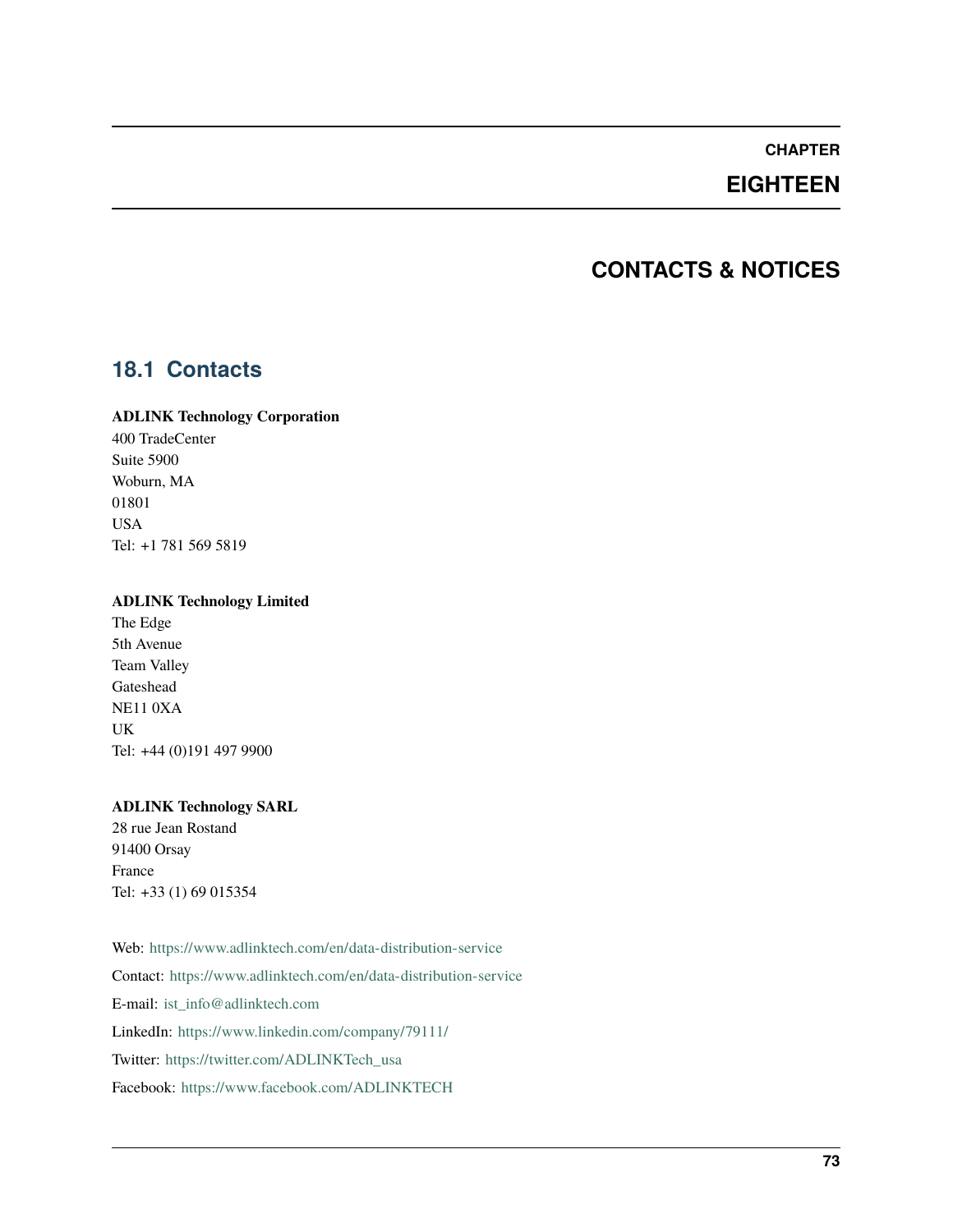### **CHAPTER**

# **EIGHTEEN**

# **CONTACTS & NOTICES**

## **18.1 Contacts**

#### **ADLINK Technology Corporation**

400 TradeCenter Suite 5900 Woburn, MA 01801 USA Tel: +1 781 569 5819

#### **ADLINK Technology Limited**

The Edge 5th Avenue Team Valley Gateshead NE11 0XA UK Tel: +44 (0)191 497 9900

#### **ADLINK Technology SARL**

28 rue Jean Rostand 91400 Orsay France Tel: +33 (1) 69 015354

Web: <https://www.adlinktech.com/en/data-distribution-service> Contact: <https://www.adlinktech.com/en/data-distribution-service> E-mail: [ist\\_info@adlinktech.com](mailto:ist_info@adlinktech.com) LinkedIn: <https://www.linkedin.com/company/79111/> Twitter: [https://twitter.com/ADLINKTech\\_usa](https://twitter.com/ADLINKTech_usa) Facebook: <https://www.facebook.com/ADLINKTECH>